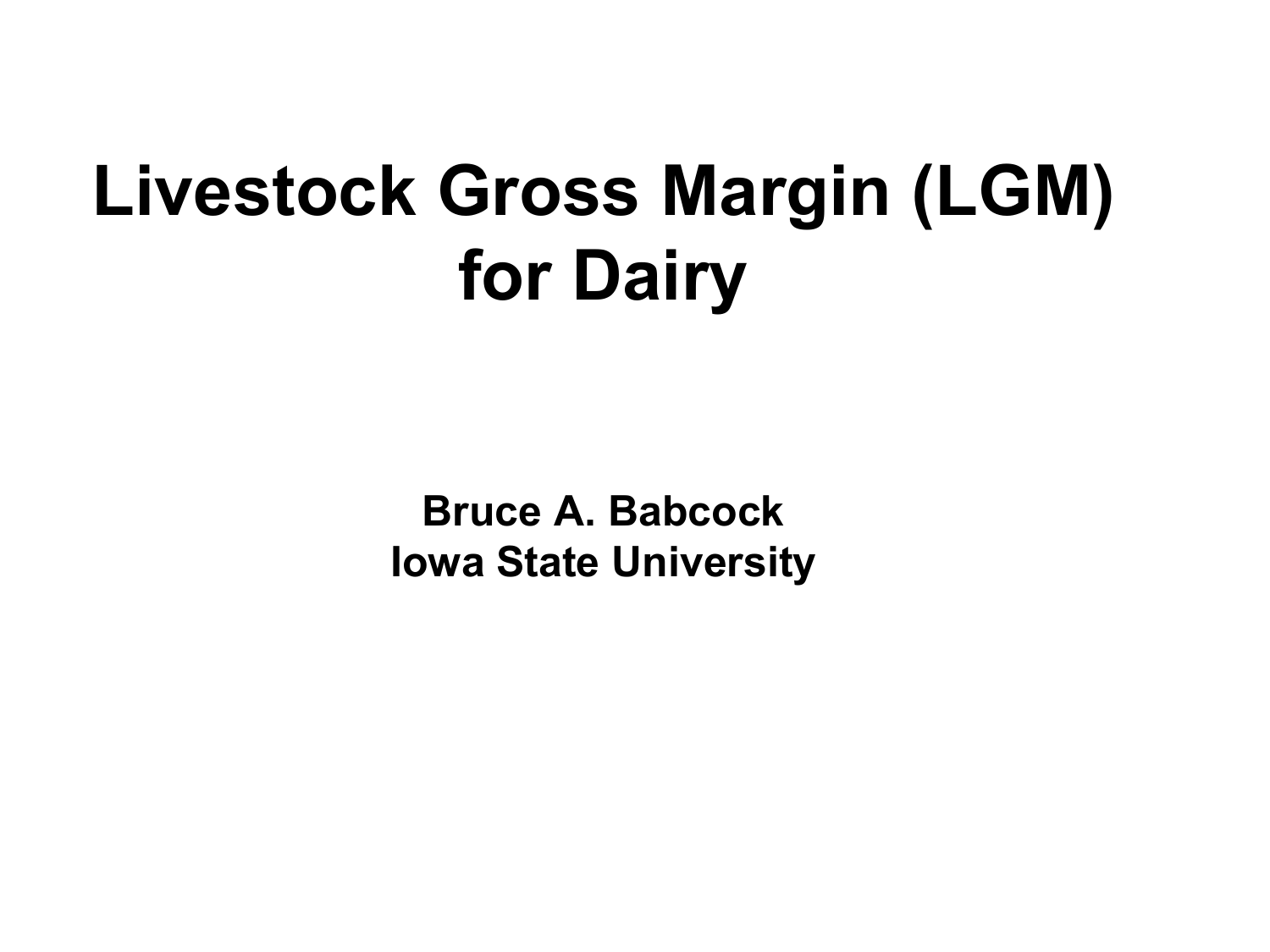### **Livestock Gross Margin (LGM) for Dairy**

**Bruce A. Babcock Iowa State University**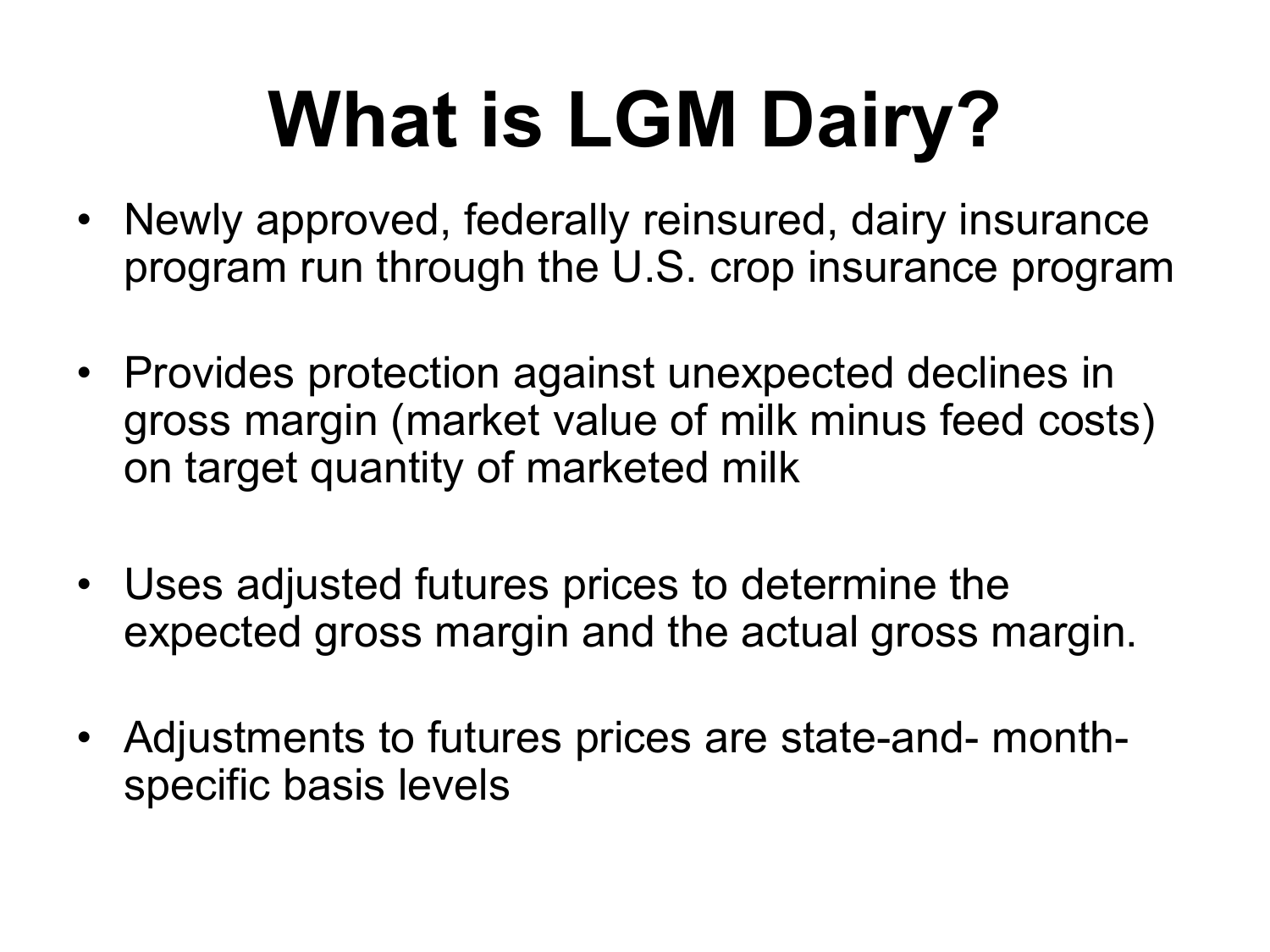# **What is LGM Dairy?**

- Newly approved, federally reinsured, dairy insurance program run through the U.S. crop insurance program
- Provides protection against unexpected declines in gross margin (market value of milk minus feed costs) on target quantity of marketed milk
- Uses adjusted futures prices to determine the expected gross margin and the actual gross margin.
- Adjustments to futures prices are state-and- monthspecific basis levels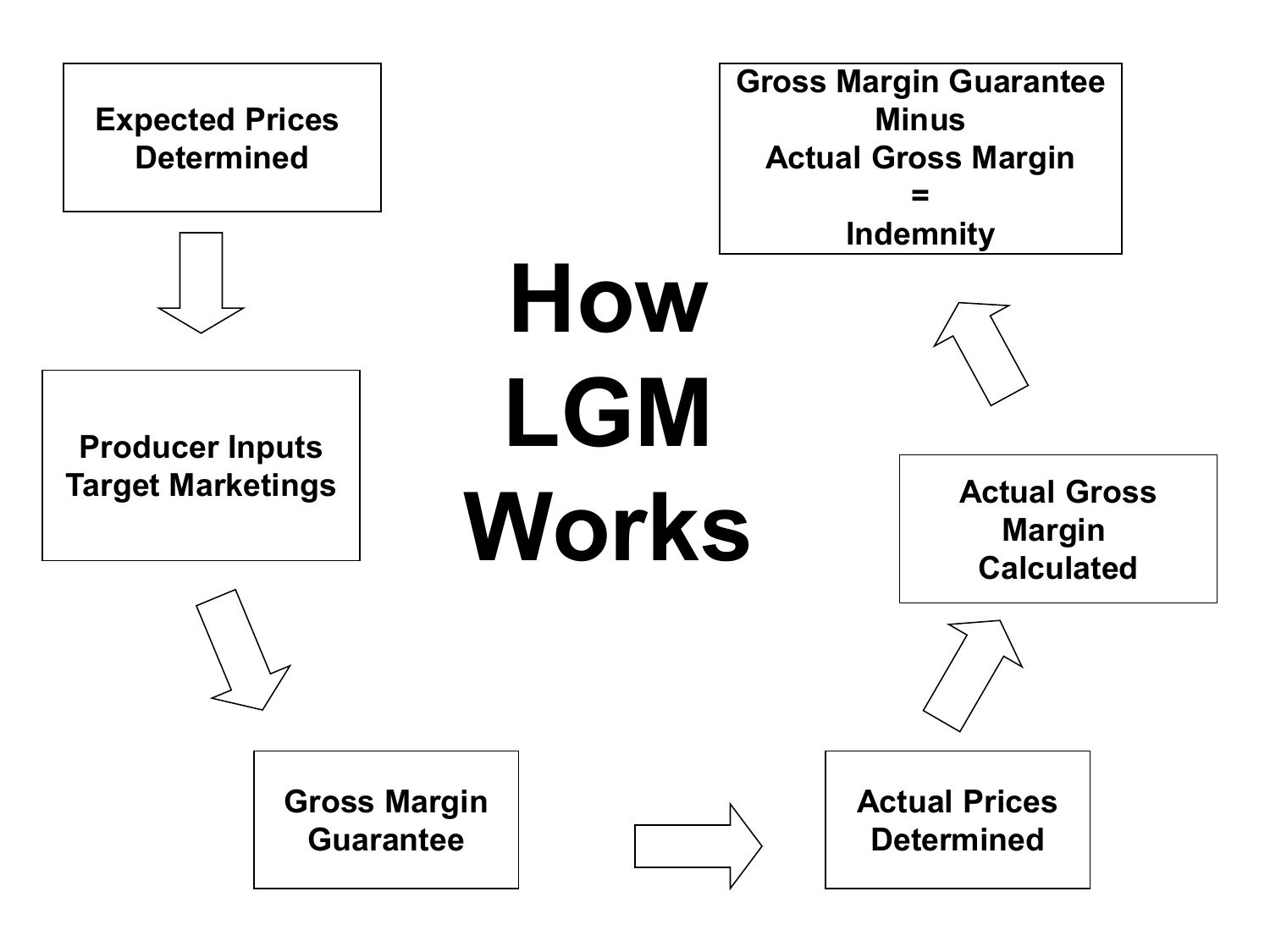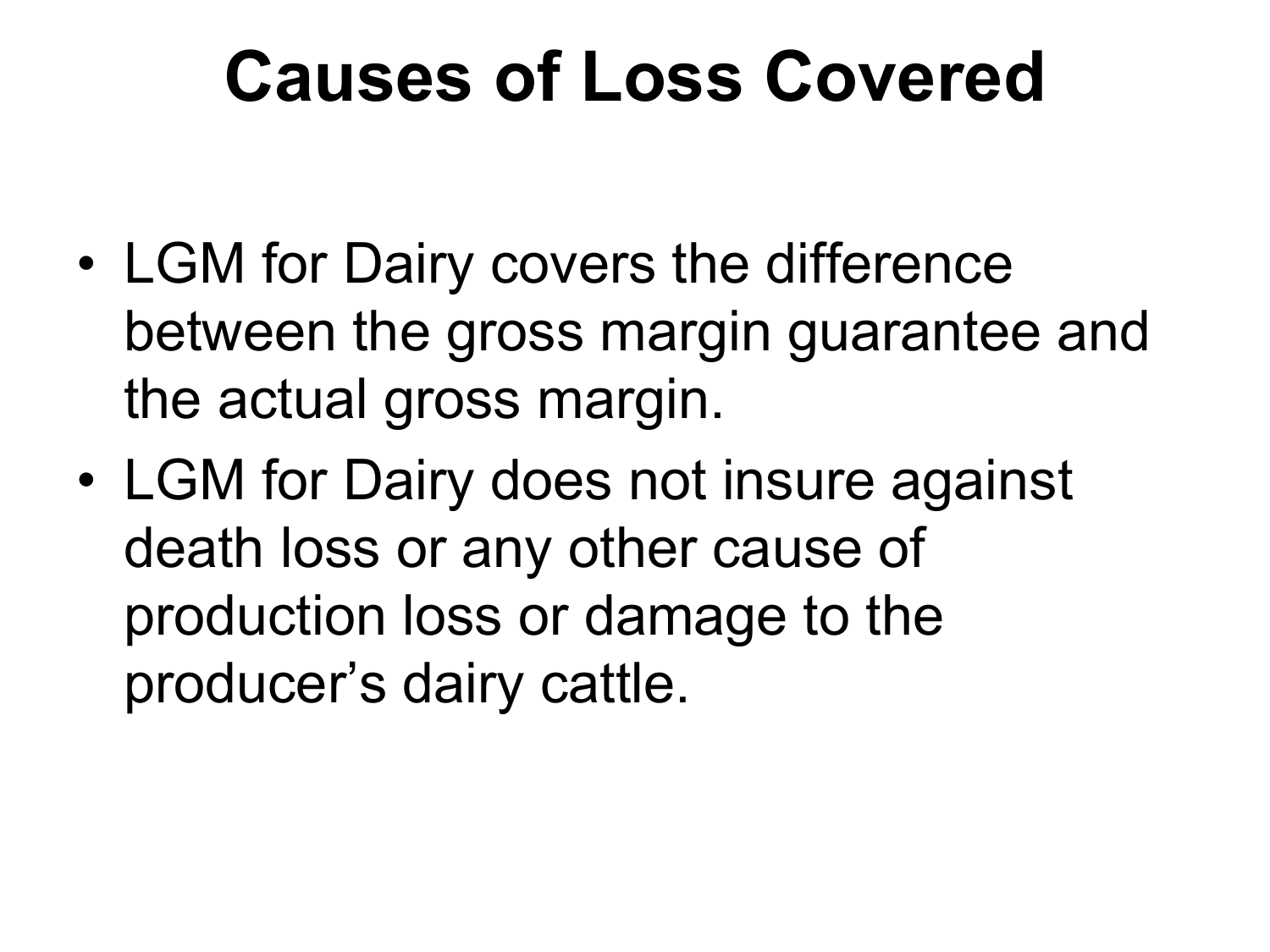### **Causes of Loss Covered**

- LGM for Dairy covers the difference between the gross margin guarantee and the actual gross margin.
- LGM for Dairy does not insure against death loss or any other cause of production loss or damage to the producer's dairy cattle.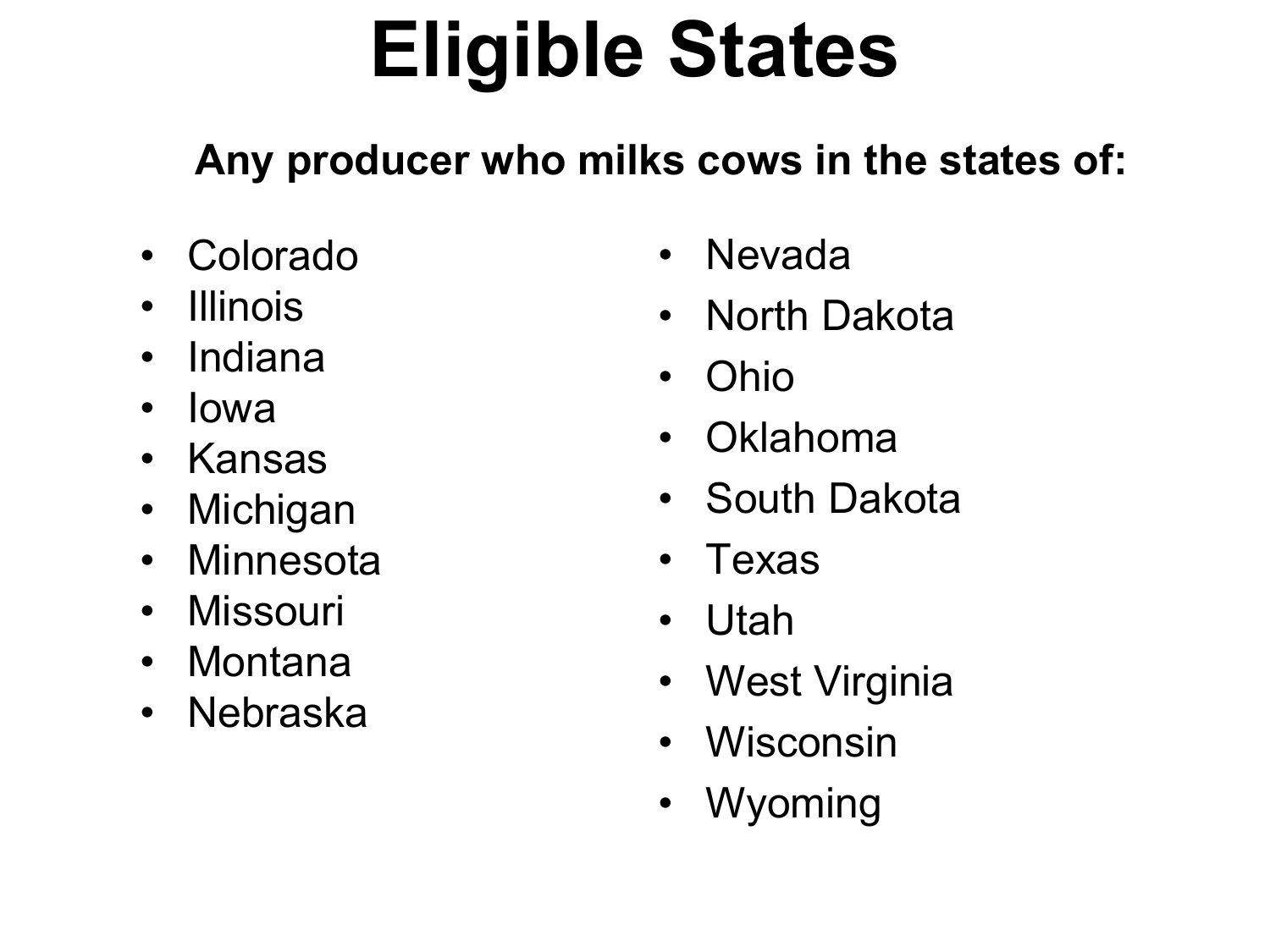## **Eligible States**

#### **Any producer who milks cows in the states of:**

- Colorado
- Illinois
- Indiana
- Iowa
- Kansas
- Michigan
- Minnesota
- Missouri
- Montana
- Nebraska
- Nevada
- North Dakota
- Ohio
- Oklahoma
- South Dakota
- Texas
- Utah
- West Virginia
- Wisconsin
- Wyoming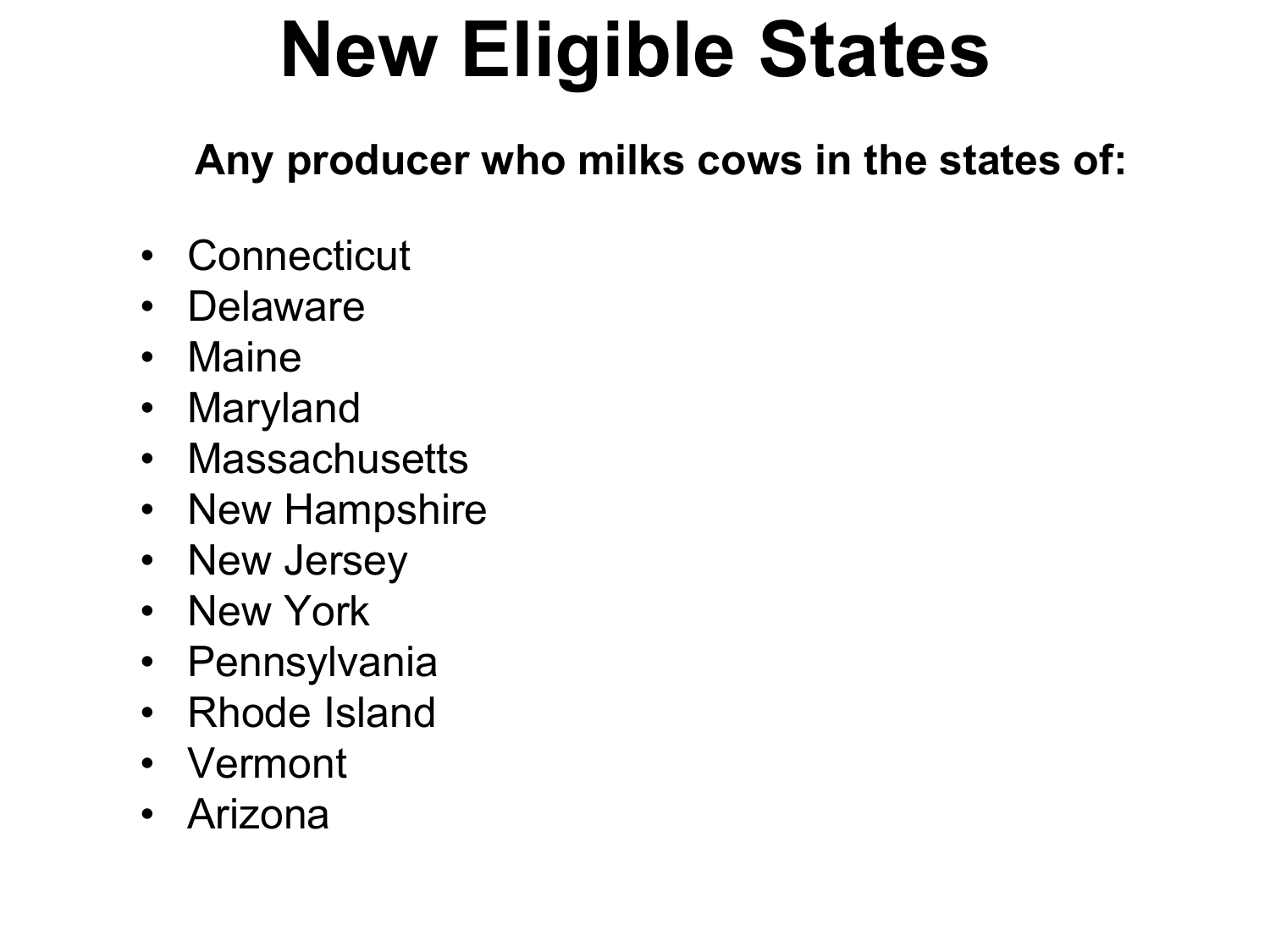# **New Eligible States**

**Any producer who milks cows in the states of:** 

- Connecticut
- Delaware
- Maine
- Maryland
- Massachusetts
- New Hampshire
- New Jersey
- New York
- Pennsylvania
- Rhode Island
- Vermont
- Arizona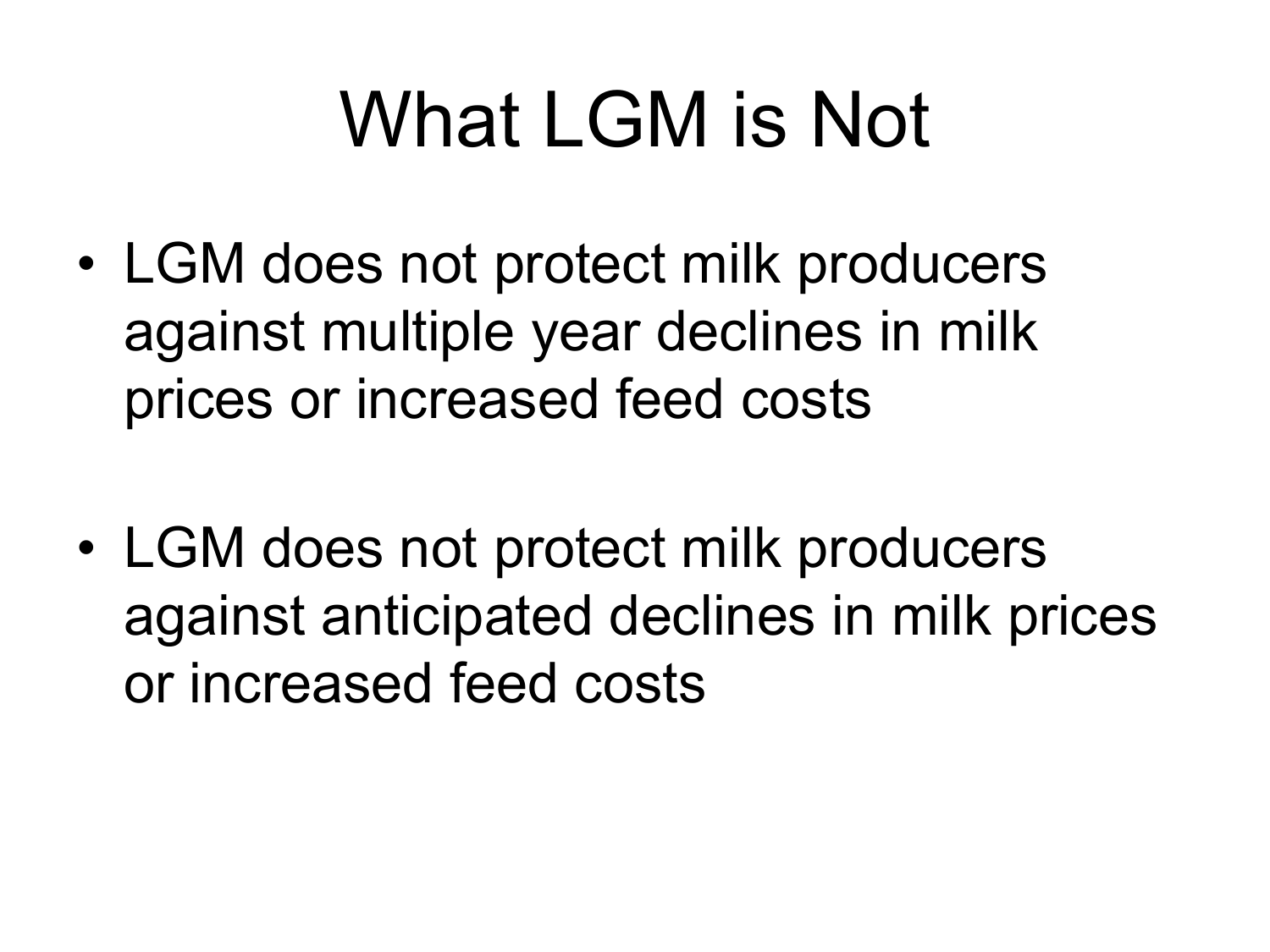# What LGM is Not

- LGM does not protect milk producers against multiple year declines in milk prices or increased feed costs
- LGM does not protect milk producers against anticipated declines in milk prices or increased feed costs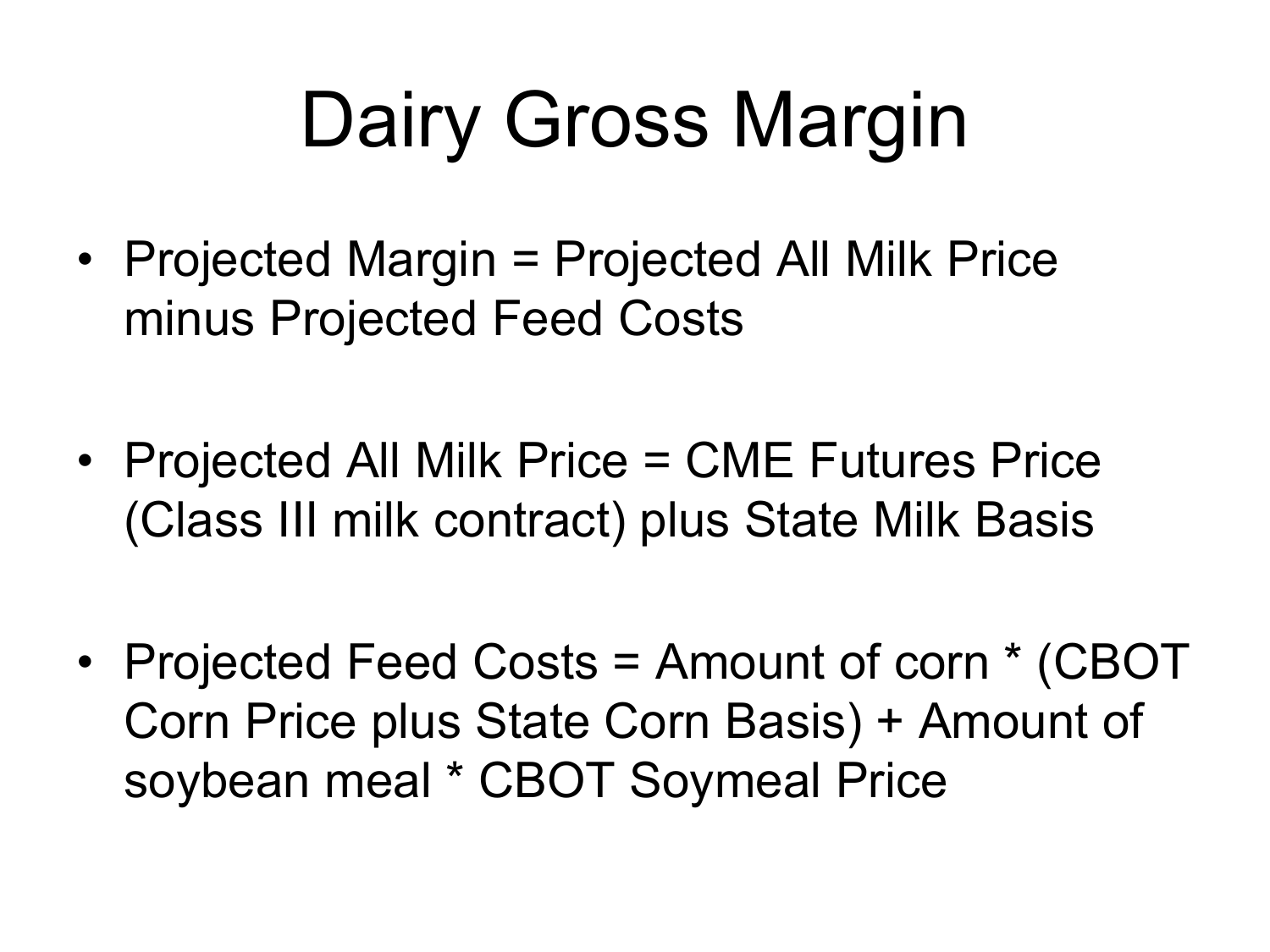# Dairy Gross Margin

- Projected Margin = Projected All Milk Price minus Projected Feed Costs
- Projected All Milk Price = CME Futures Price (Class III milk contract) plus State Milk Basis
- Projected Feed Costs = Amount of corn \* (CBOT Corn Price plus State Corn Basis) + Amount of soybean meal \* CBOT Soymeal Price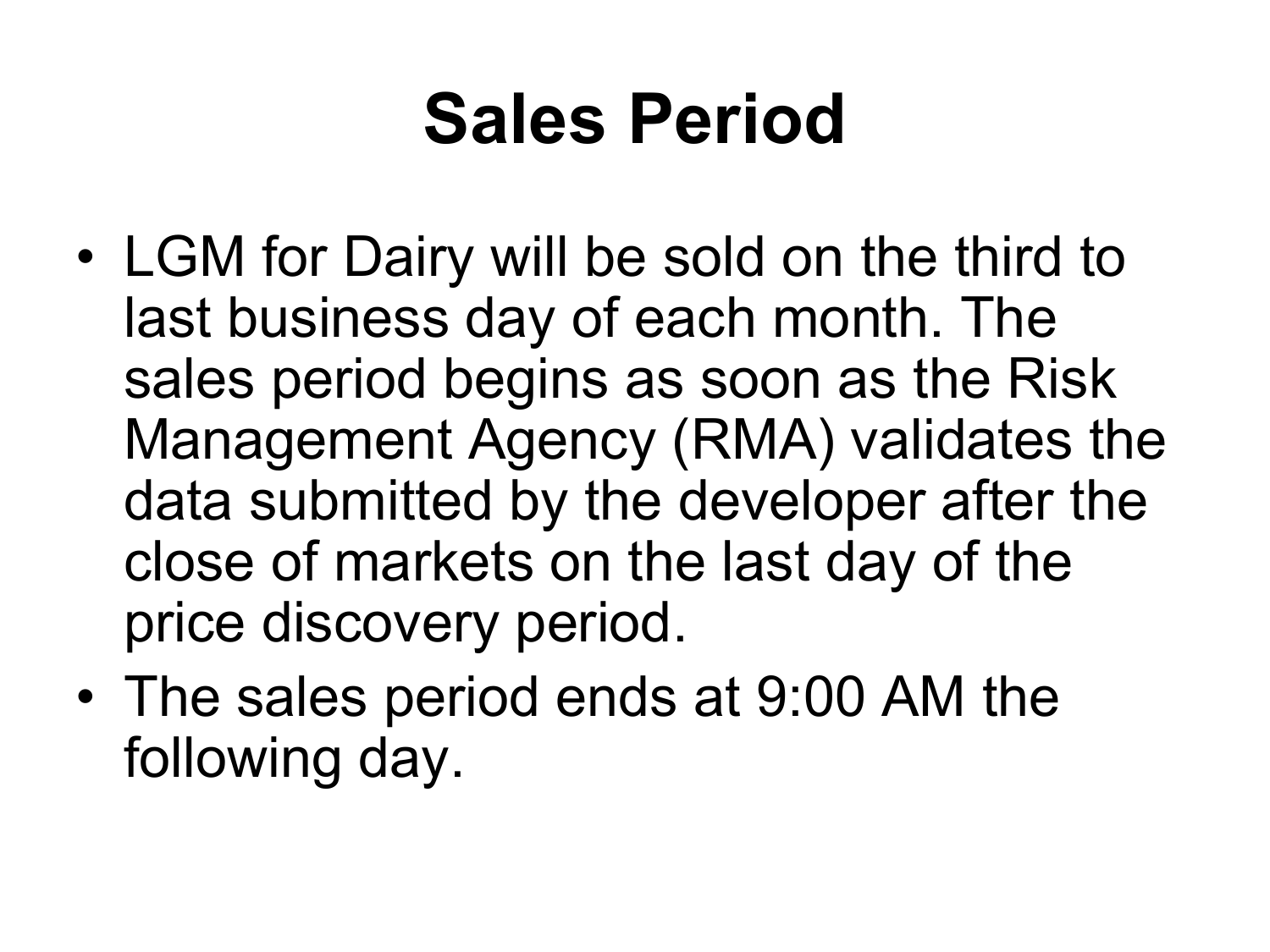### **Sales Period**

- LGM for Dairy will be sold on the third to last business day of each month. The sales period begins as soon as the Risk Management Agency (RMA) validates the data submitted by the developer after the close of markets on the last day of the price discovery period.
- The sales period ends at 9:00 AM the following day.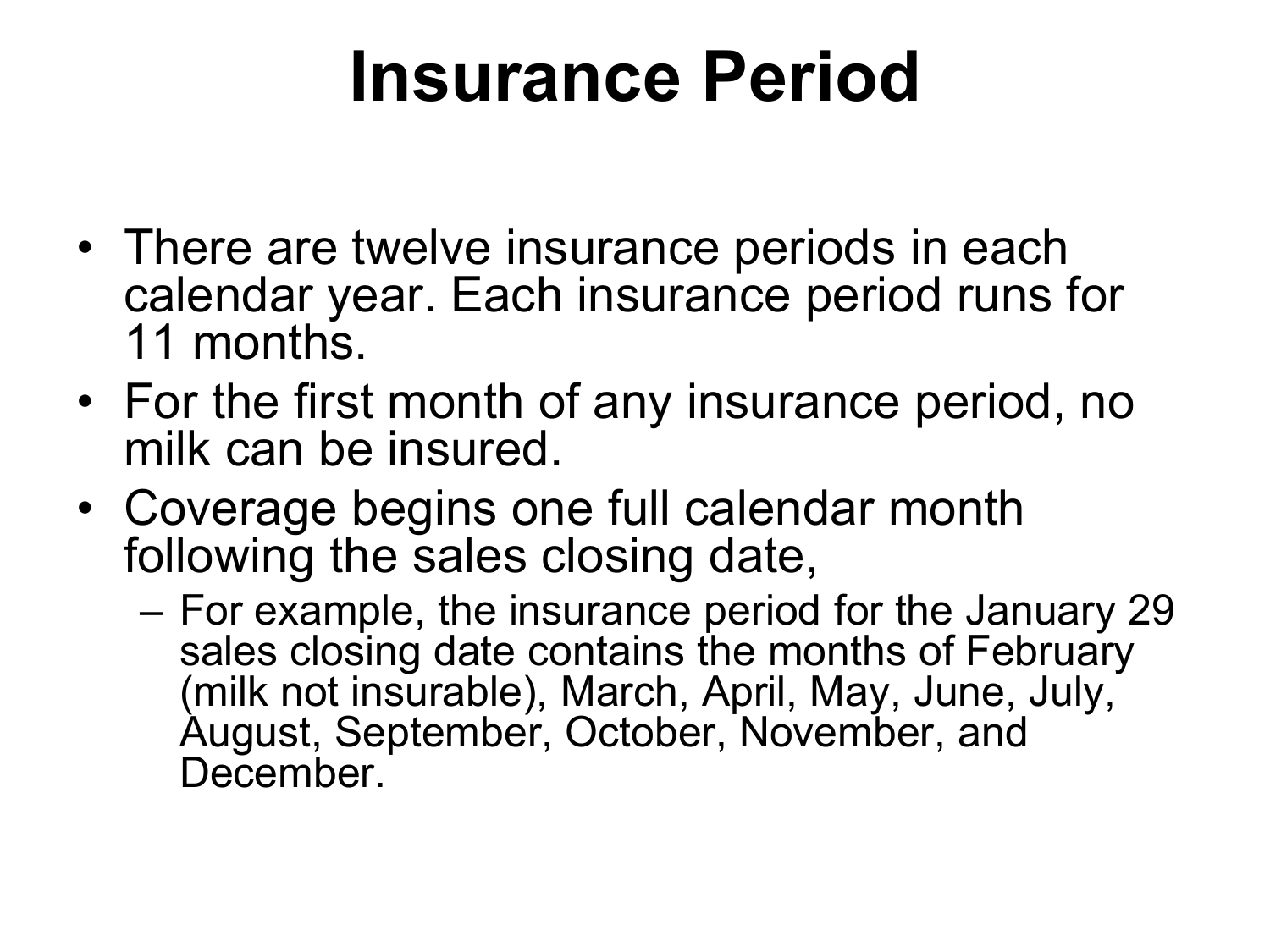### **Insurance Period**

- There are twelve insurance periods in each calendar year. Each insurance period runs for 11 months.
- For the first month of any insurance period, no milk can be insured.
- Coverage begins one full calendar month following the sales closing date,
	- For example, the insurance period for the January 29 sales closing date contains the months of February (milk not insurable), March, April, May, June, July, August, September, October, November, and December.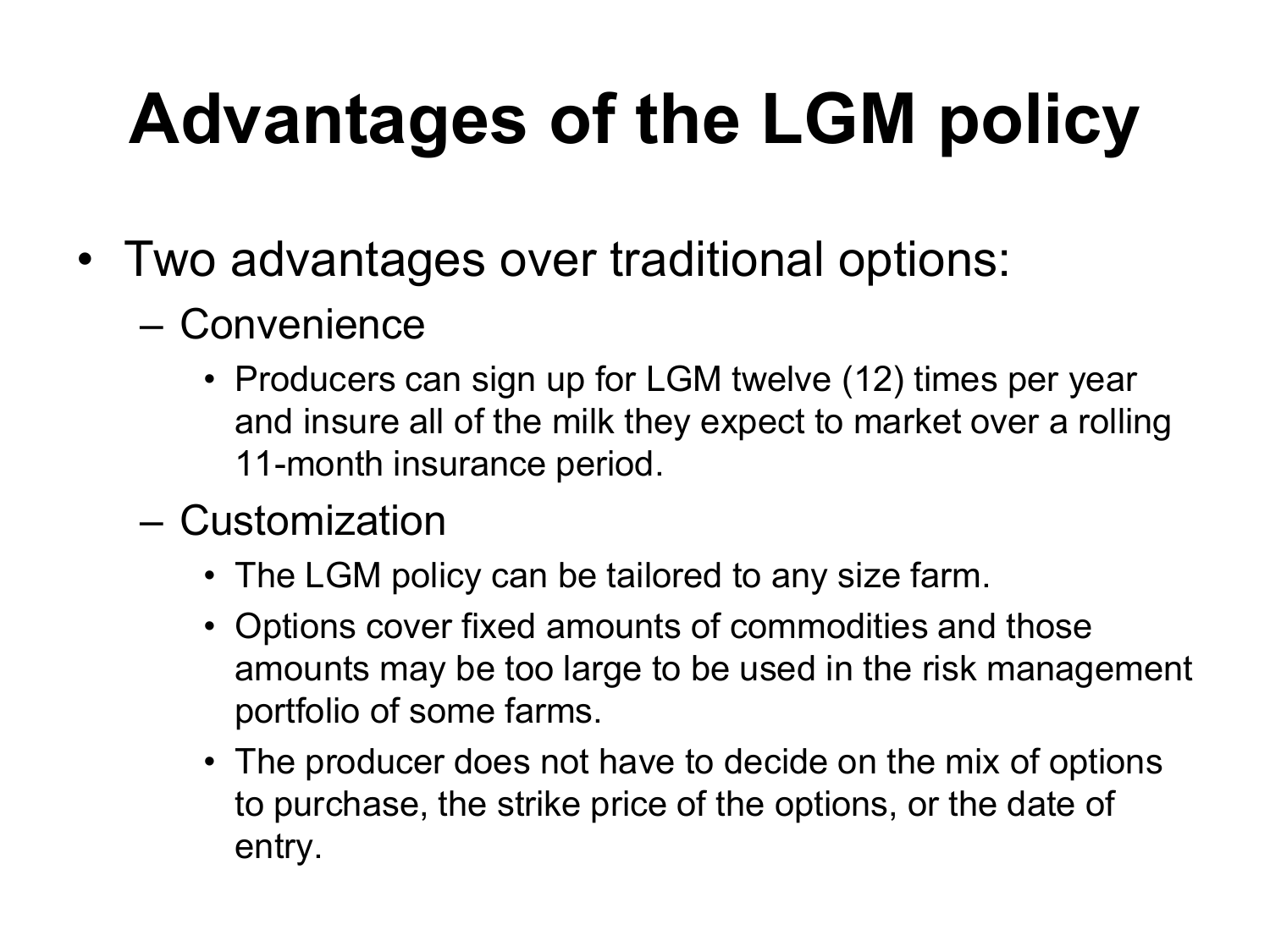# **Advantages of the LGM policy**

- Two advantages over traditional options:
	- Convenience
		- Producers can sign up for LGM twelve (12) times per year and insure all of the milk they expect to market over a rolling 11-month insurance period.
	- Customization
		- The LGM policy can be tailored to any size farm.
		- Options cover fixed amounts of commodities and those amounts may be too large to be used in the risk management portfolio of some farms.
		- The producer does not have to decide on the mix of options to purchase, the strike price of the options, or the date of entry.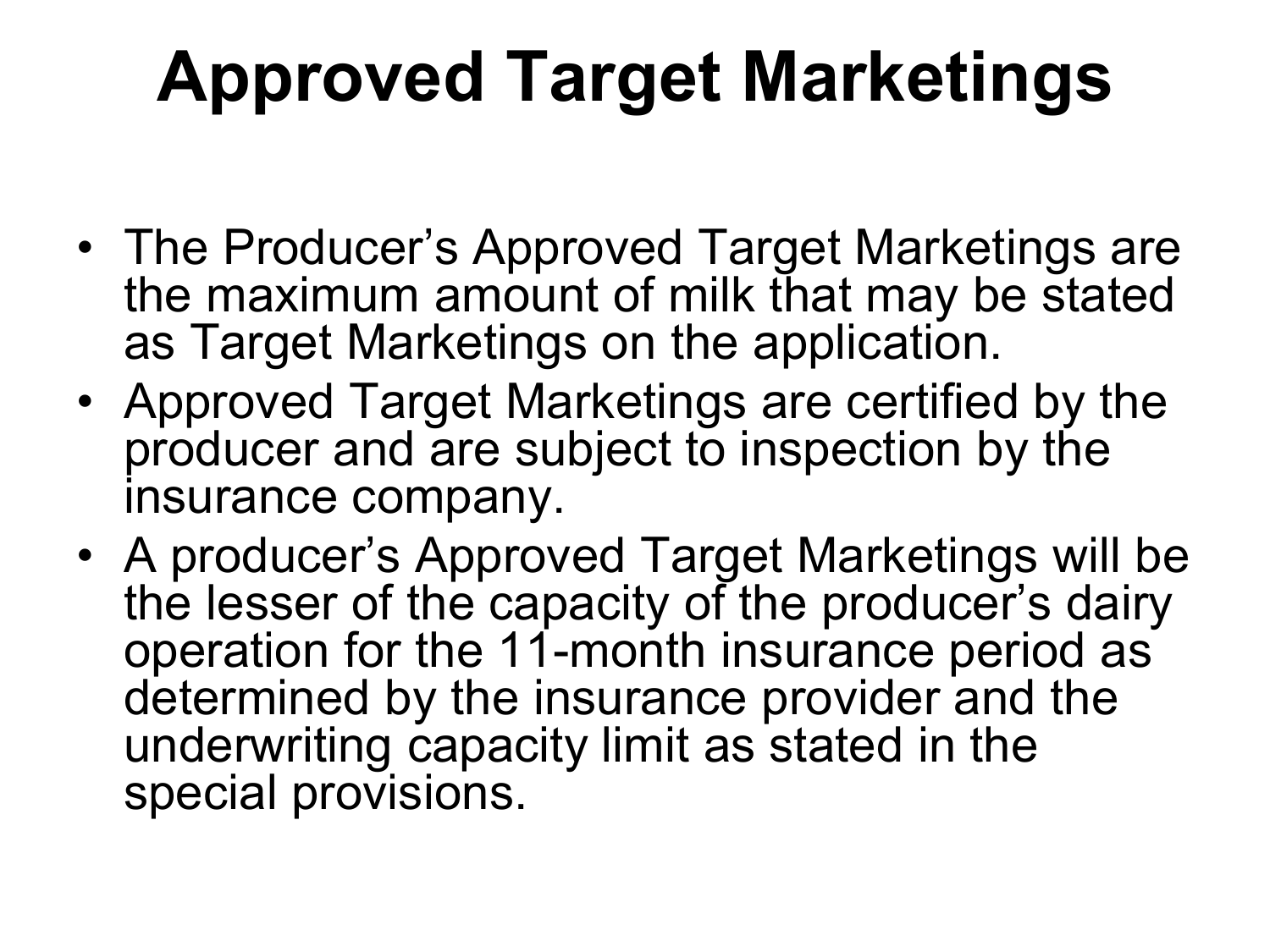## **Approved Target Marketings**

- The Producer's Approved Target Marketings are the maximum amount of milk that may be stated as Target Marketings on the application.
- Approved Target Marketings are certified by the producer and are subject to inspection by the insurance company.
- A producer's Approved Target Marketings will be the lesser of the capacity of the producer's dairy operation for the 11-month insurance period as determined by the insurance provider and the underwriting capacity limit as stated in the special provisions.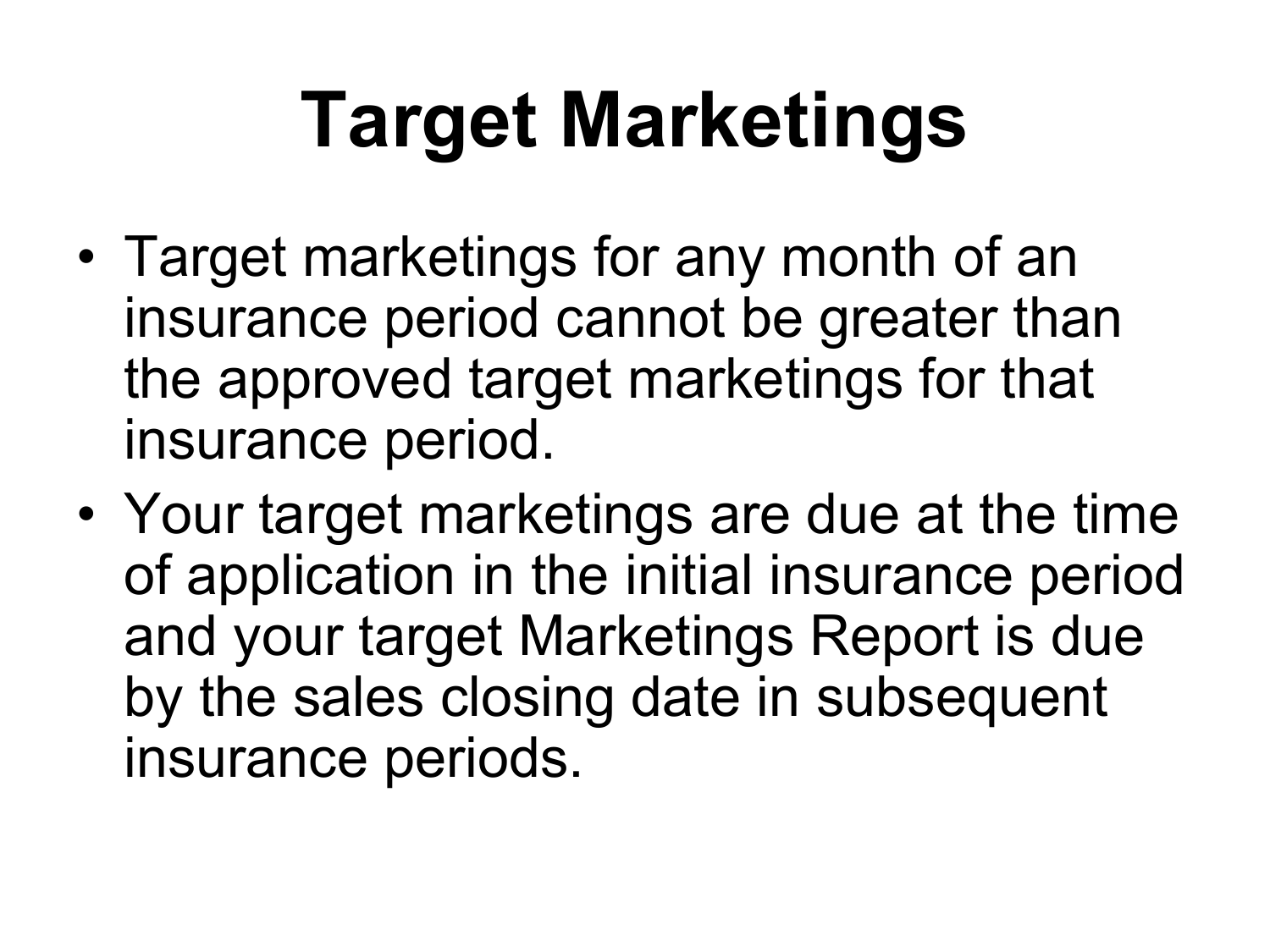# **Target Marketings**

- Target marketings for any month of an insurance period cannot be greater than the approved target marketings for that insurance period.
- Your target marketings are due at the time of application in the initial insurance period and your target Marketings Report is due by the sales closing date in subsequent insurance periods.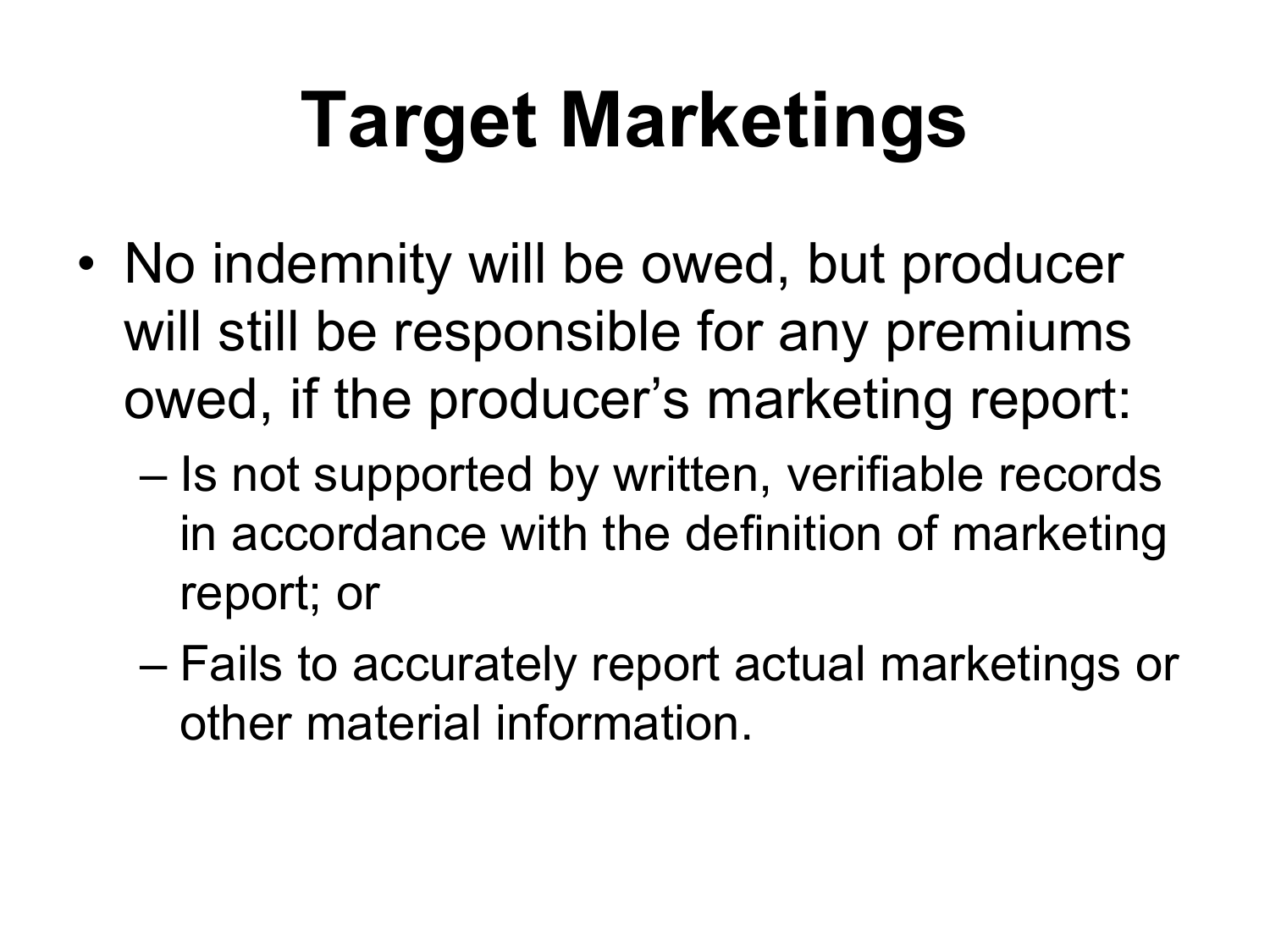# **Target Marketings**

- No indemnity will be owed, but producer will still be responsible for any premiums owed, if the producer's marketing report:
	- Is not supported by written, verifiable records in accordance with the definition of marketing report; or
	- Fails to accurately report actual marketings or other material information.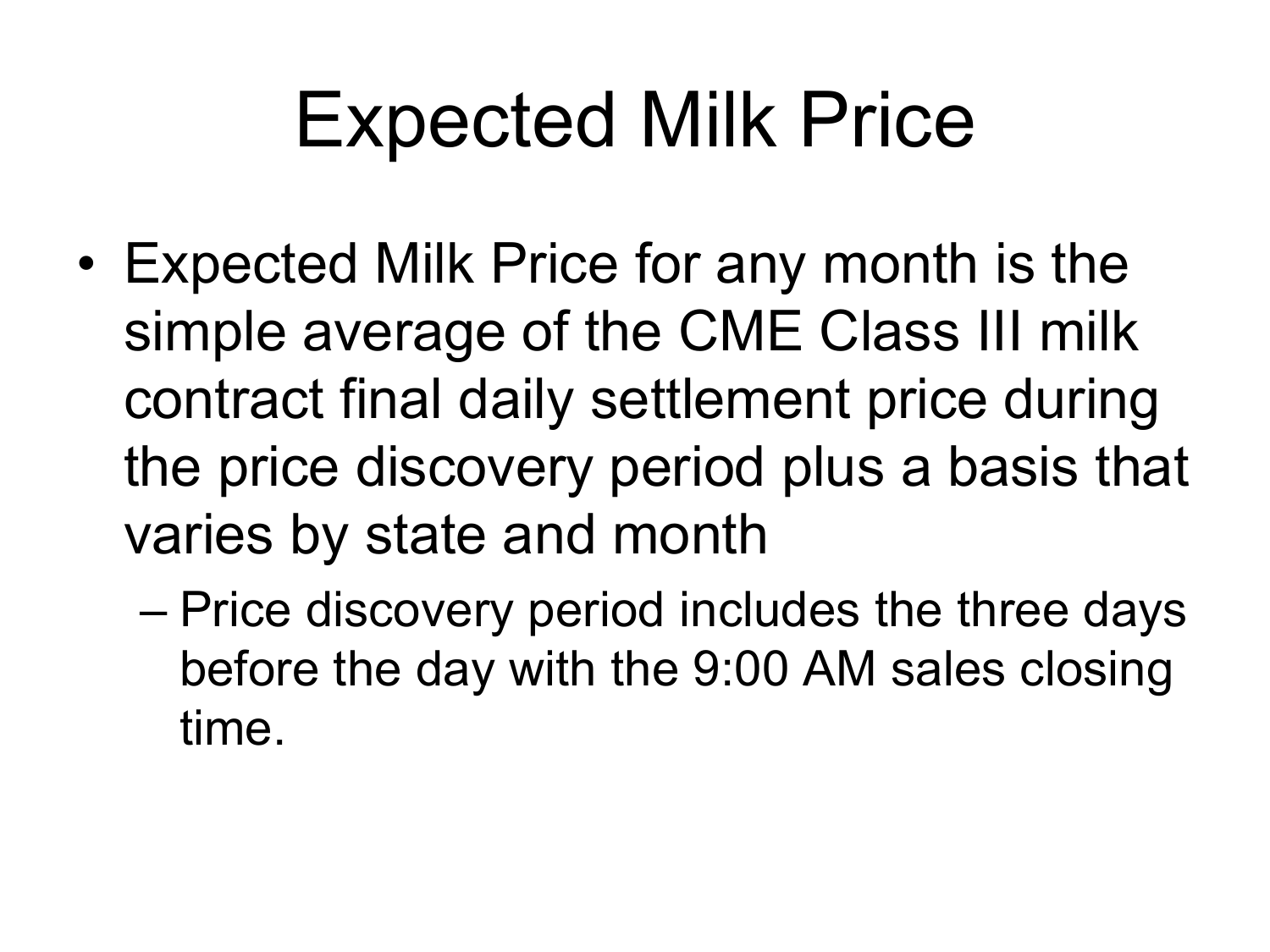## Expected Milk Price

- Expected Milk Price for any month is the simple average of the CME Class III milk contract final daily settlement price during the price discovery period plus a basis that varies by state and month
	- Price discovery period includes the three days before the day with the 9:00 AM sales closing time.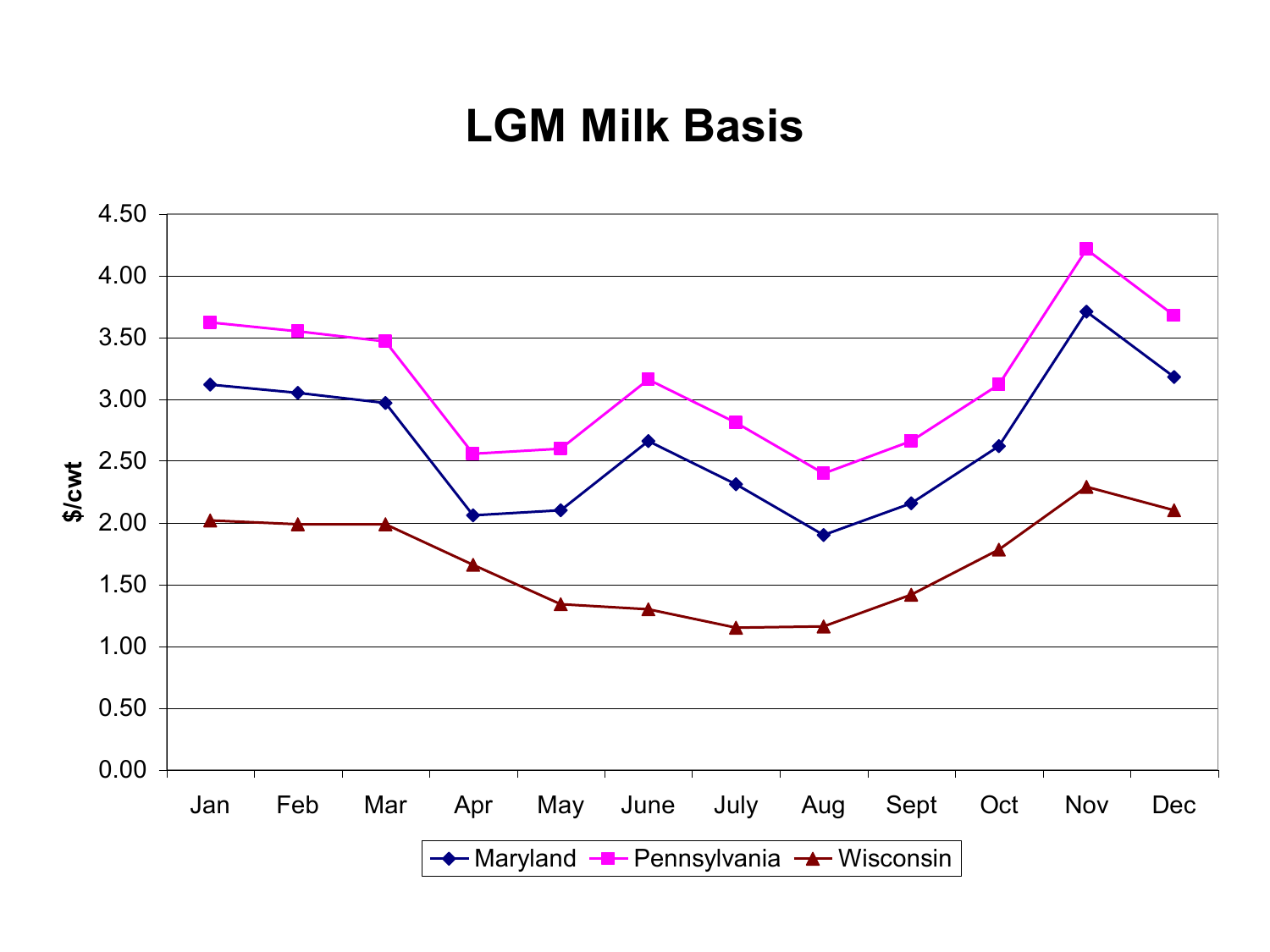#### **LGM Milk Basis**

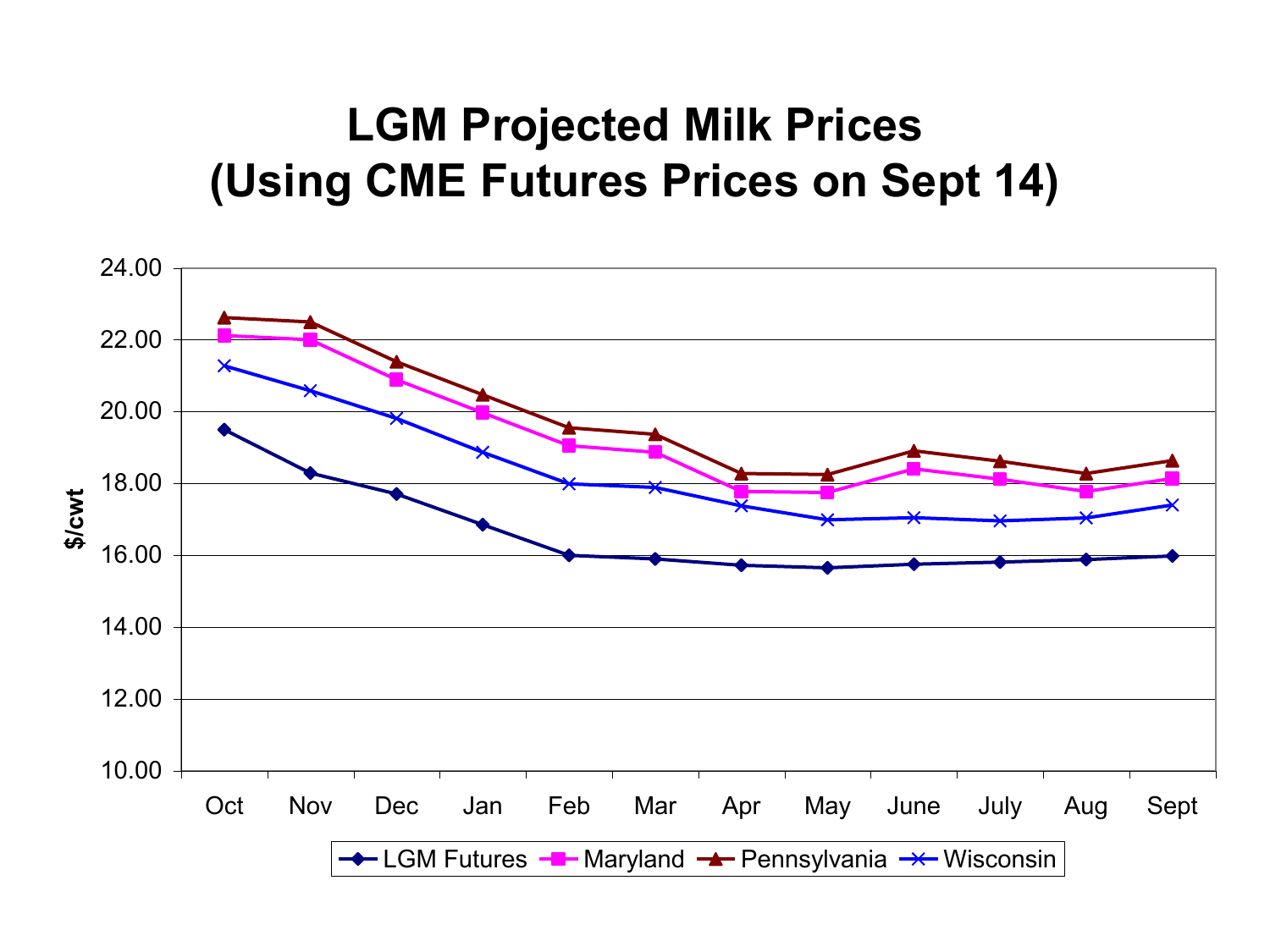#### **LGM Projected Milk Prices (Using CME Futures Prices on Sept 14)**

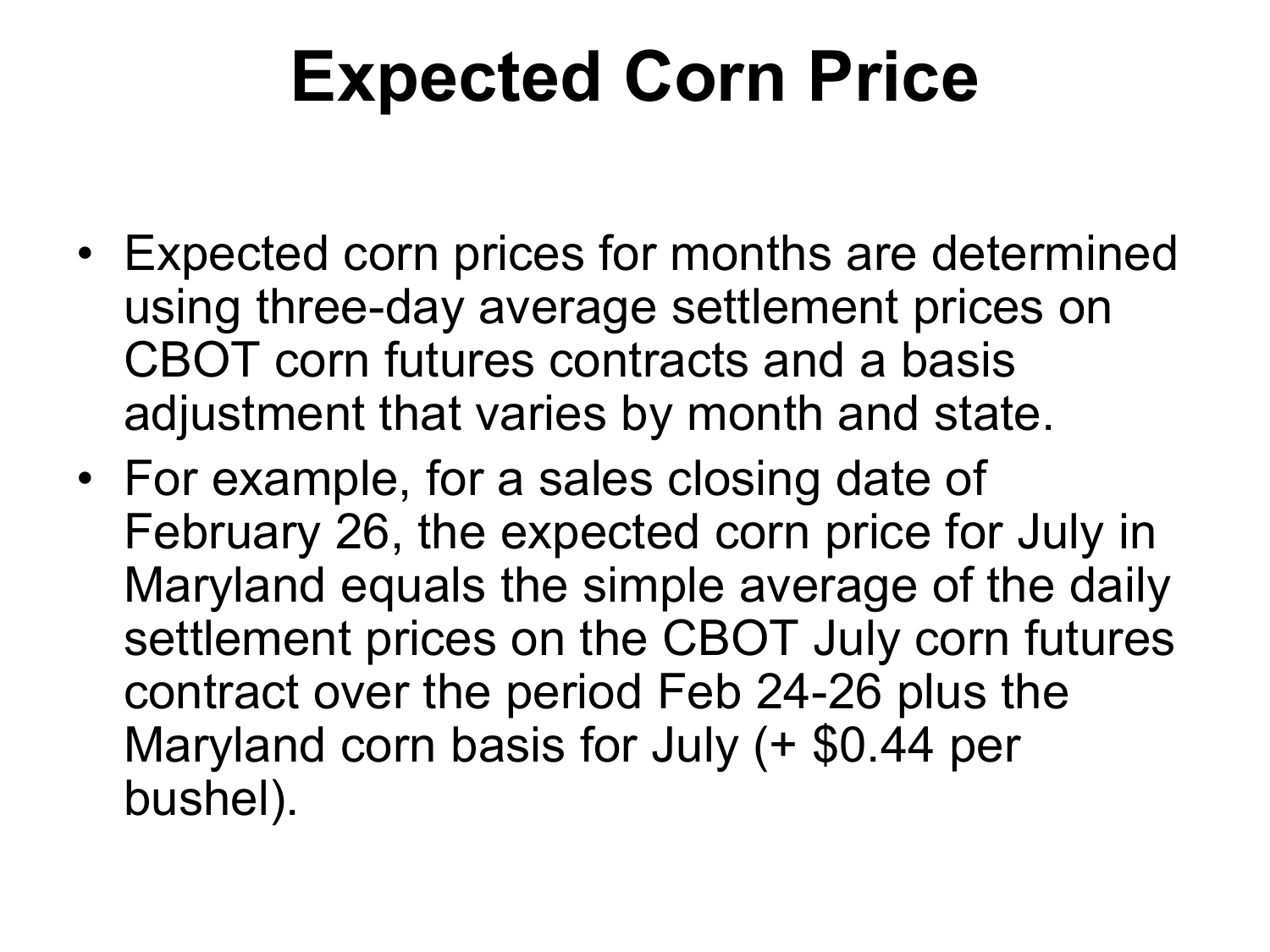### **Expected Corn Price**

- Expected corn prices for months are determined using three-day average settlement prices on CBOT corn futures contracts and a basis adjustment that varies by month and state.
- For example, for a sales closing date of February 26, the expected corn price for July in Maryland equals the simple average of the daily settlement prices on the CBOT July corn futures contract over the period Feb 24-26 plus the Maryland corn basis for July (+ \$0.44 per bushel).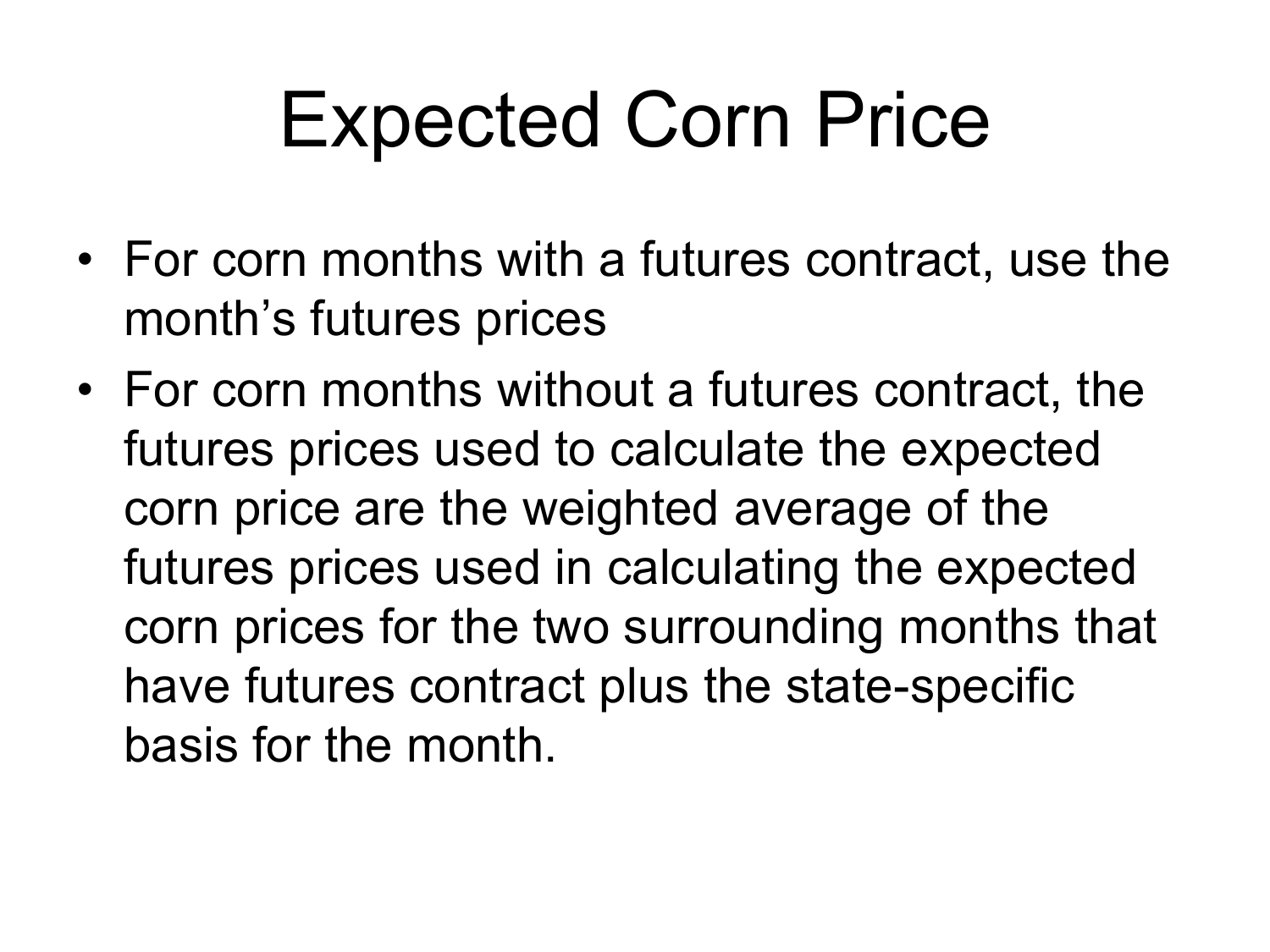## Expected Corn Price

- For corn months with a futures contract, use the month's futures prices
- For corn months without a futures contract, the futures prices used to calculate the expected corn price are the weighted average of the futures prices used in calculating the expected corn prices for the two surrounding months that have futures contract plus the state-specific basis for the month.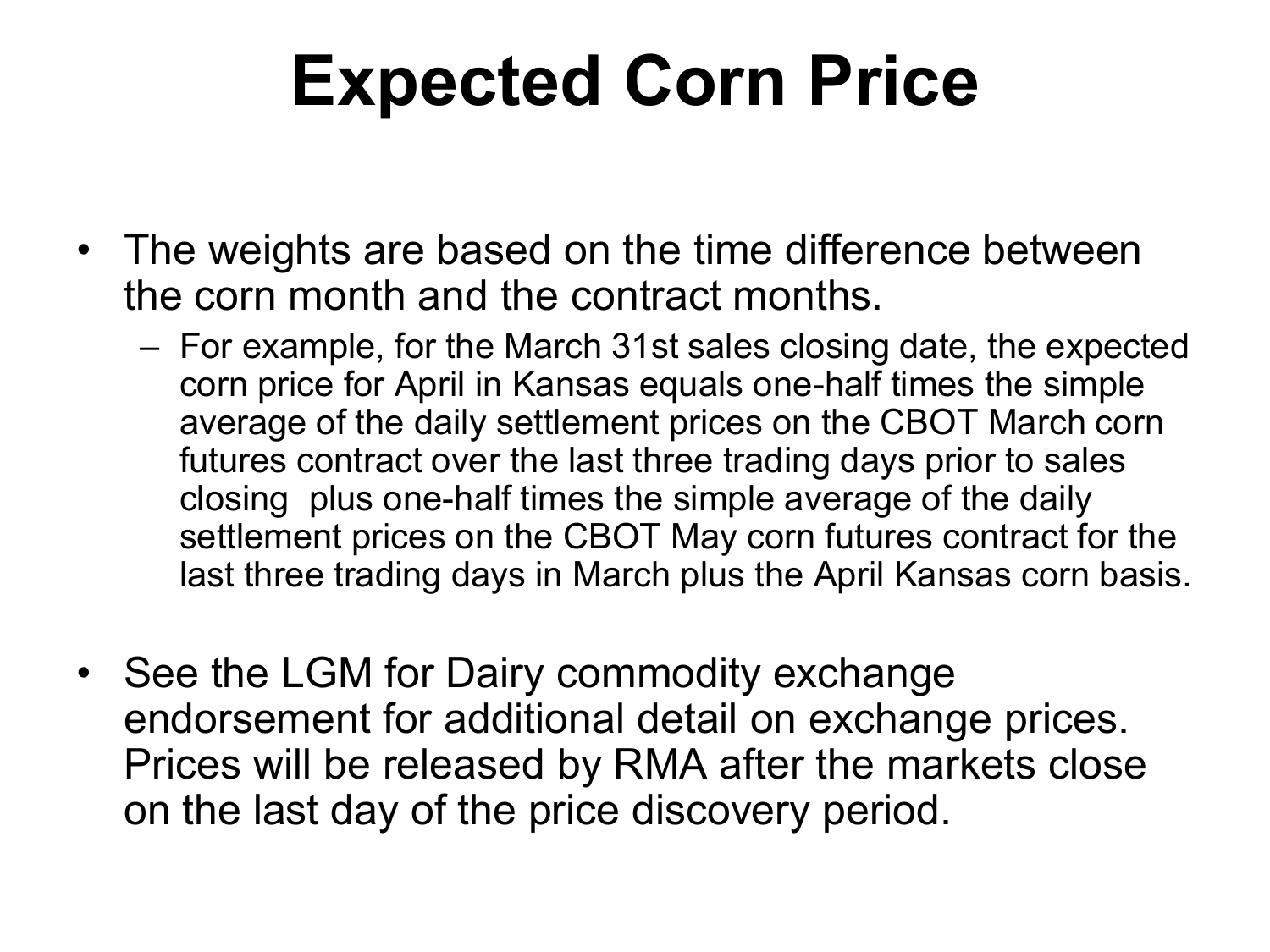## **Expected Corn Price**

- The weights are based on the time difference between the corn month and the contract months.
	- For example, for the March 31st sales closing date, the expected corn price for April in Kansas equals one-half times the simple average of the daily settlement prices on the CBOT March corn futures contract over the last three trading days prior to sales closing plus one-half times the simple average of the daily settlement prices on the CBOT May corn futures contract for the last three trading days in March plus the April Kansas corn basis.
- See the LGM for Dairy commodity exchange endorsement for additional detail on exchange prices. Prices will be released by RMA after the markets close on the last day of the price discovery period.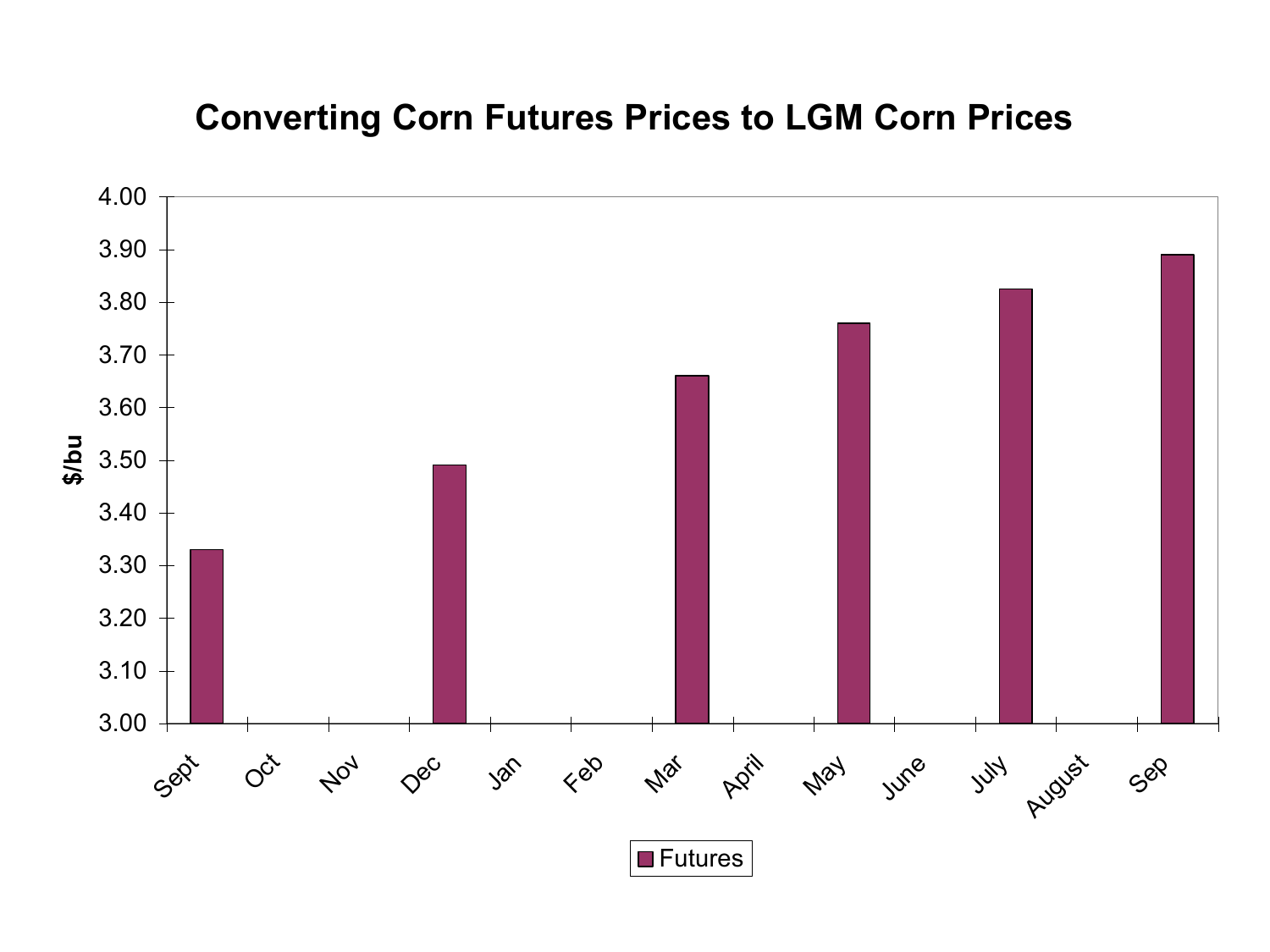#### **Converting Corn Futures Prices to LGM Corn Prices**

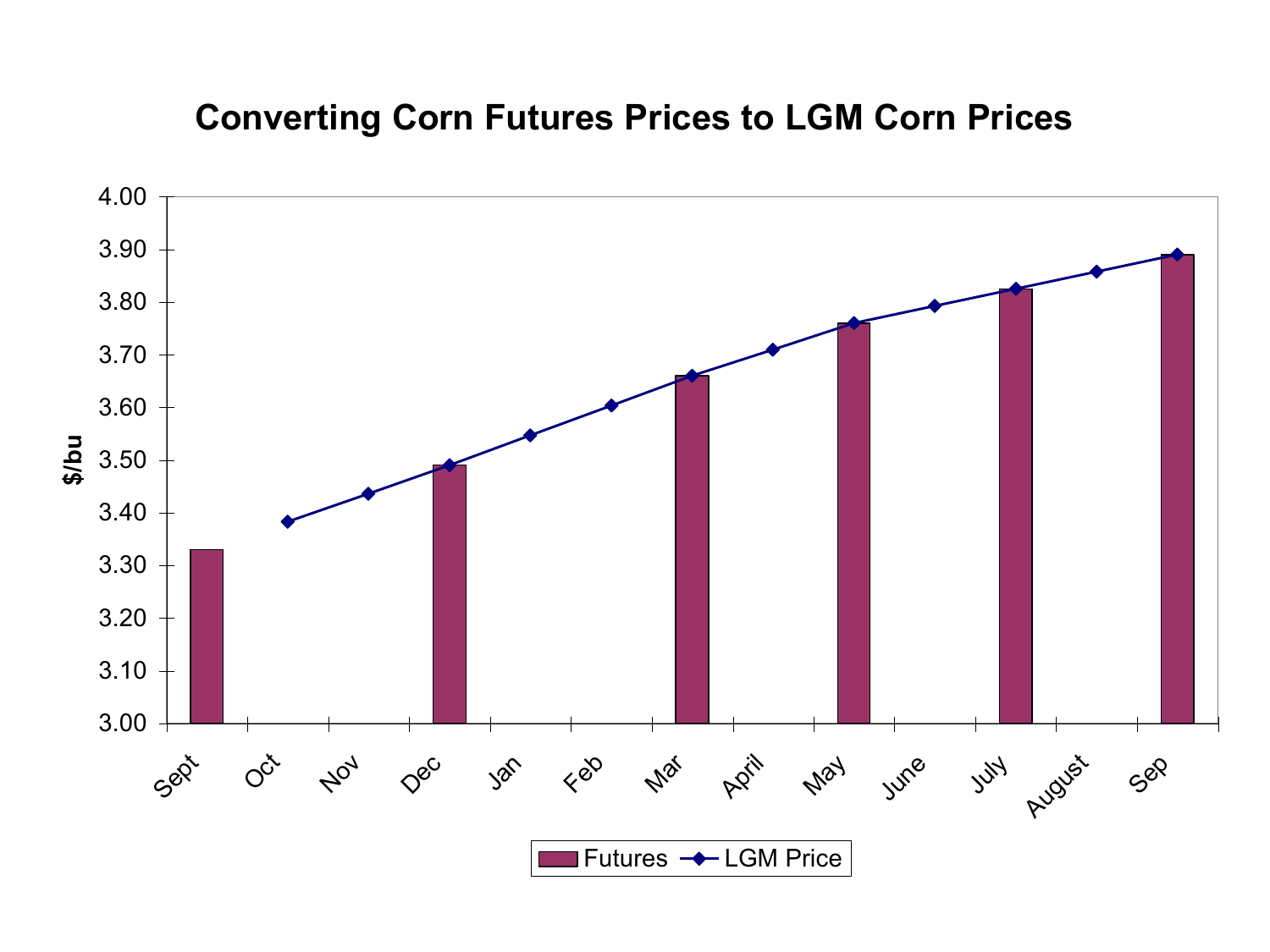#### **Converting Corn Futures Prices to LGM Corn Prices**

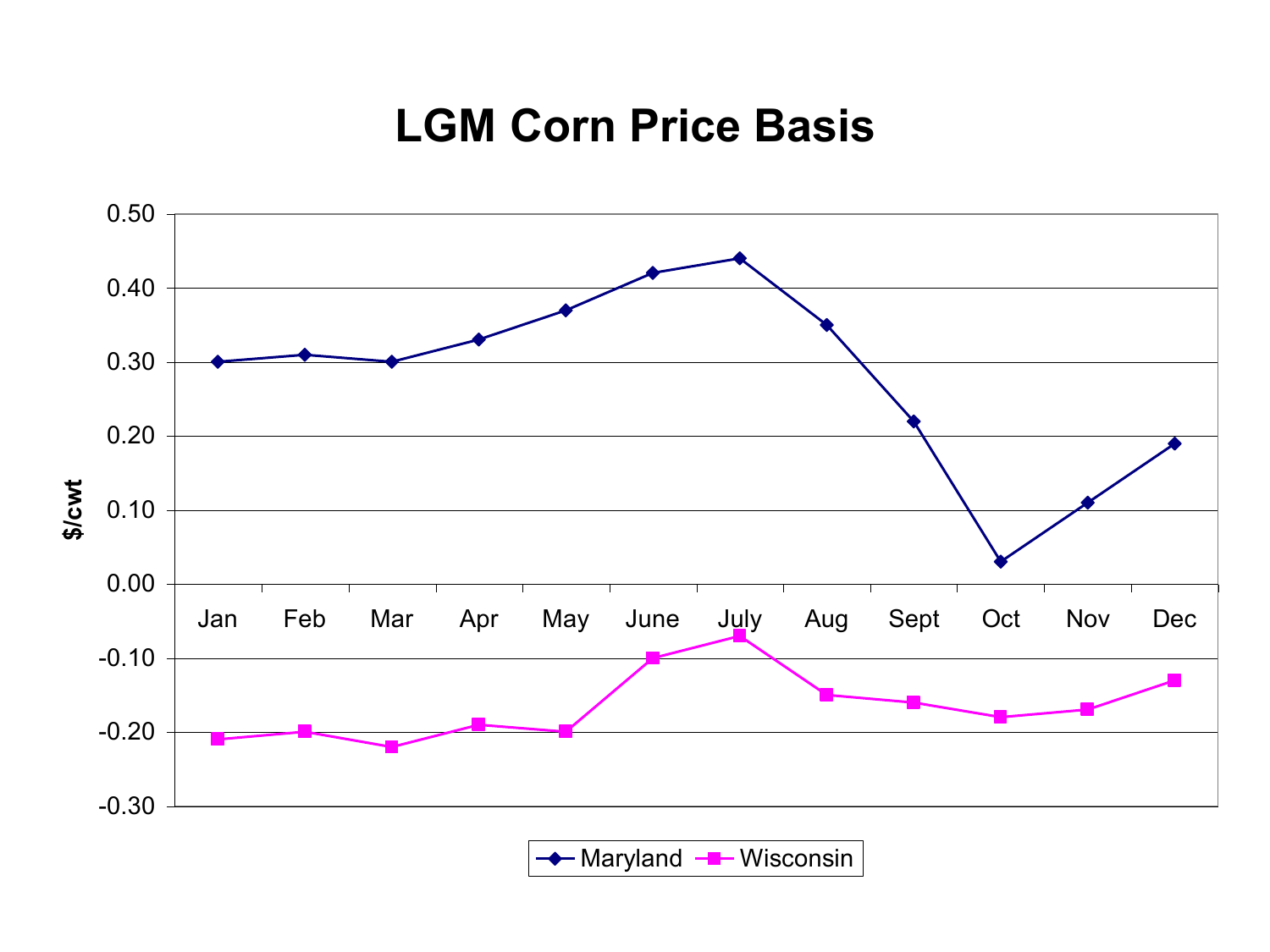#### **LGM Corn Price Basis**

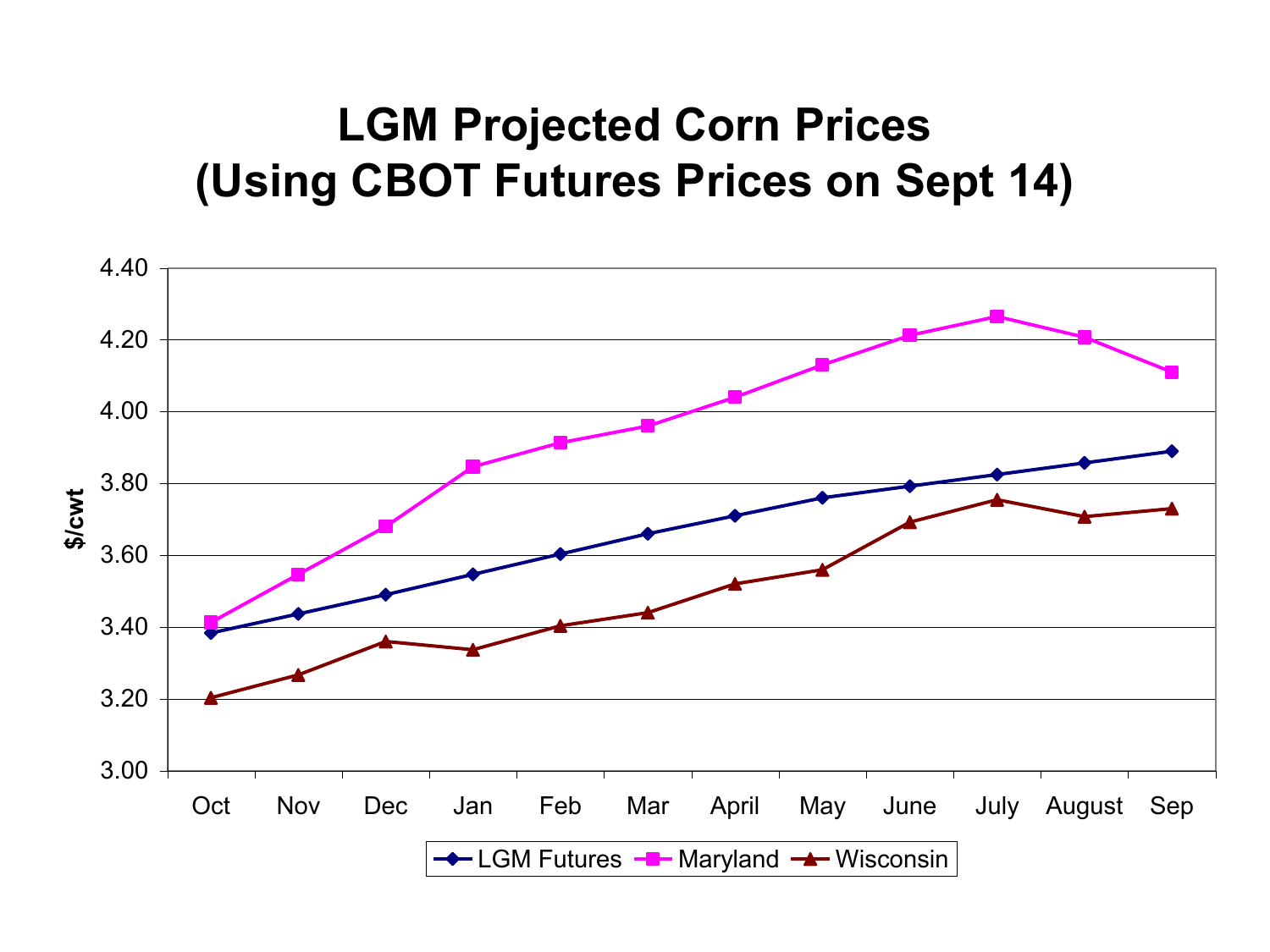#### **LGM Projected Corn Prices (Using CBOT Futures Prices on Sept 14)**

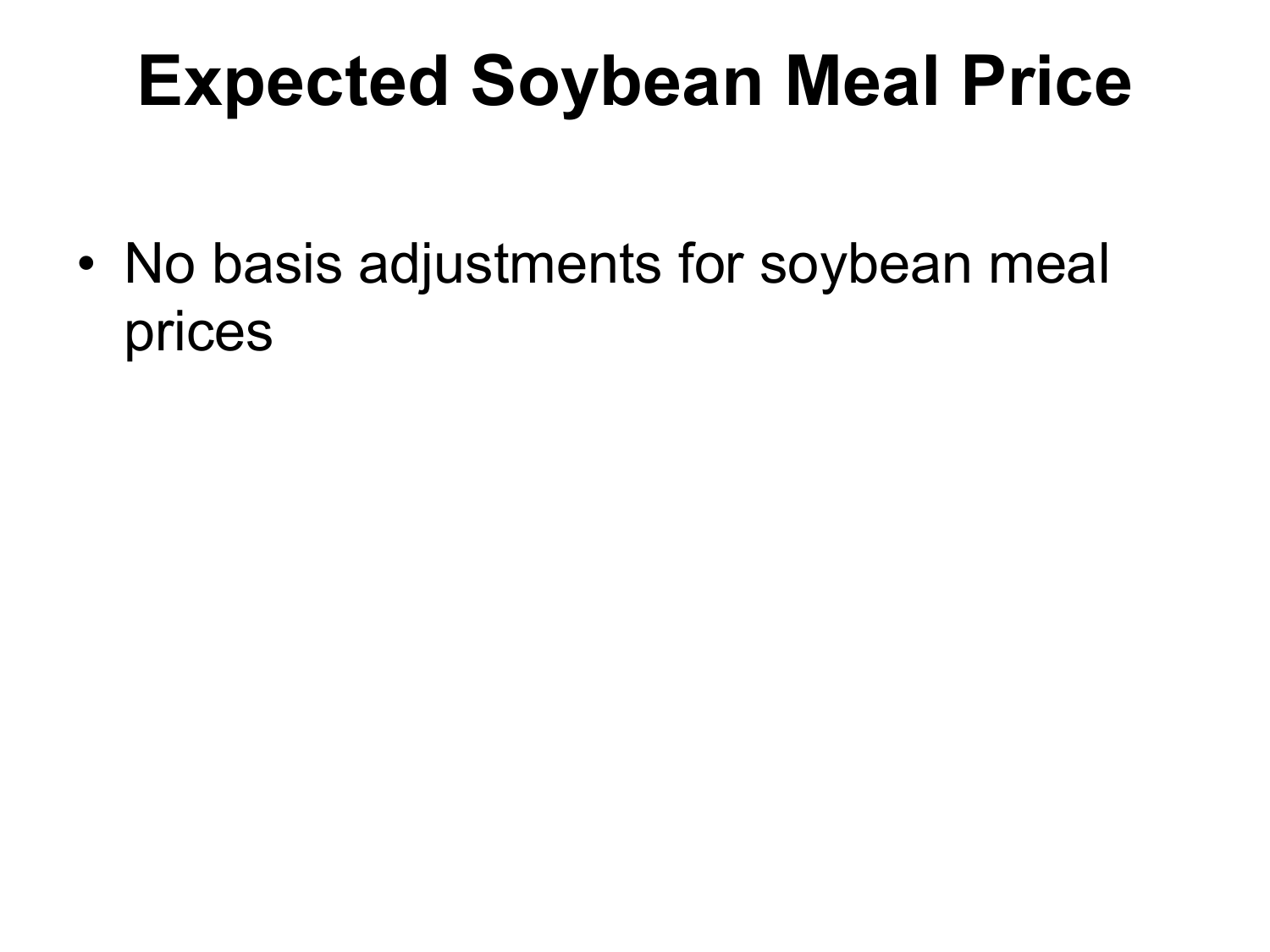### **Expected Soybean Meal Price**

• No basis adjustments for soybean meal prices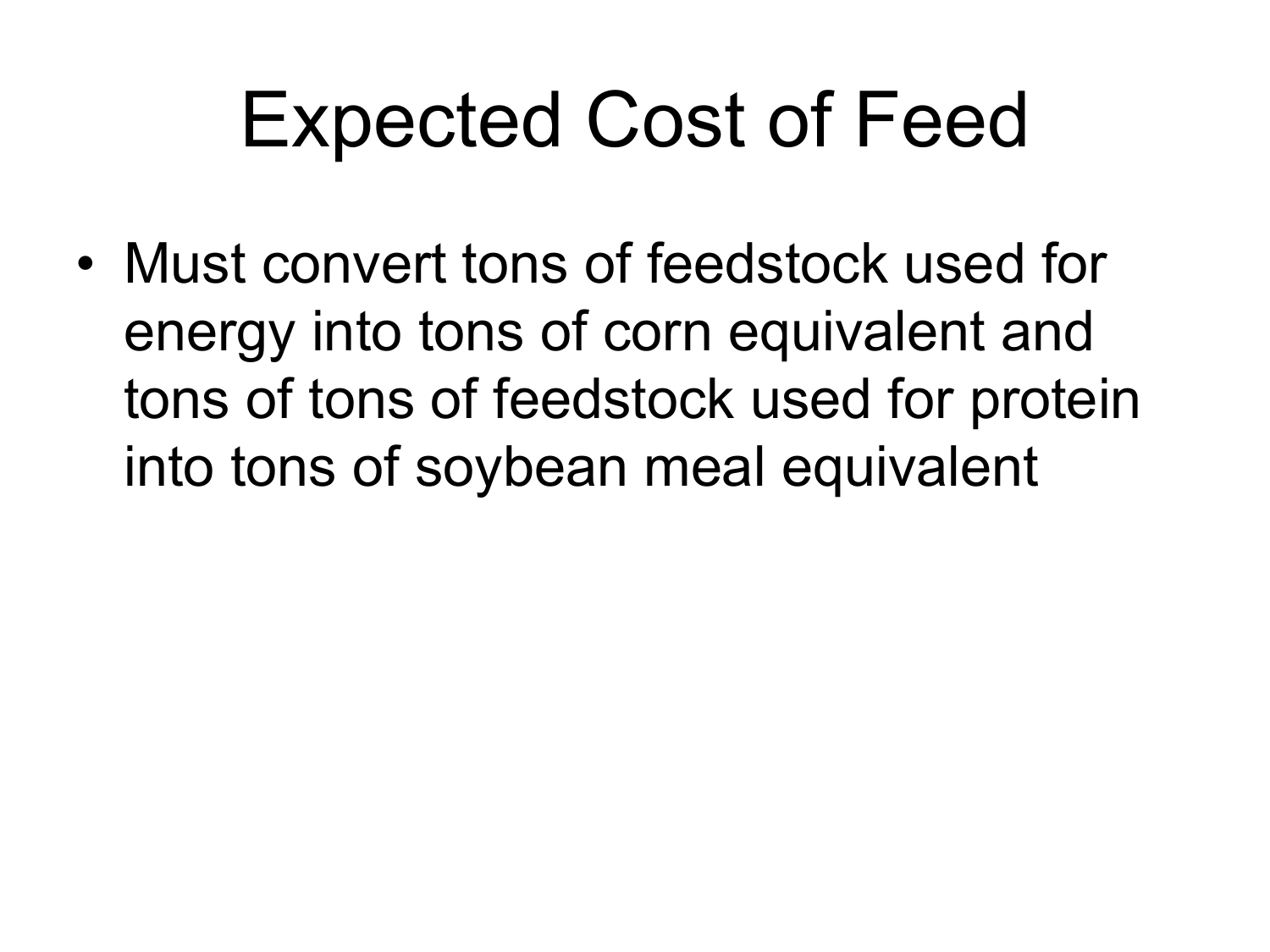## Expected Cost of Feed

• Must convert tons of feedstock used for energy into tons of corn equivalent and tons of tons of feedstock used for protein into tons of soybean meal equivalent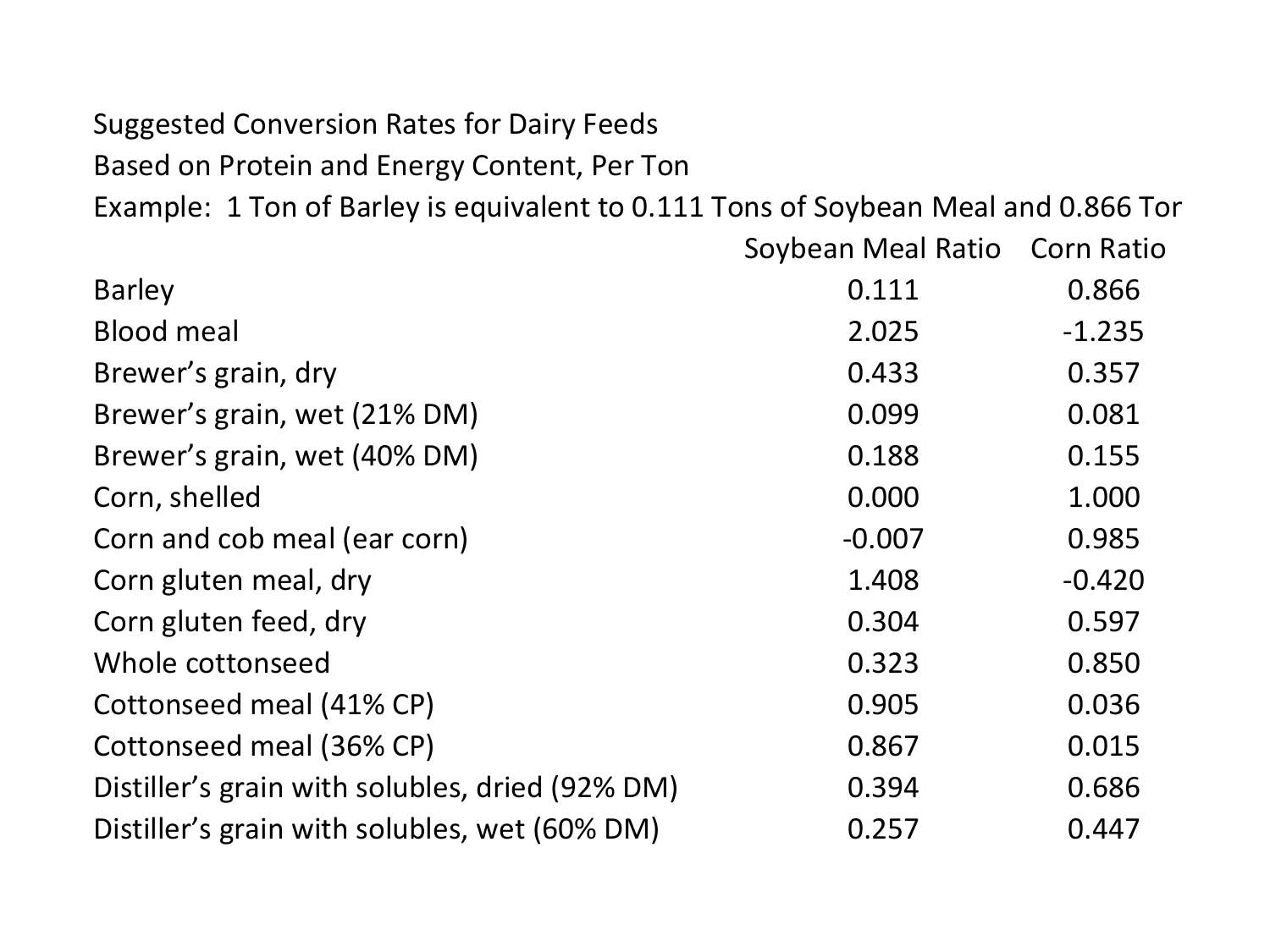#### Suggested Conversion Rates for Dairy Feeds

Based on Protein and Energy Content, Per Ton

Example: 1 Ton of Barley is equivalent to 0.111 Tons of Soybean Meal and 0.866 Tor

|                                                 | Soybean Meal Ratio Corn Ratio |          |
|-------------------------------------------------|-------------------------------|----------|
| <b>Barley</b>                                   | 0.111                         | 0.866    |
| <b>Blood meal</b>                               | 2.025                         | $-1.235$ |
| Brewer's grain, dry                             | 0.433                         | 0.357    |
| Brewer's grain, wet (21% DM)                    | 0.099                         | 0.081    |
| Brewer's grain, wet (40% DM)                    | 0.188                         | 0.155    |
| Corn, shelled                                   | 0.000                         | 1.000    |
| Corn and cob meal (ear corn)                    | $-0.007$                      | 0.985    |
| Corn gluten meal, dry                           | 1.408                         | $-0.420$ |
| Corn gluten feed, dry                           | 0.304                         | 0.597    |
| Whole cottonseed                                | 0.323                         | 0.850    |
| Cottonseed meal (41% CP)                        | 0.905                         | 0.036    |
| Cottonseed meal (36% CP)                        | 0.867                         | 0.015    |
| Distiller's grain with solubles, dried (92% DM) | 0.394                         | 0.686    |
| Distiller's grain with solubles, wet (60% DM)   | 0.257                         | 0.447    |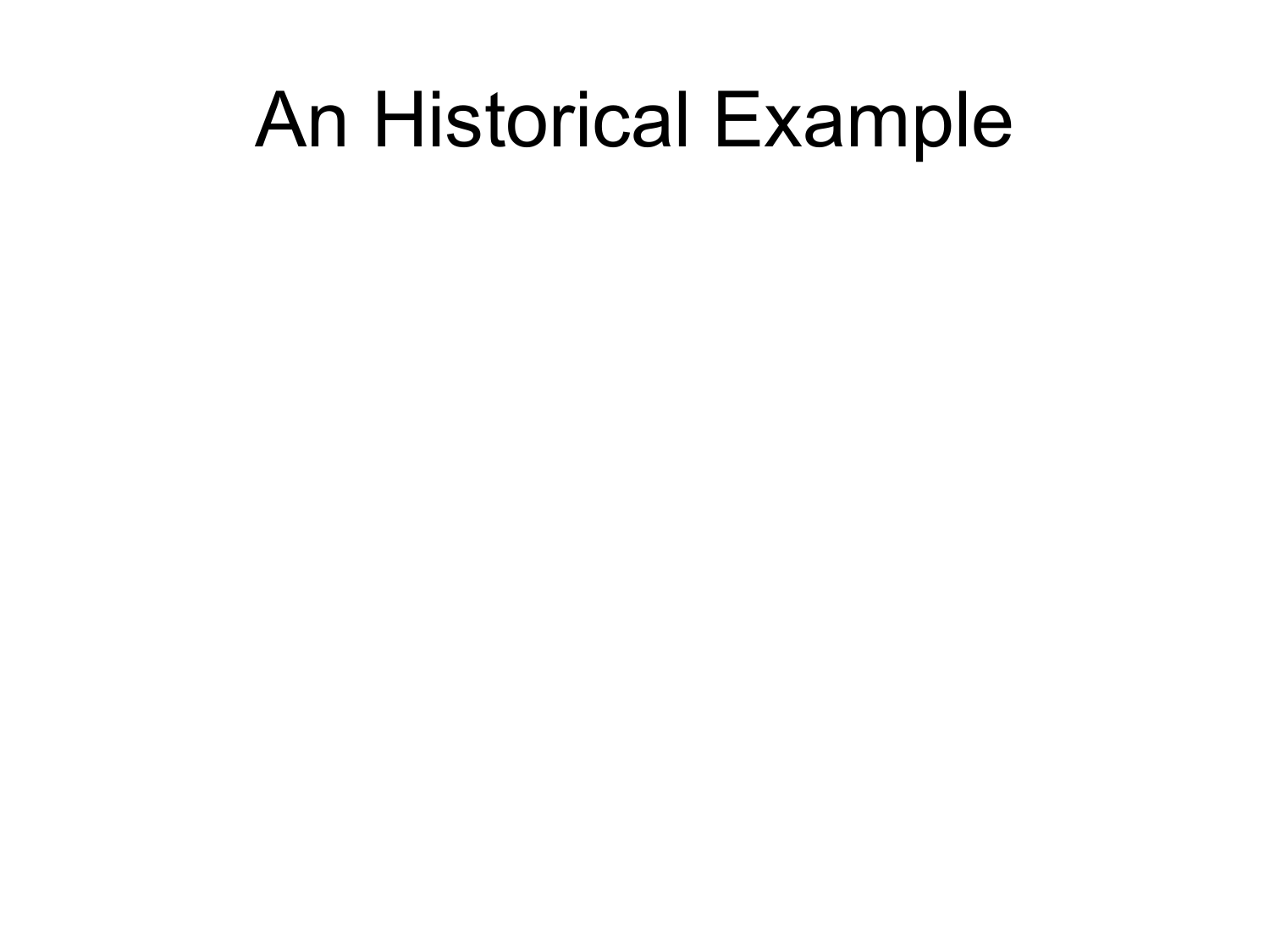## An Historical Example

- 
- 
- 
- 
- 
- 
-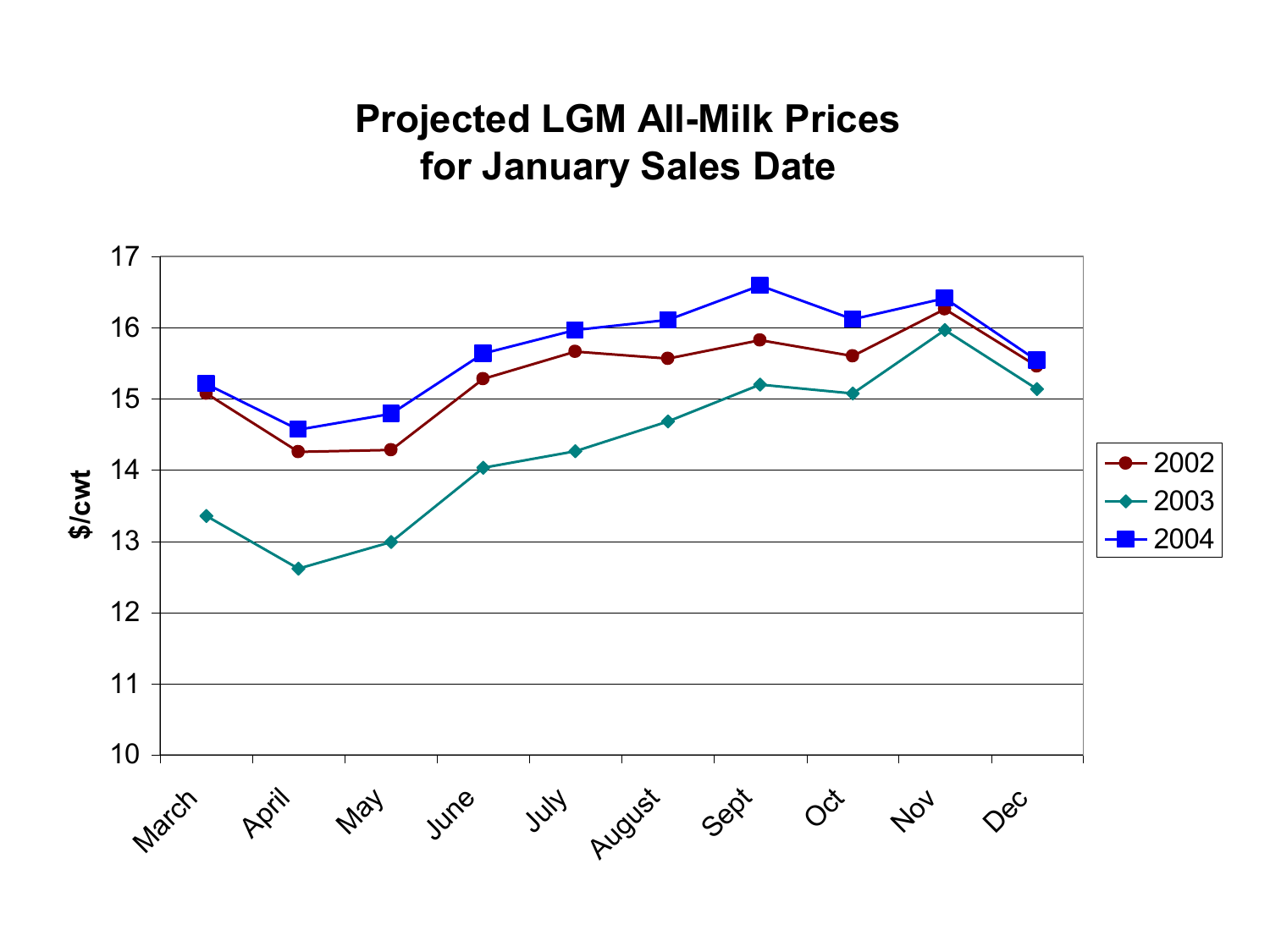#### **Projected LGM All-Milk Prices for January Sales Date**

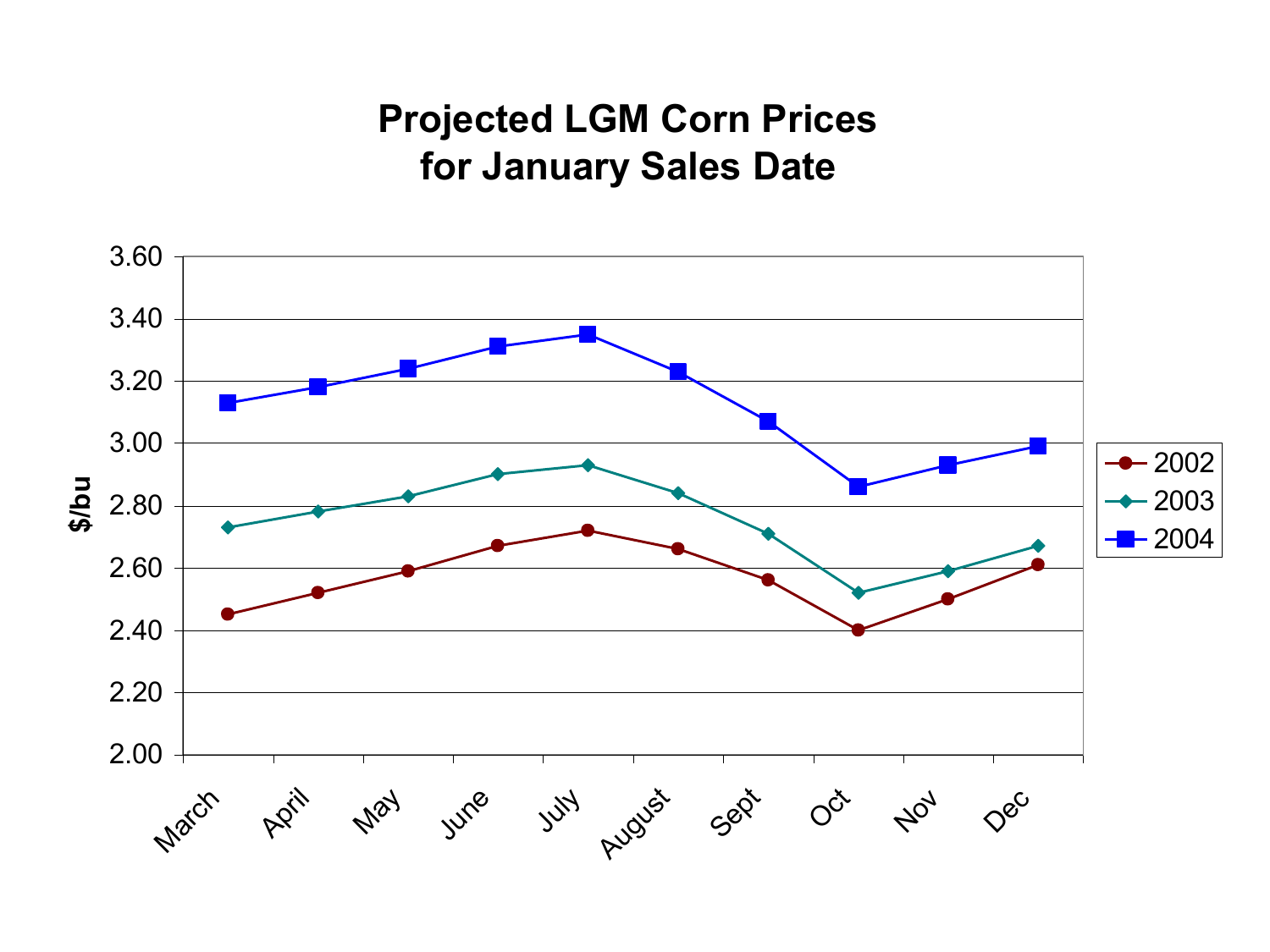#### **Projected LGM Corn Prices for January Sales Date**

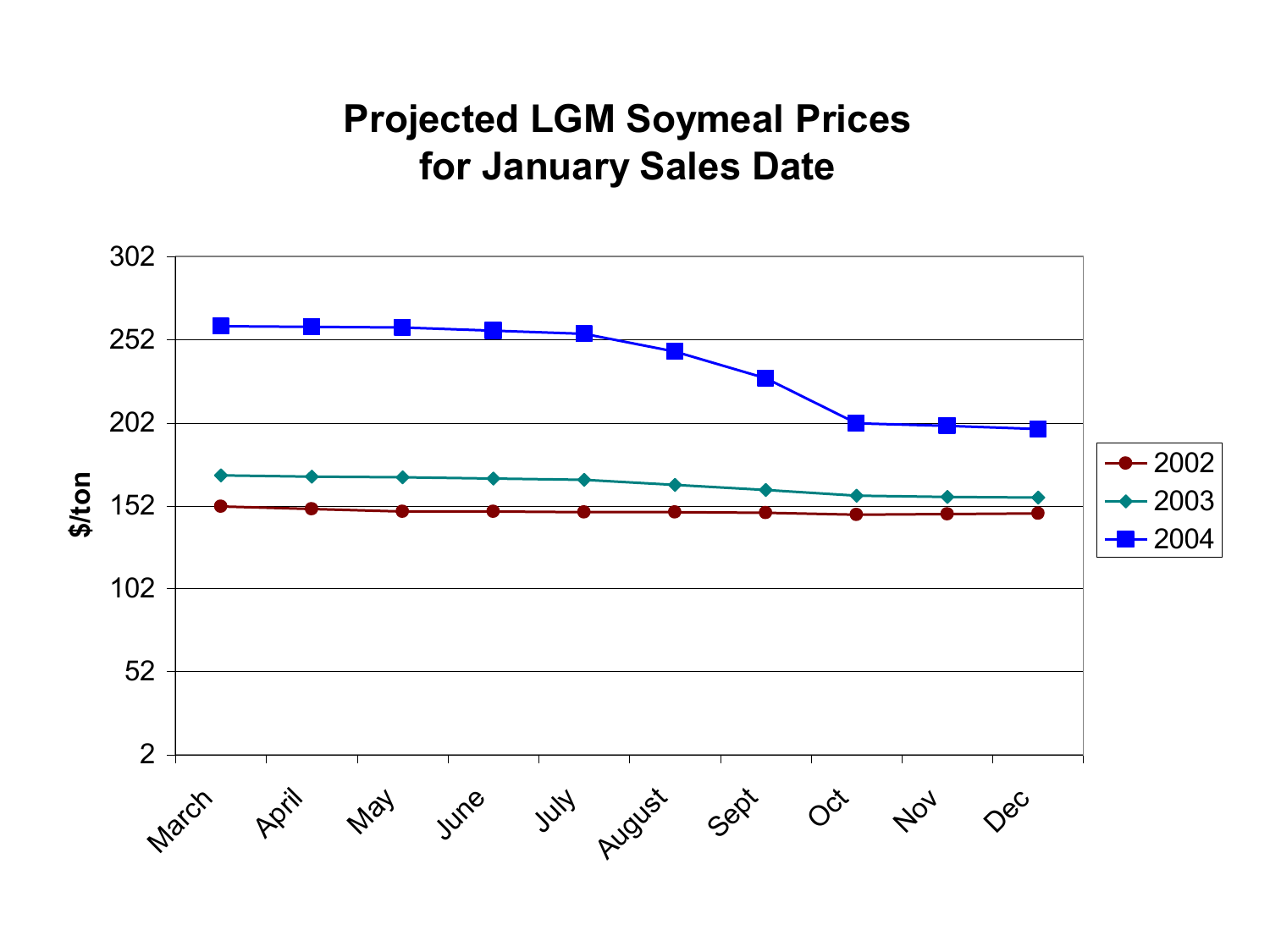#### **Projected LGM Soymeal Prices for January Sales Date**

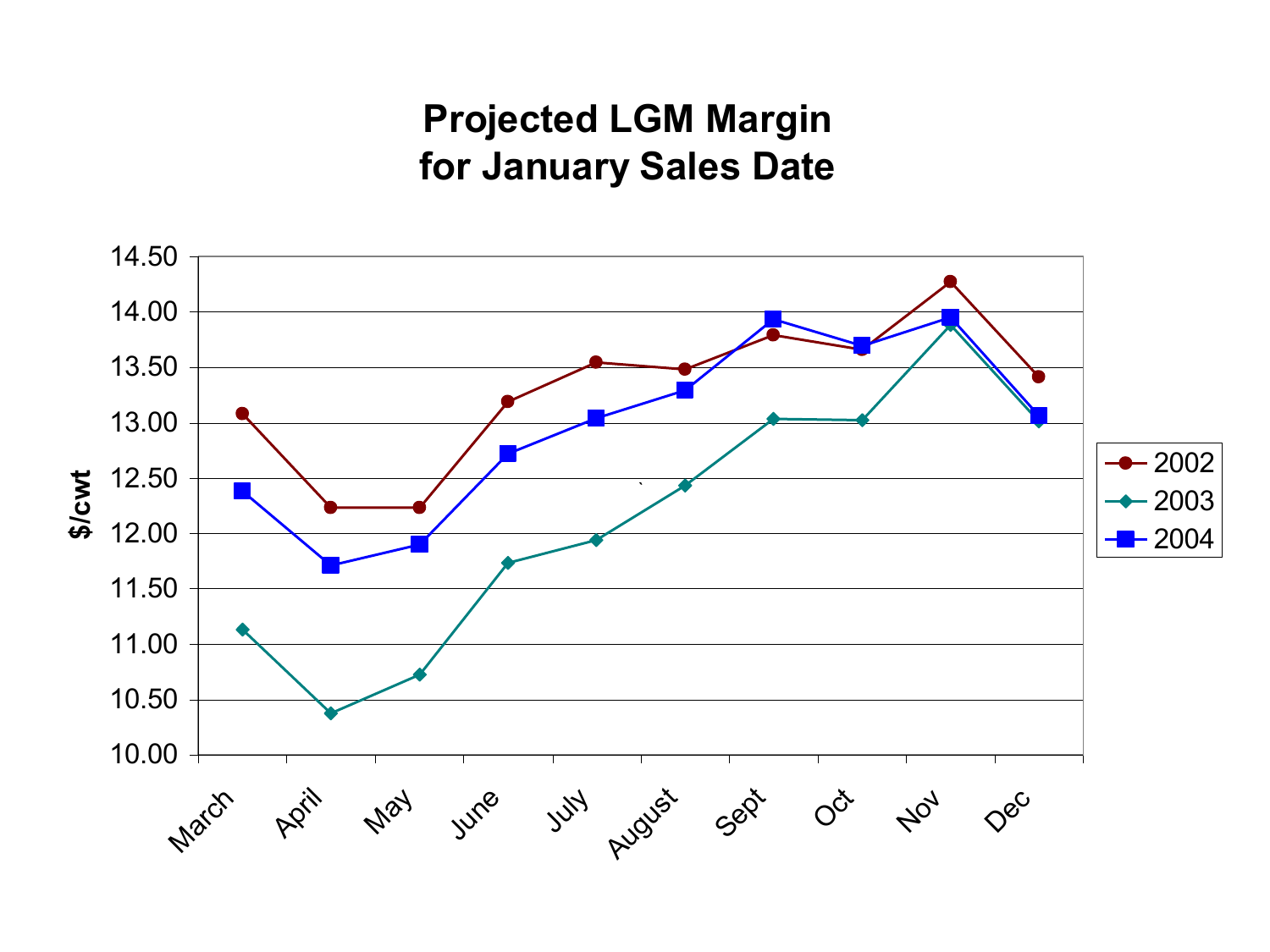#### **Projected LGM Margin for January Sales Date**

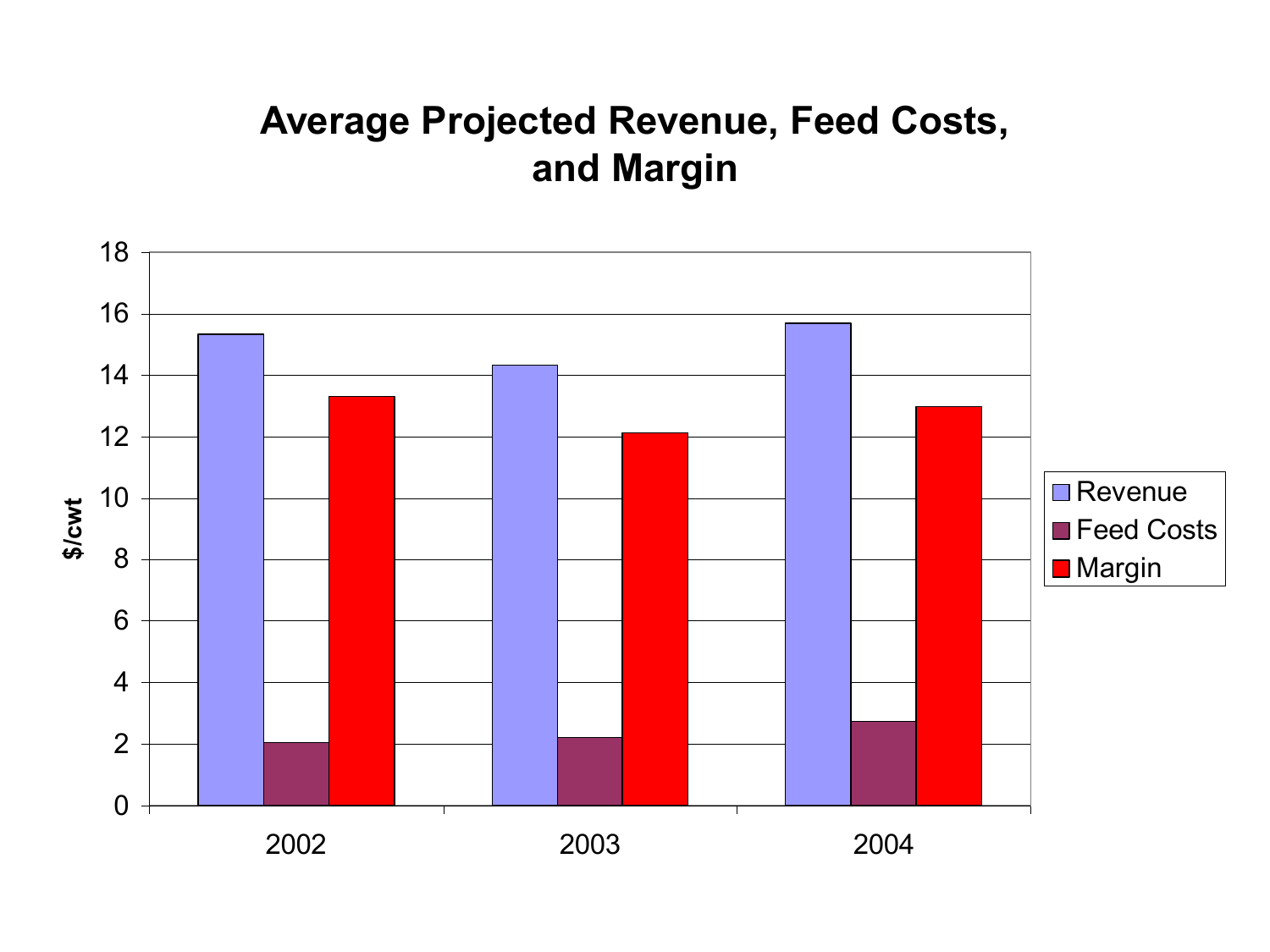#### **Average Projected Revenue, Feed Costs, and Margin**

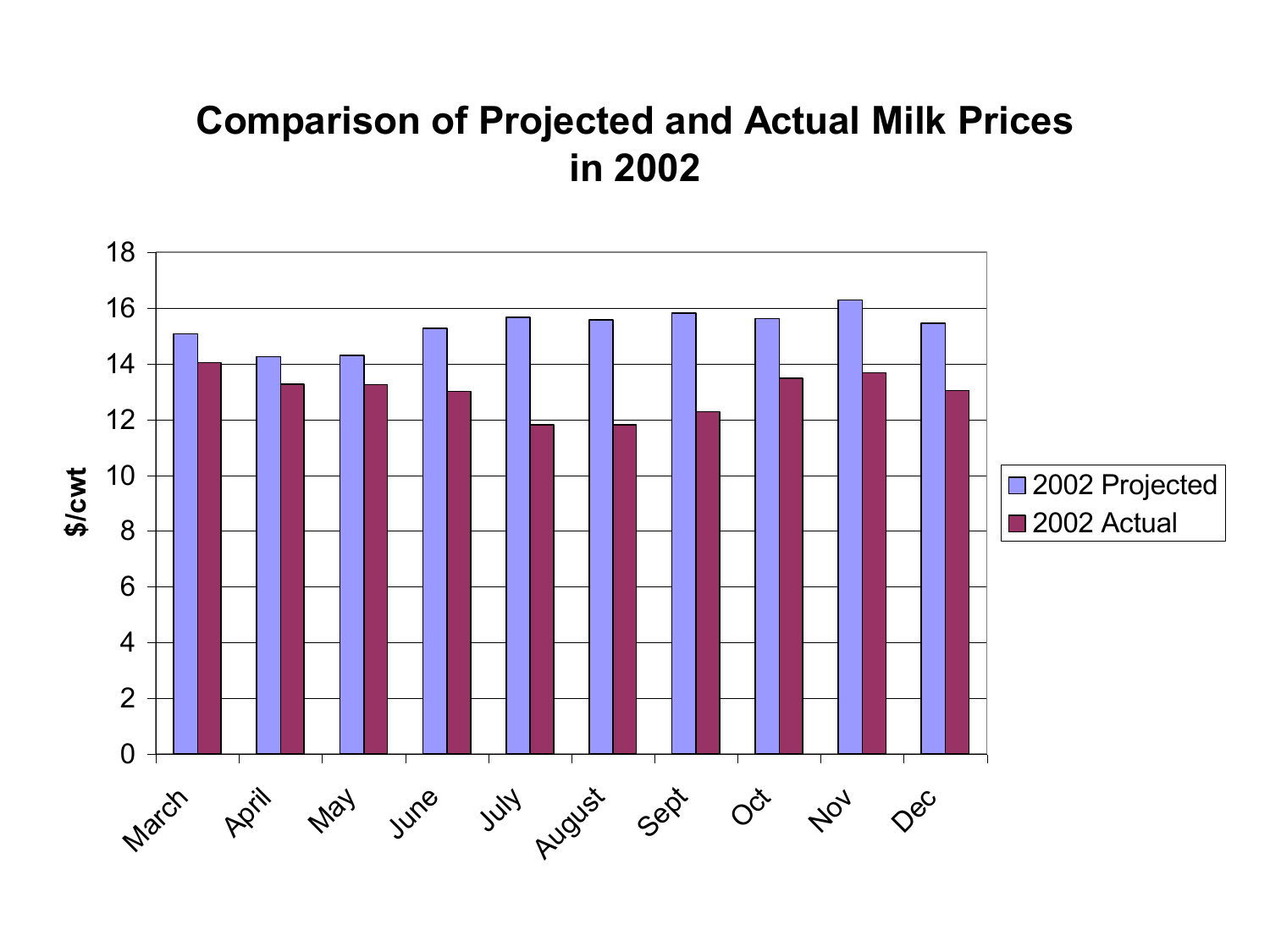#### **Comparison of Projected and Actual Milk Prices in 2002**

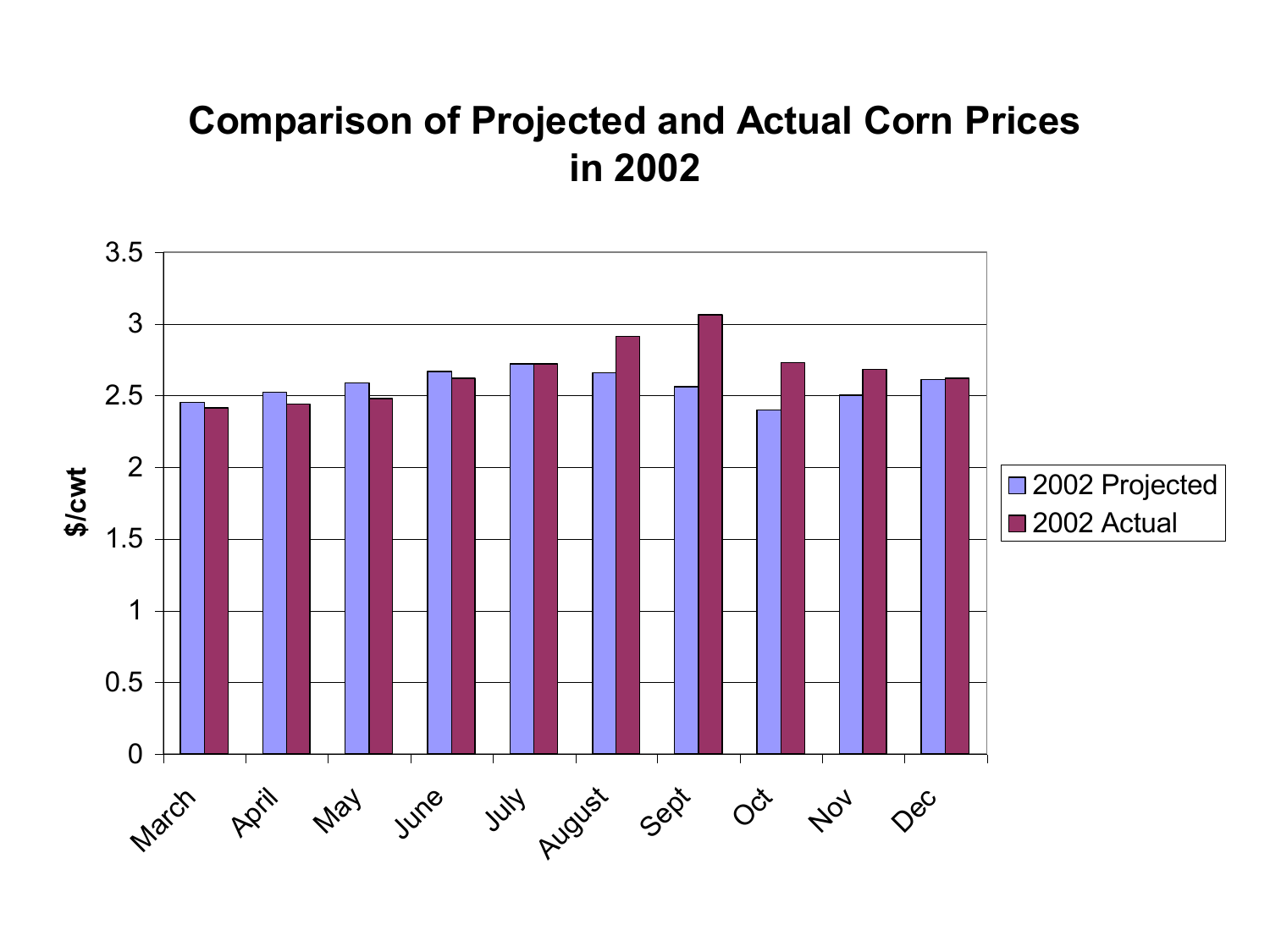#### **Comparison of Projected and Actual Corn Prices in 2002**

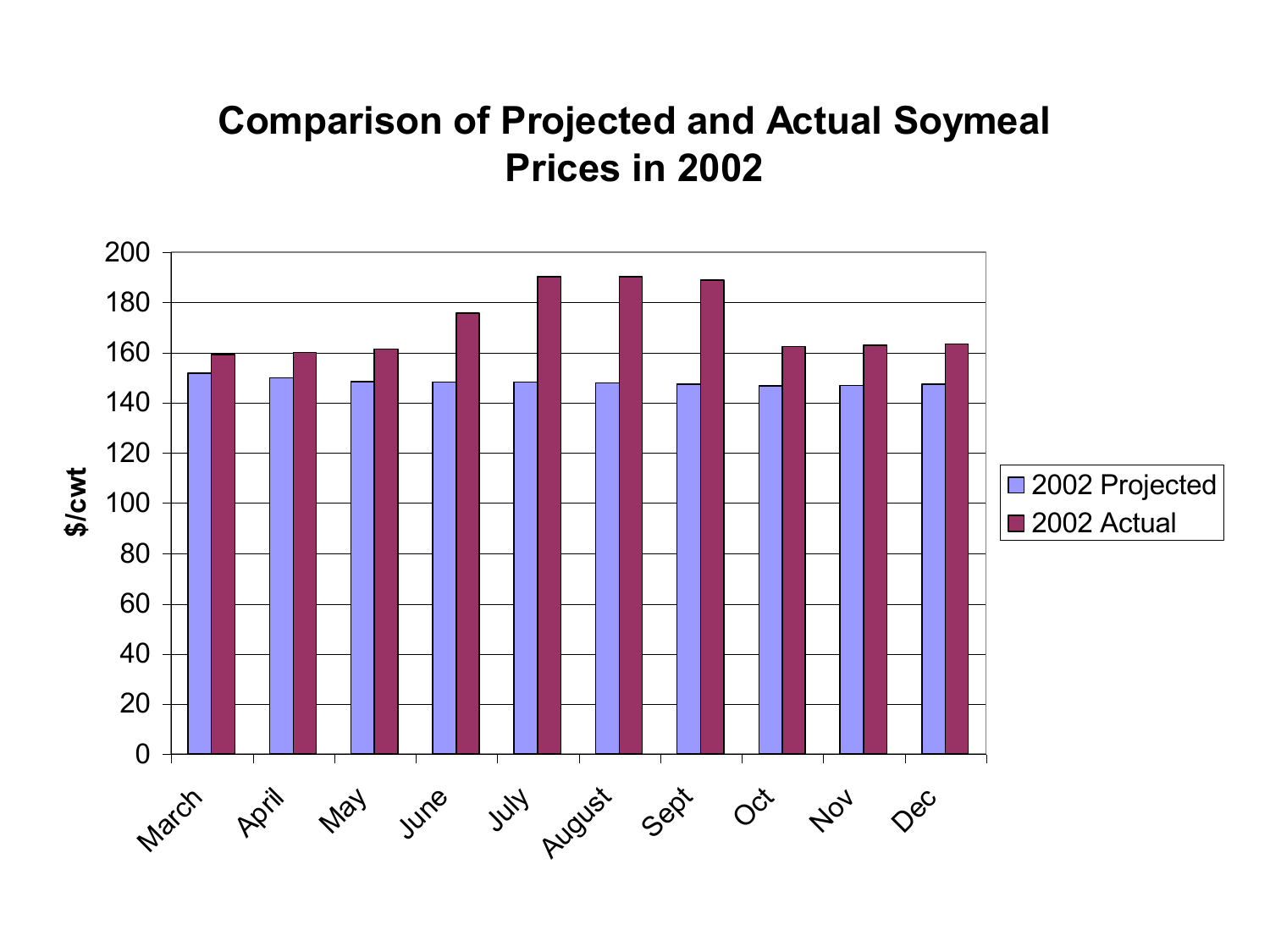#### **Comparison of Projected and Actual Soymeal Prices in 2002**

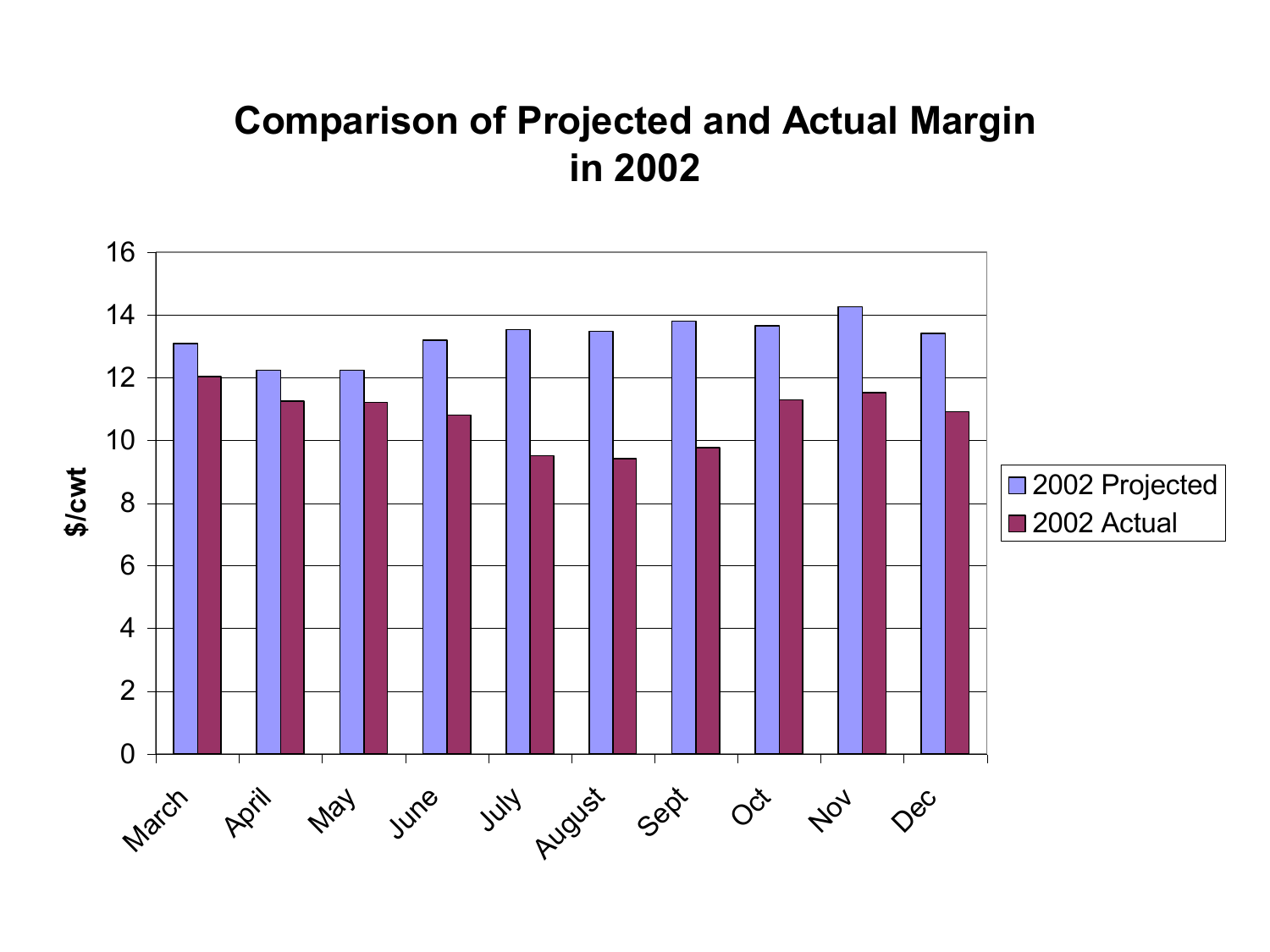#### **Comparison of Projected and Actual Margin in 2002**

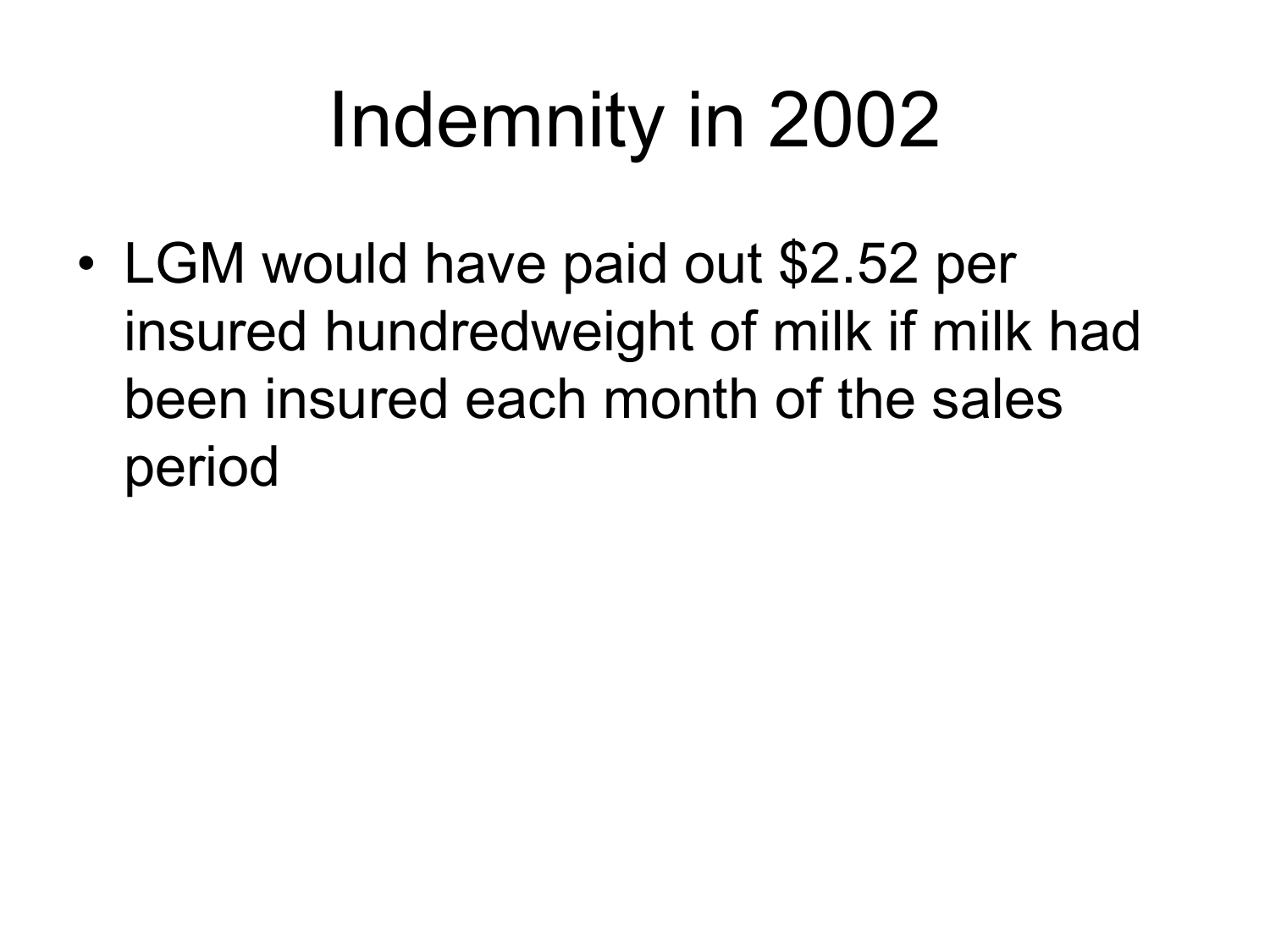# Indemnity in 2002

• LGM would have paid out \$2.52 per insured hundredweight of milk if milk had been insured each month of the sales period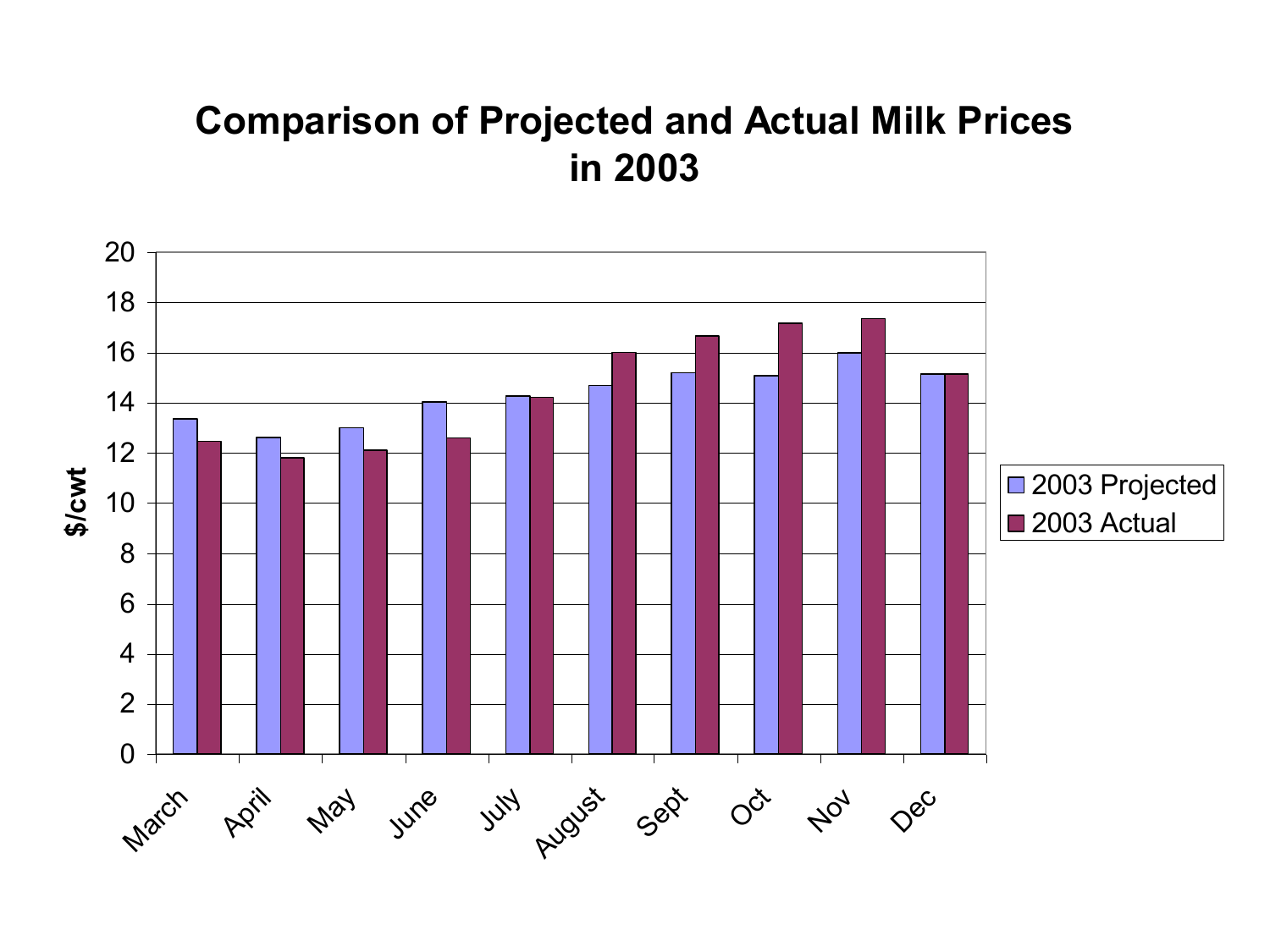#### **Comparison of Projected and Actual Milk Prices in 2003**

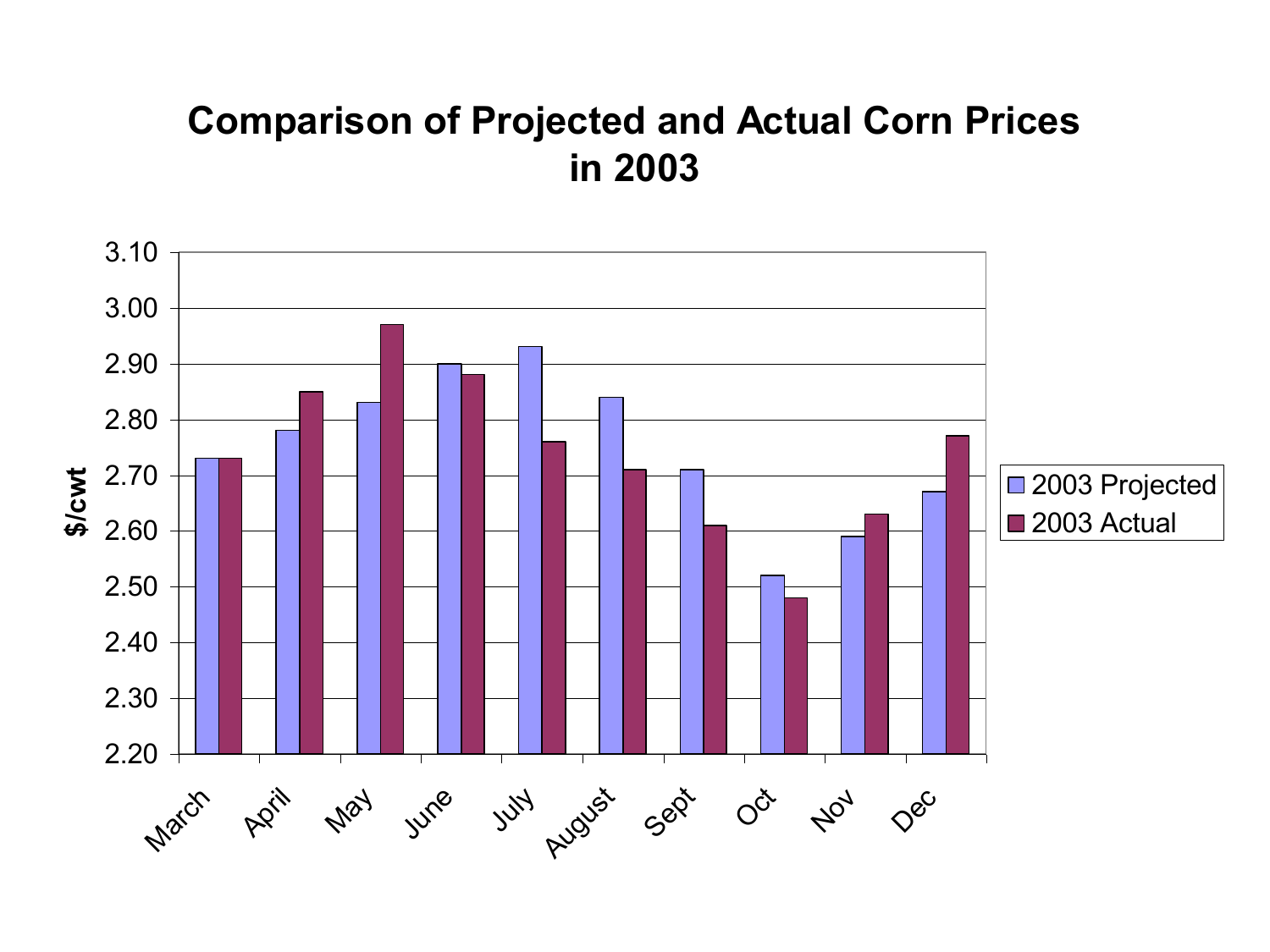#### **Comparison of Projected and Actual Corn Prices in 2003**

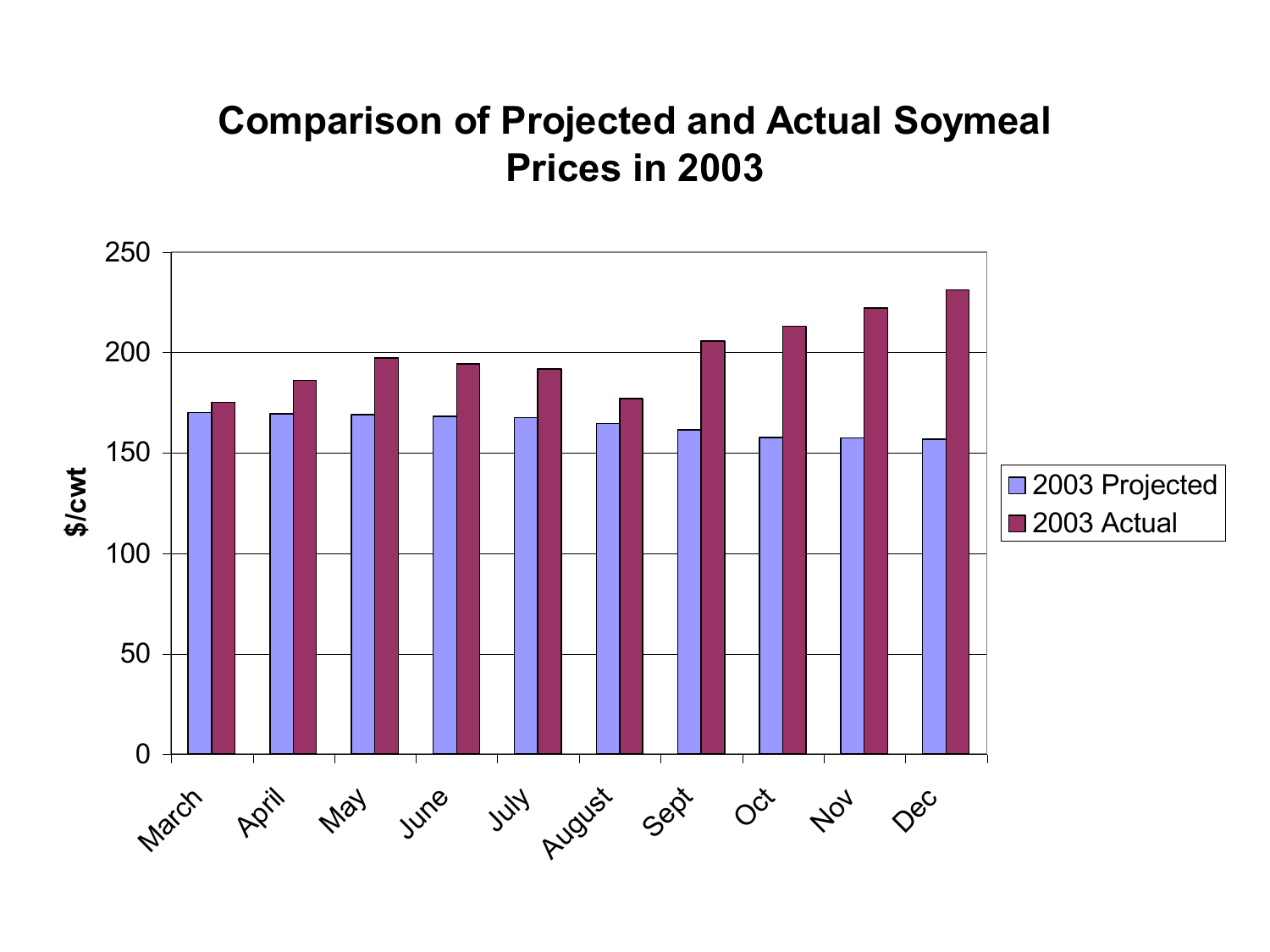#### **Comparison of Projected and Actual Soymeal Prices in 2003**

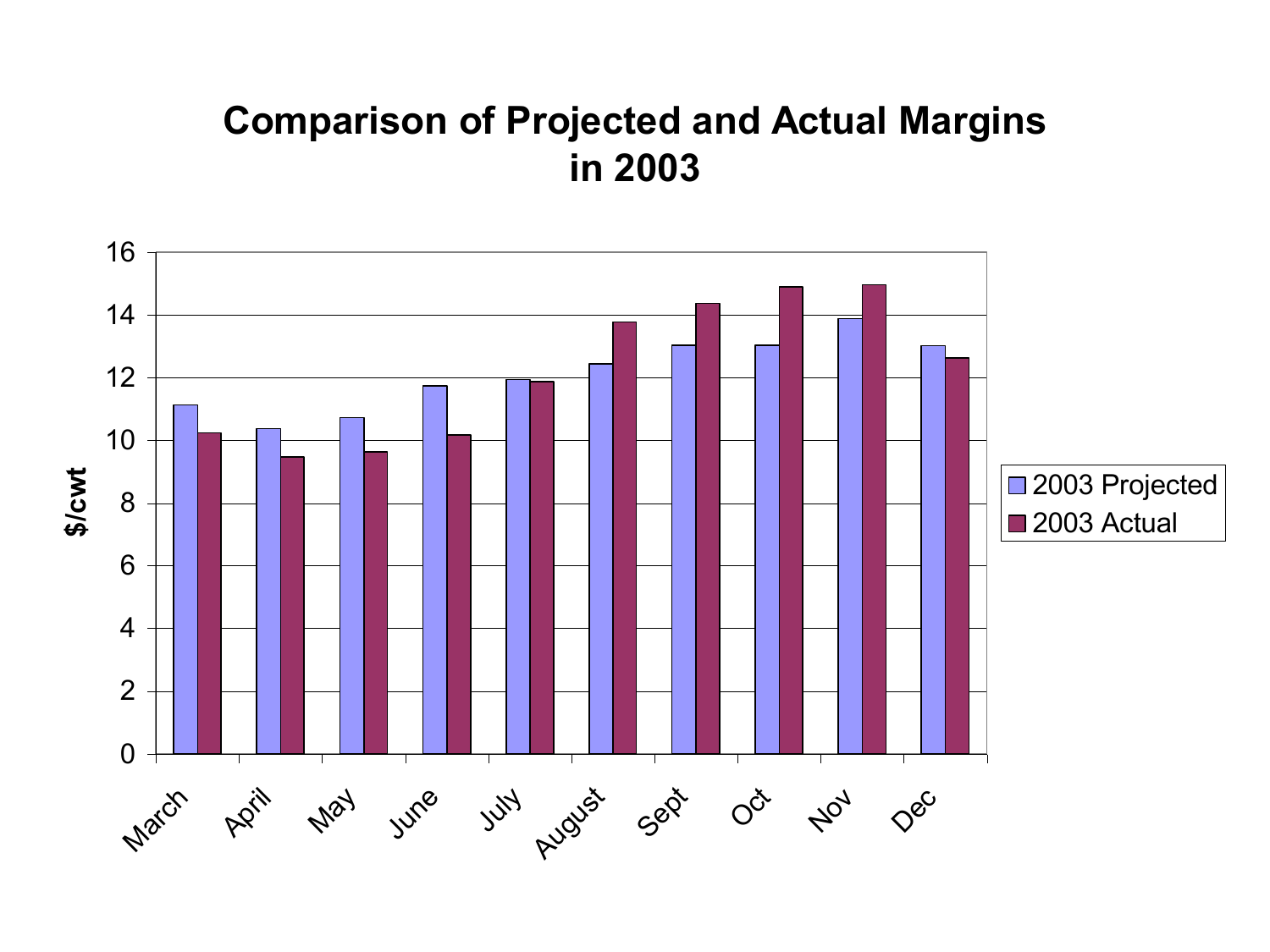#### **Comparison of Projected and Actual Margins in 2003**

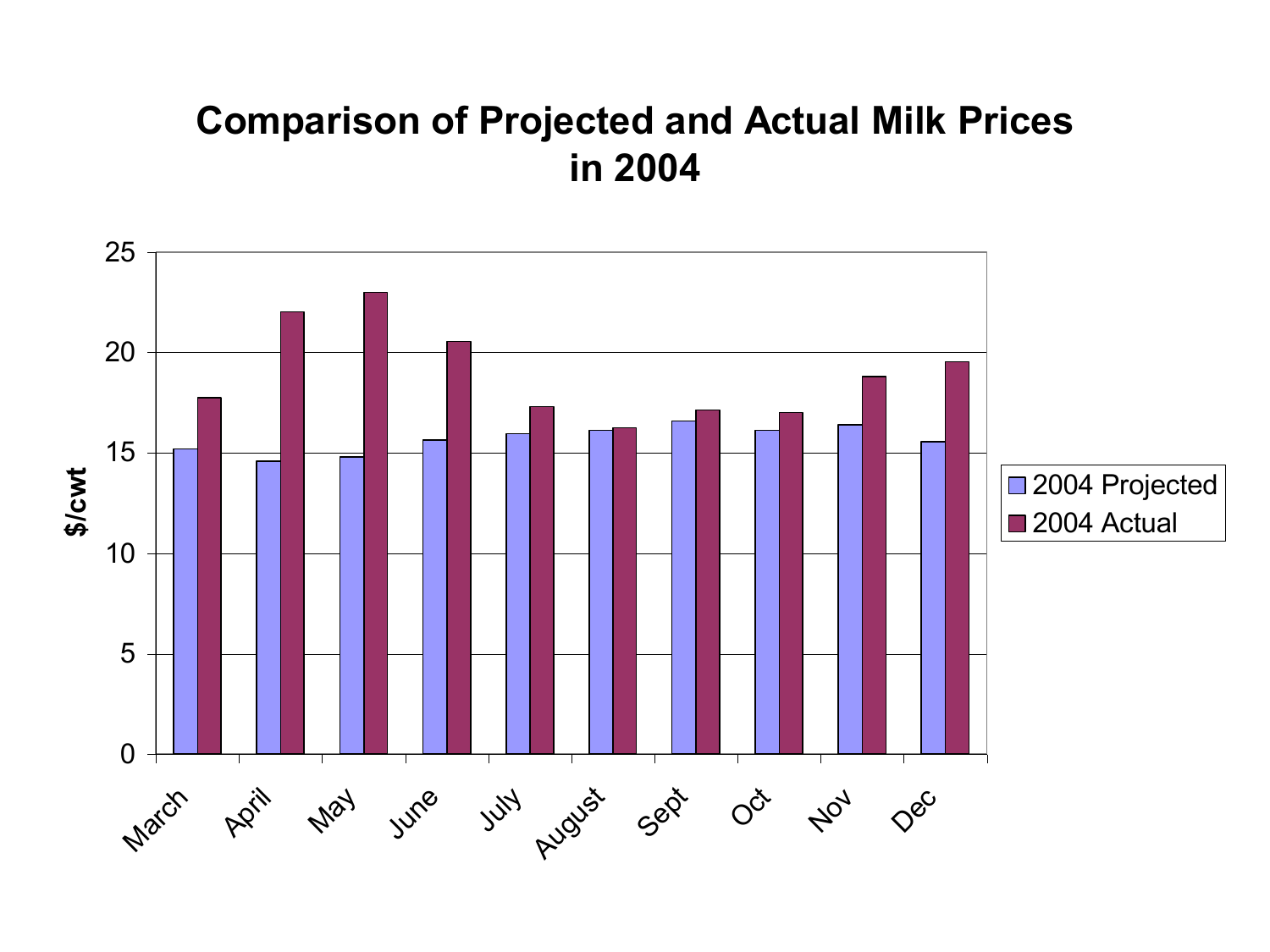#### **Comparison of Projected and Actual Milk Prices in 2004**

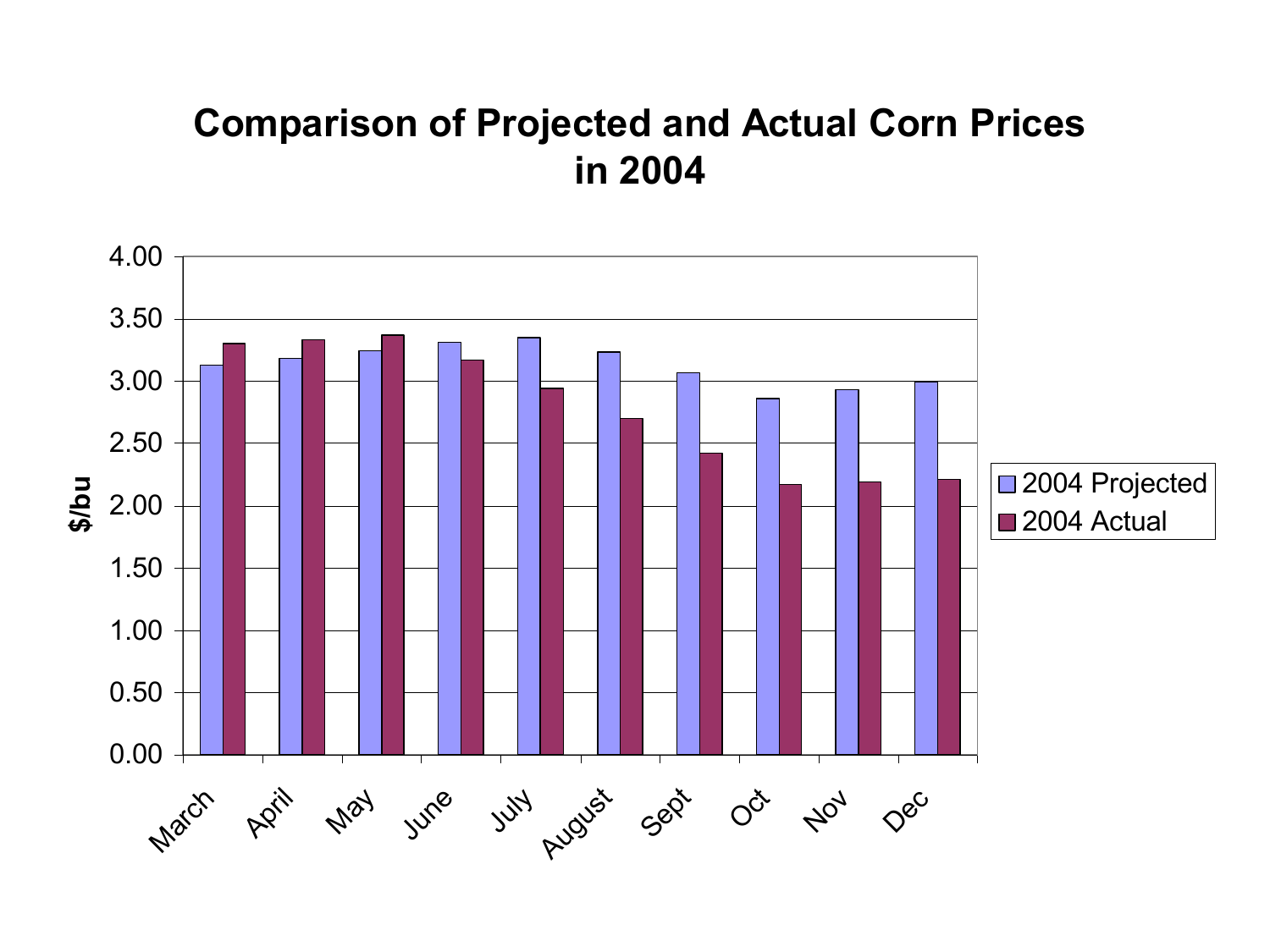#### **Comparison of Projected and Actual Corn Prices in 2004**

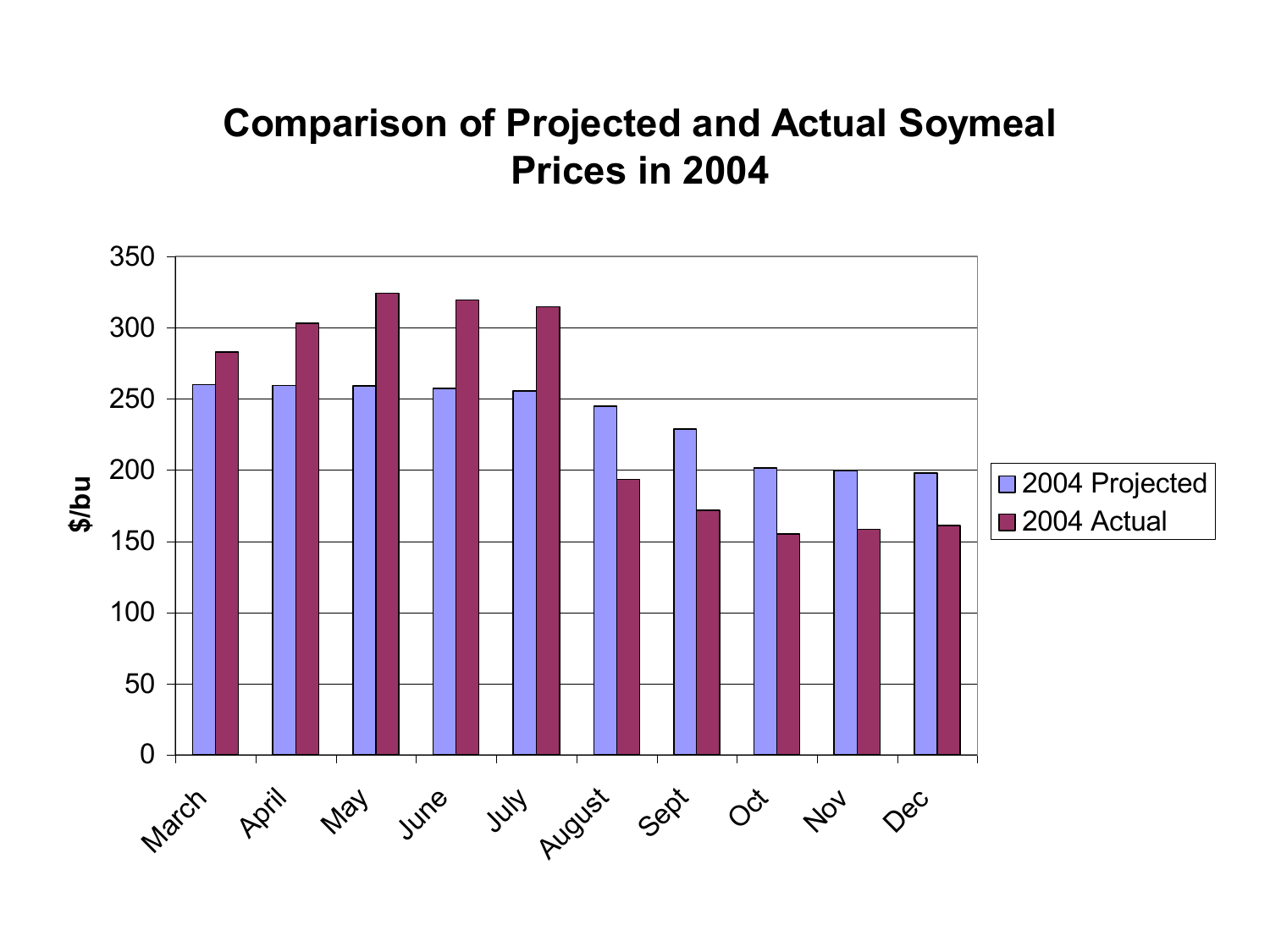#### **Comparison of Projected and Actual Soymeal Prices in 2004**

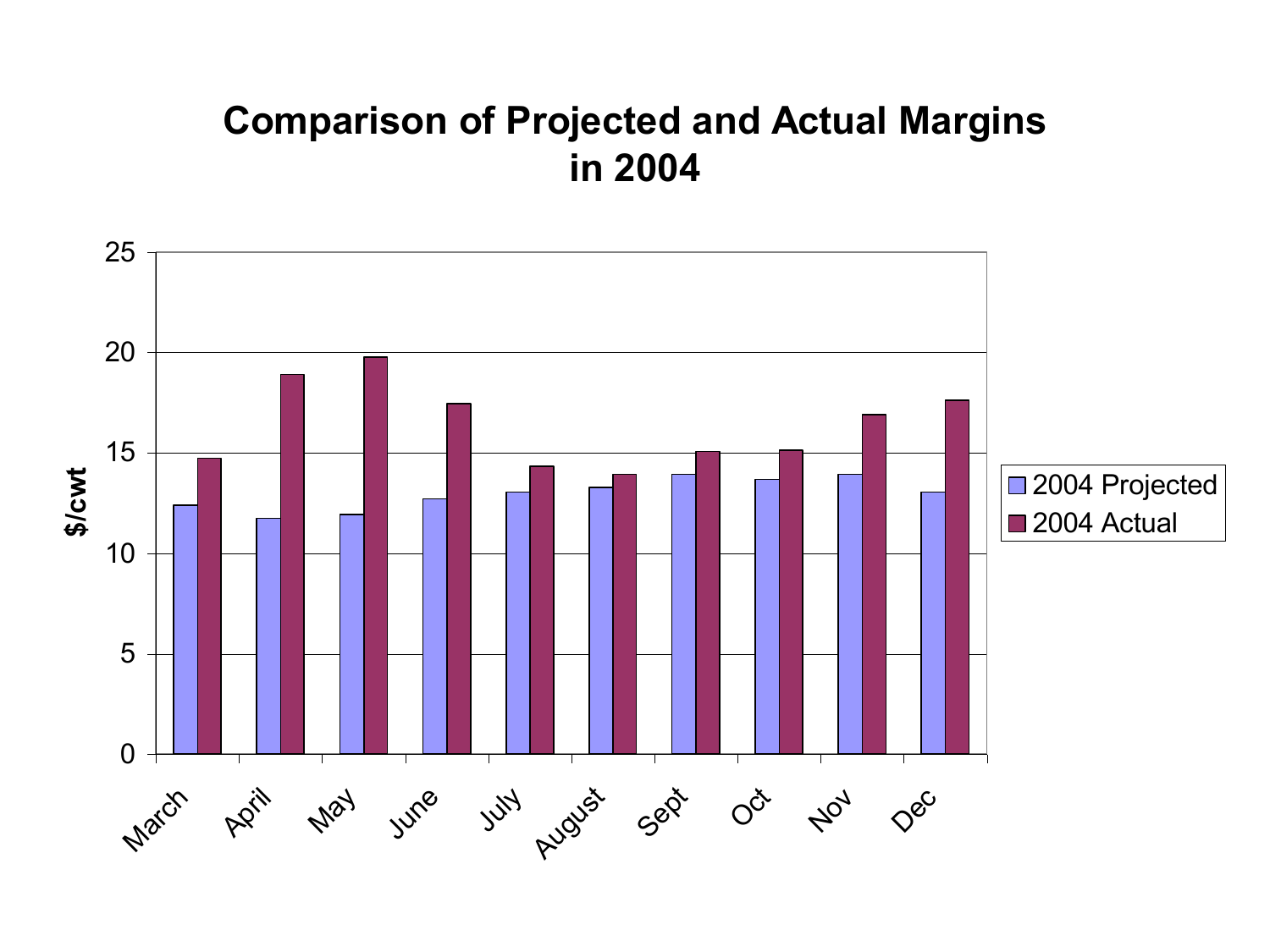#### **Comparison of Projected and Actual Margins in 2004**

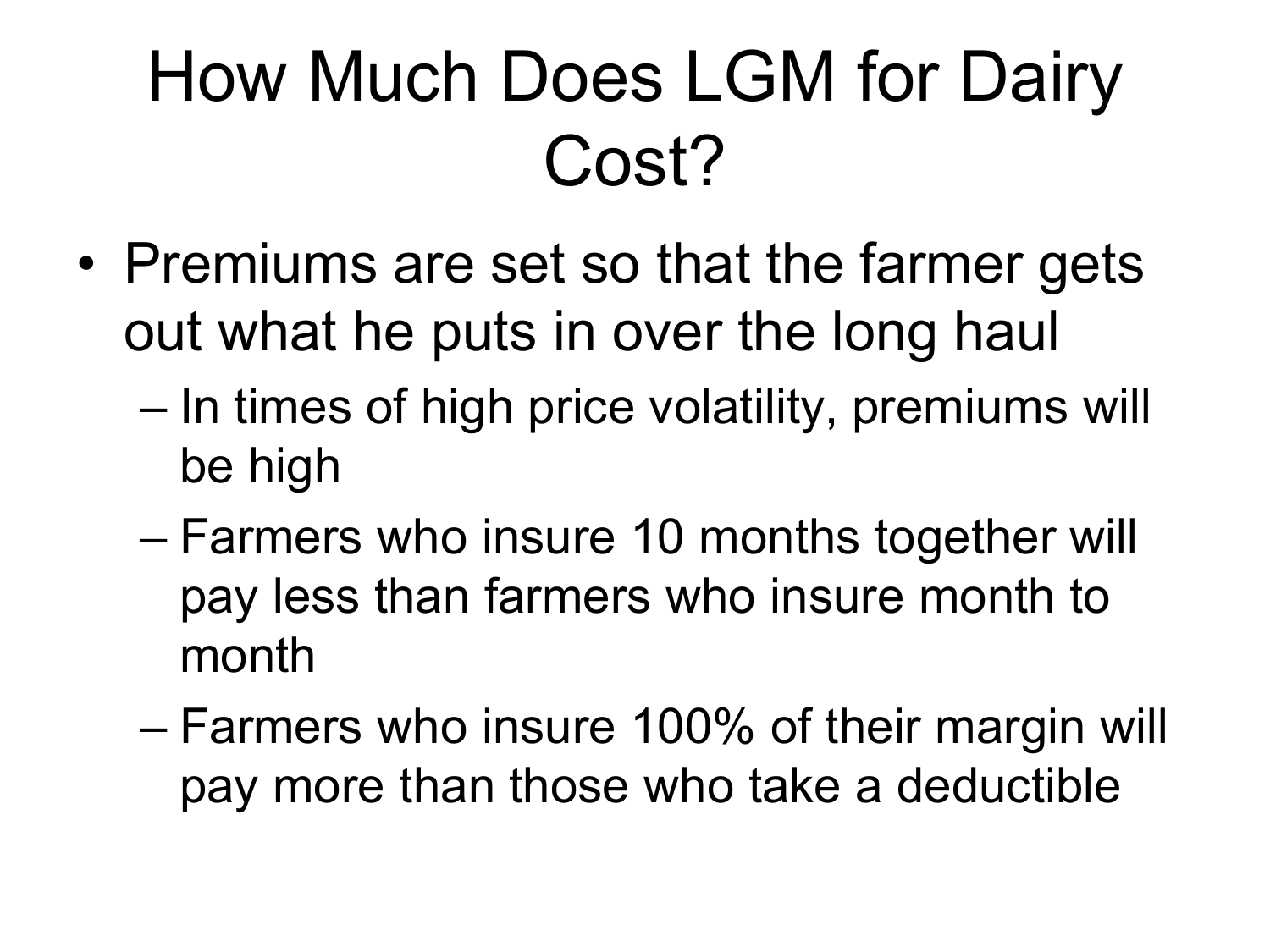## How Much Does LGM for Dairy Cost?

- Premiums are set so that the farmer gets out what he puts in over the long haul
	- In times of high price volatility, premiums will be high
	- Farmers who insure 10 months together will pay less than farmers who insure month to month
	- Farmers who insure 100% of their margin will pay more than those who take a deductible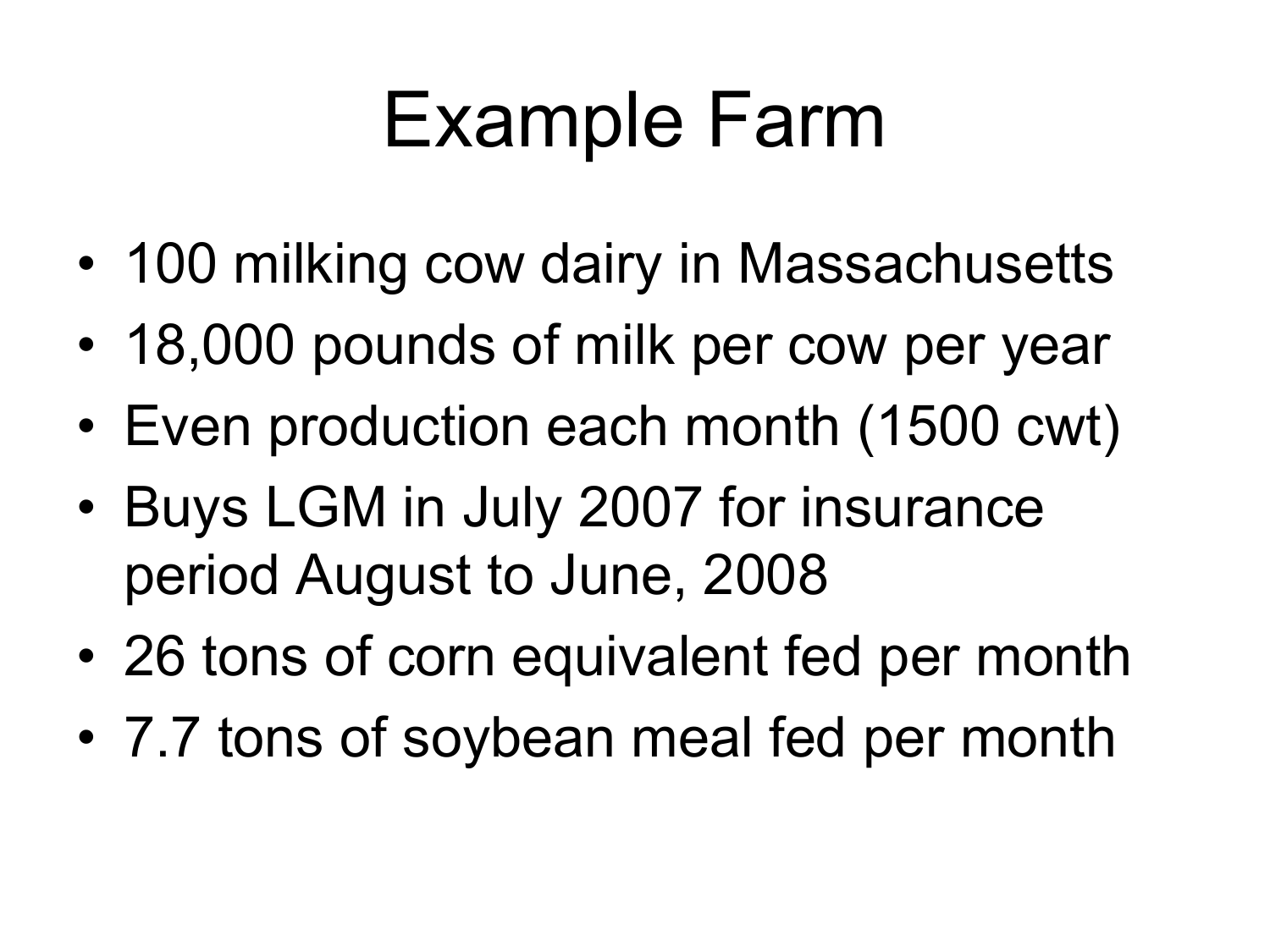## Example Farm

- 100 milking cow dairy in Massachusetts
- 18,000 pounds of milk per cow per year
- Even production each month (1500 cwt)
- Buys LGM in July 2007 for insurance period August to June, 2008
- 26 tons of corn equivalent fed per month
- 7.7 tons of soybean meal fed per month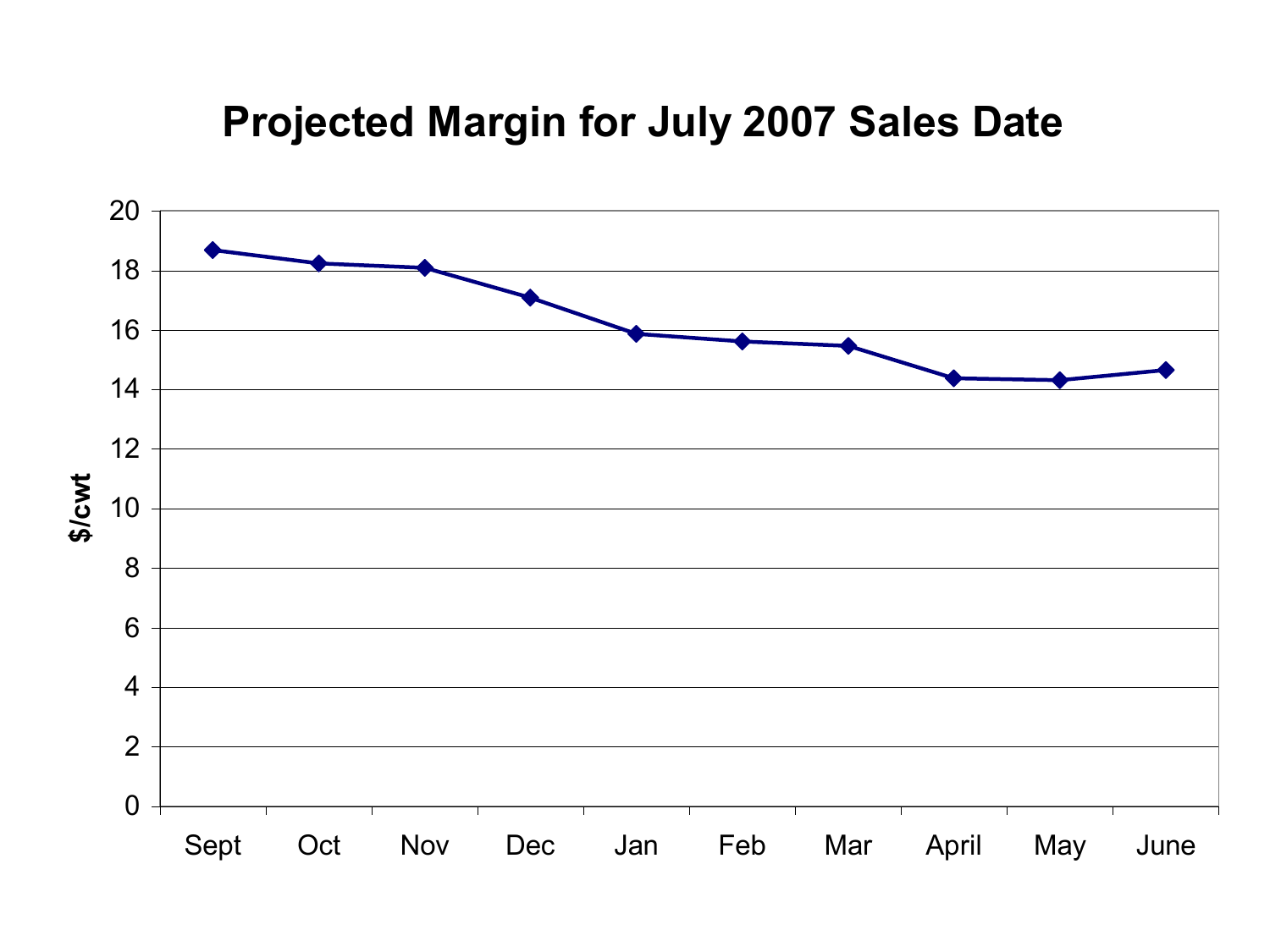#### **Expediately Corn Price 2007 Color Projected Margin for July 2007 Sales Date**

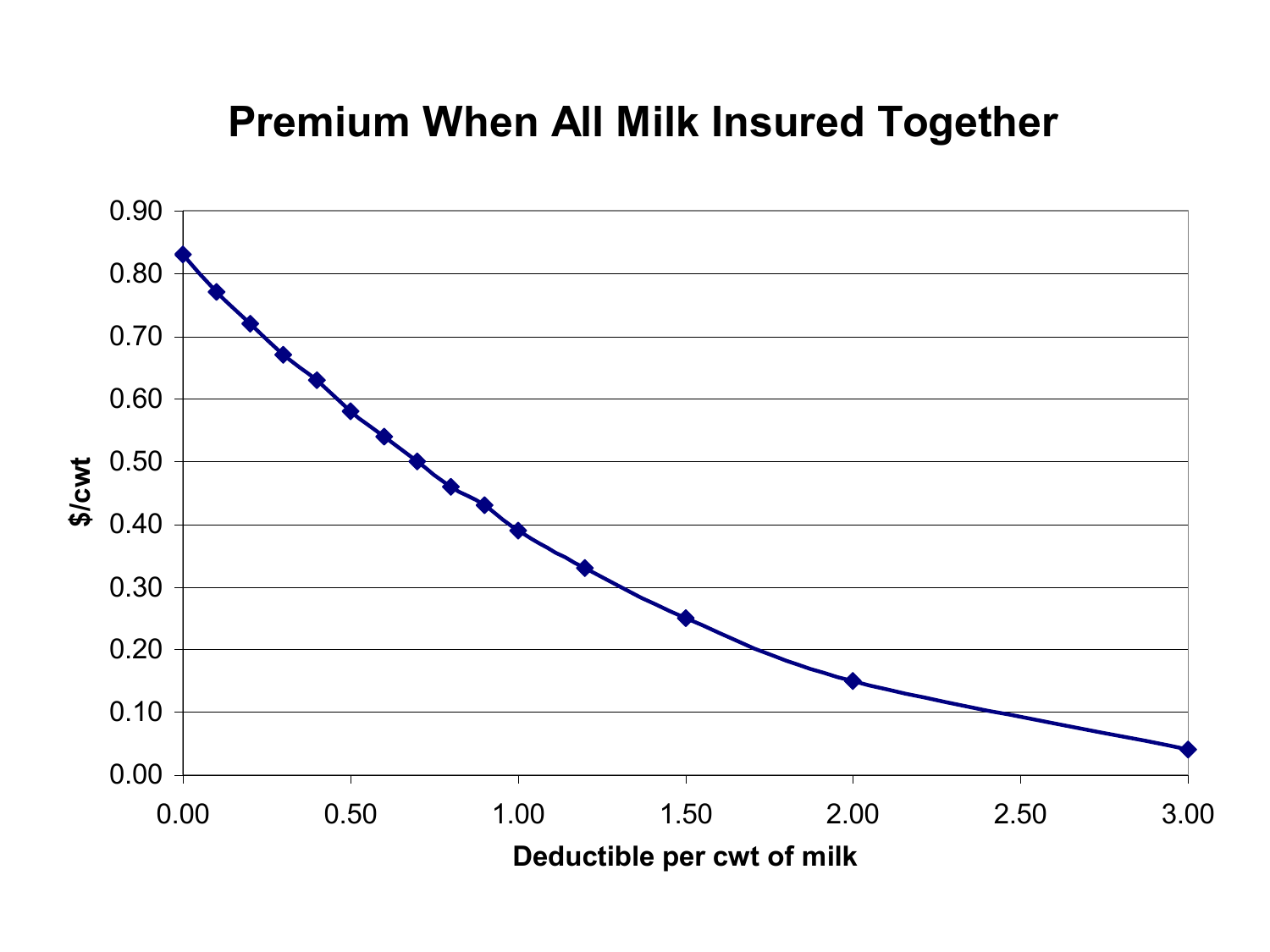#### **Premium When All Milk Insured Together**

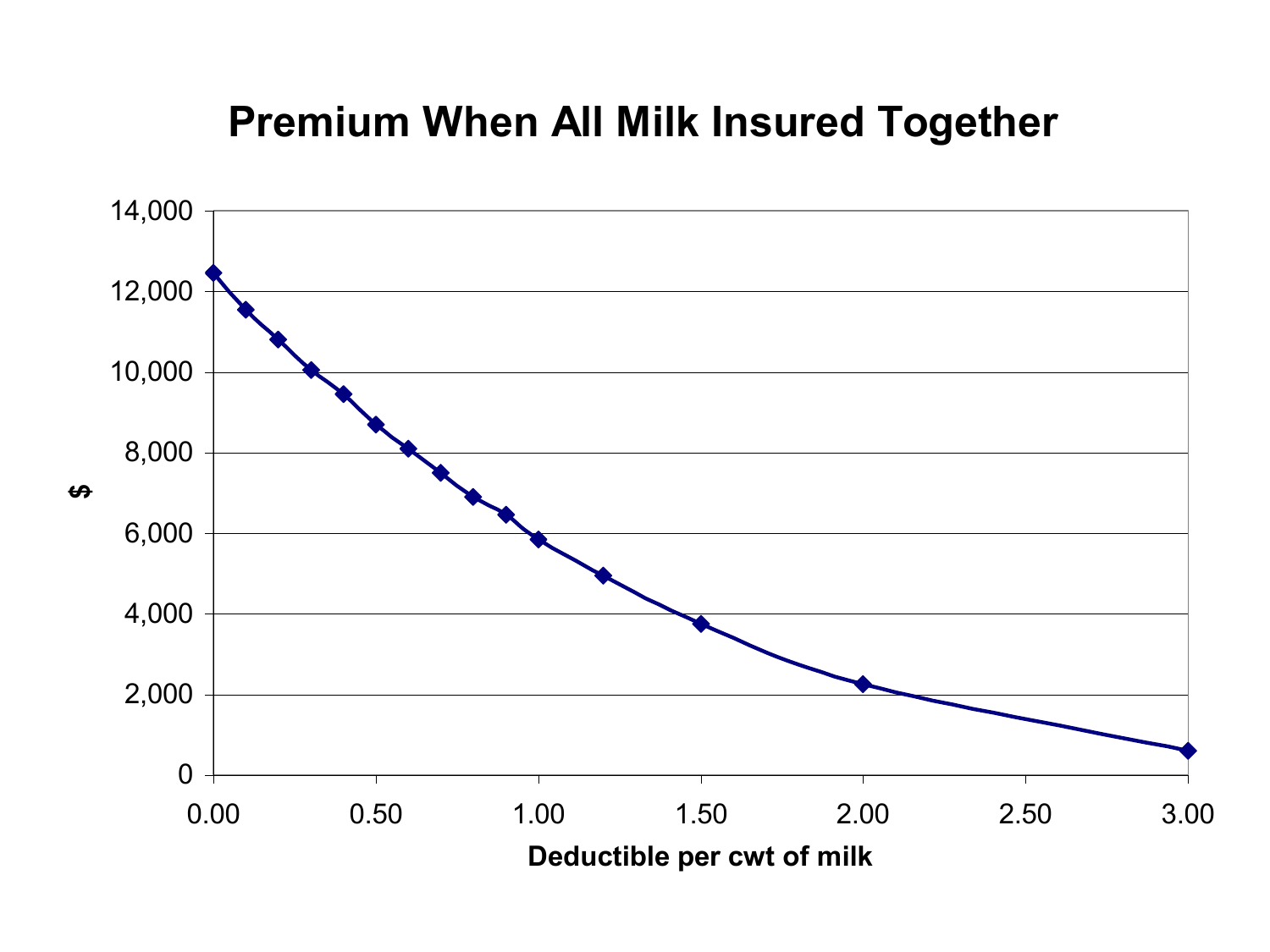#### **Premium When All Milk Insured Together**

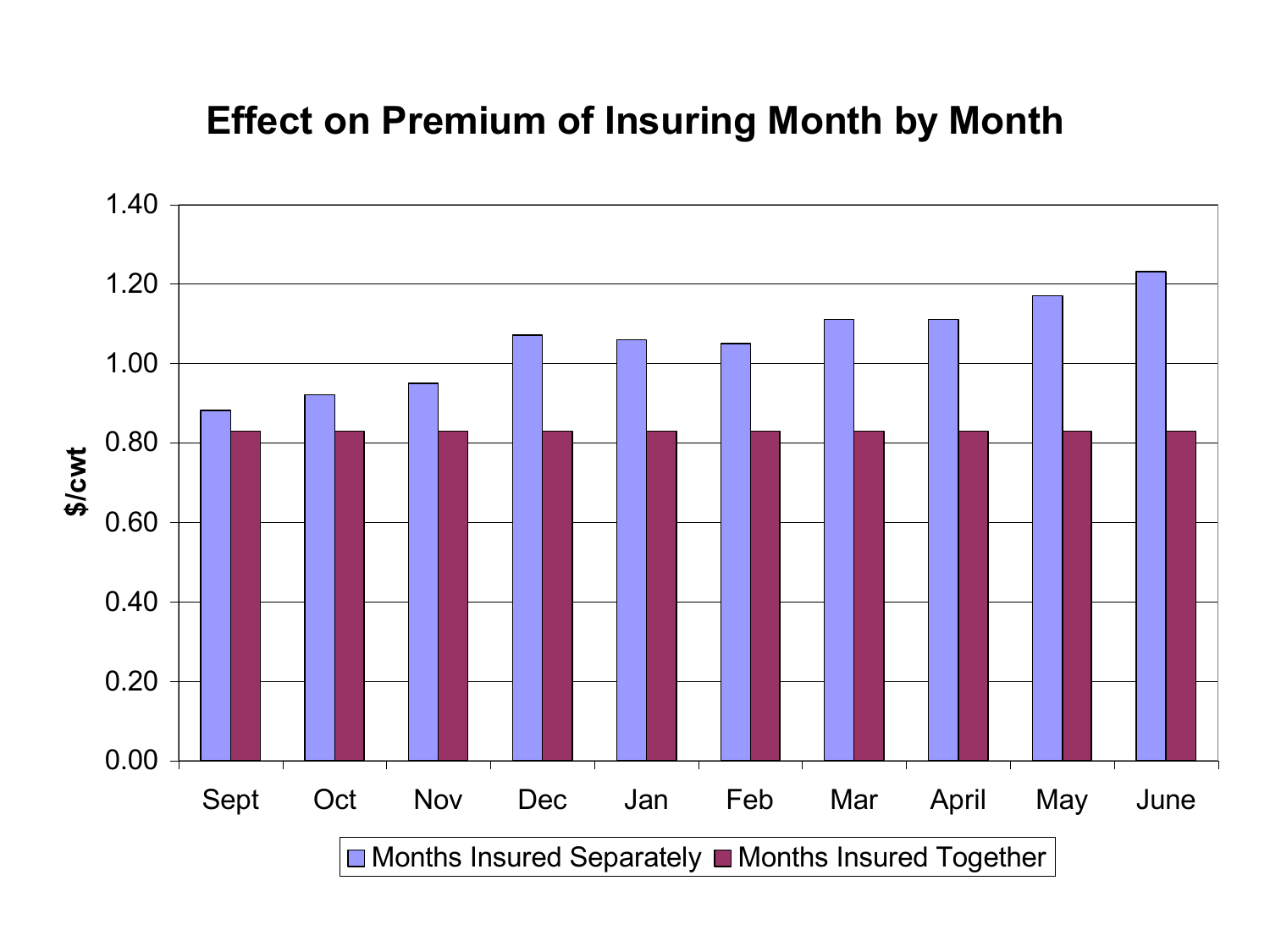#### **Experience Corners**<br>The Premium of Incuring Month by Me **Effect on Premium of Insuring Month by Month**

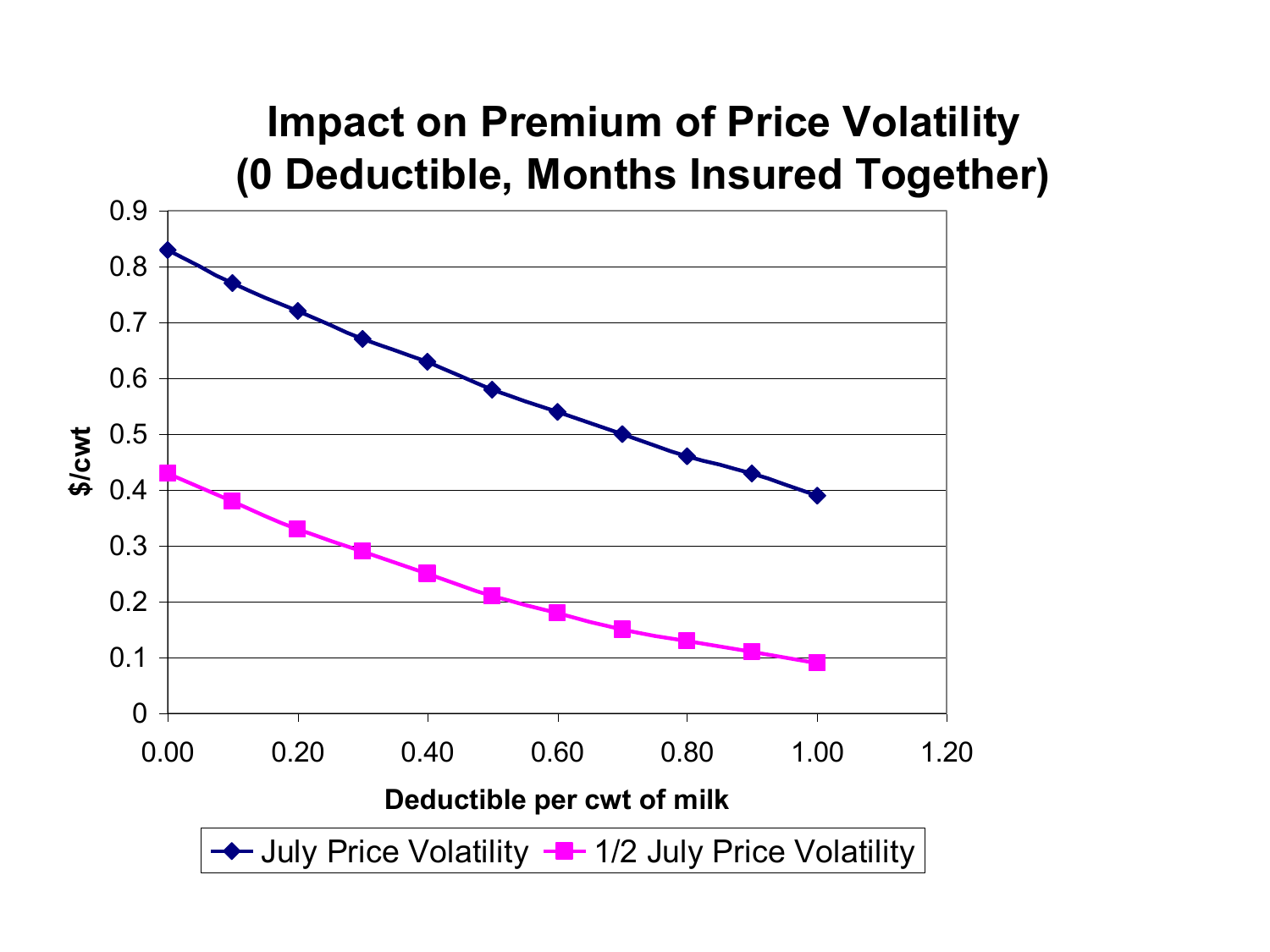#### **Expected Propriets of Price Velotility Impact on Premium of Price Volatility (0 Deductible, Months Insured Together)**

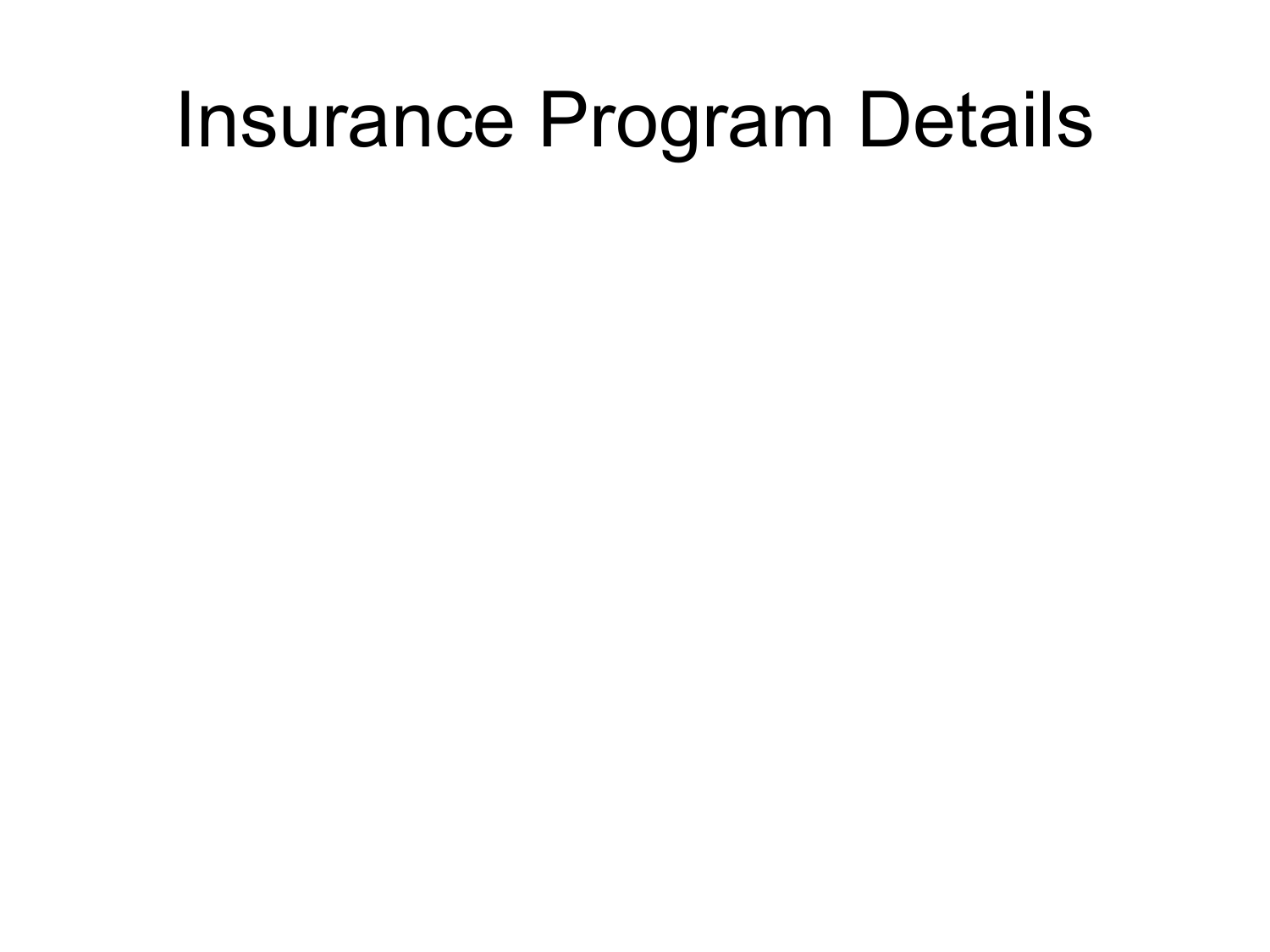### Insurance Program Details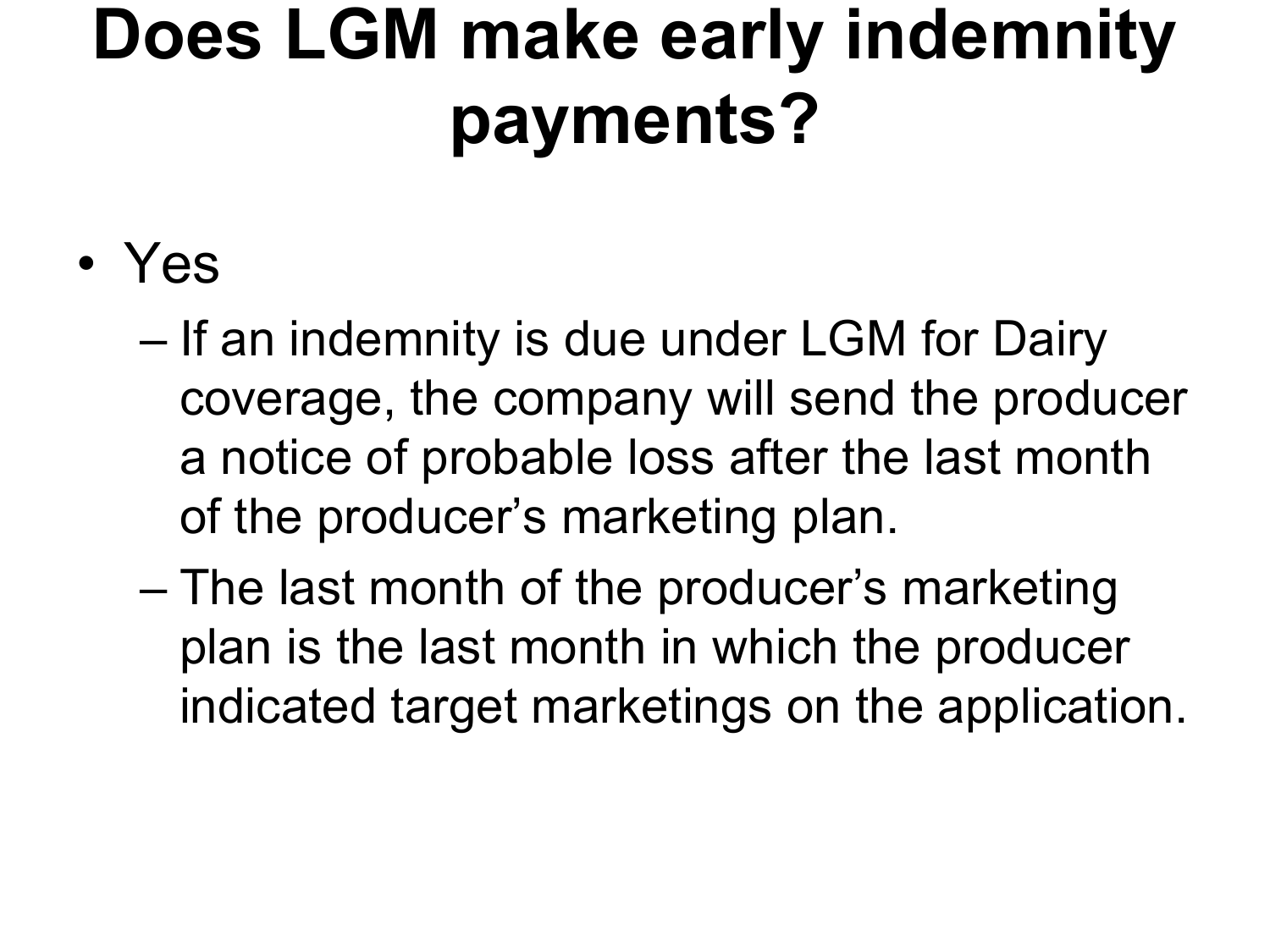## **Does LGM make early indemnity payments?**

### • Yes

- If an indemnity is due under LGM for Dairy coverage, the company will send the producer a notice of probable loss after the last month of the producer's marketing plan.
- The last month of the producer's marketing plan is the last month in which the producer indicated target marketings on the application.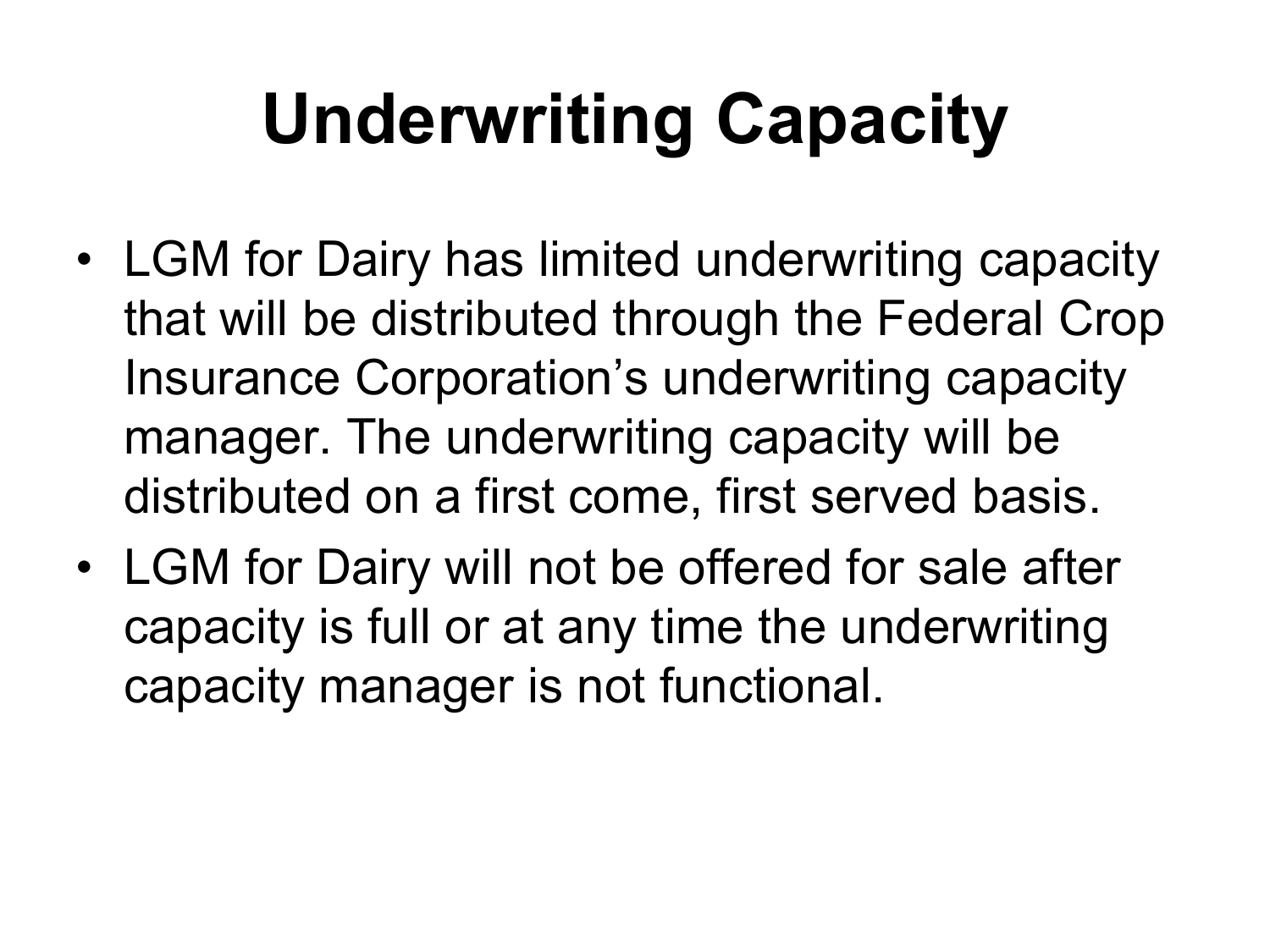## **Underwriting Capacity**

- LGM for Dairy has limited underwriting capacity that will be distributed through the Federal Crop Insurance Corporation's underwriting capacity manager. The underwriting capacity will be distributed on a first come, first served basis.
- LGM for Dairy will not be offered for sale after capacity is full or at any time the underwriting capacity manager is not functional.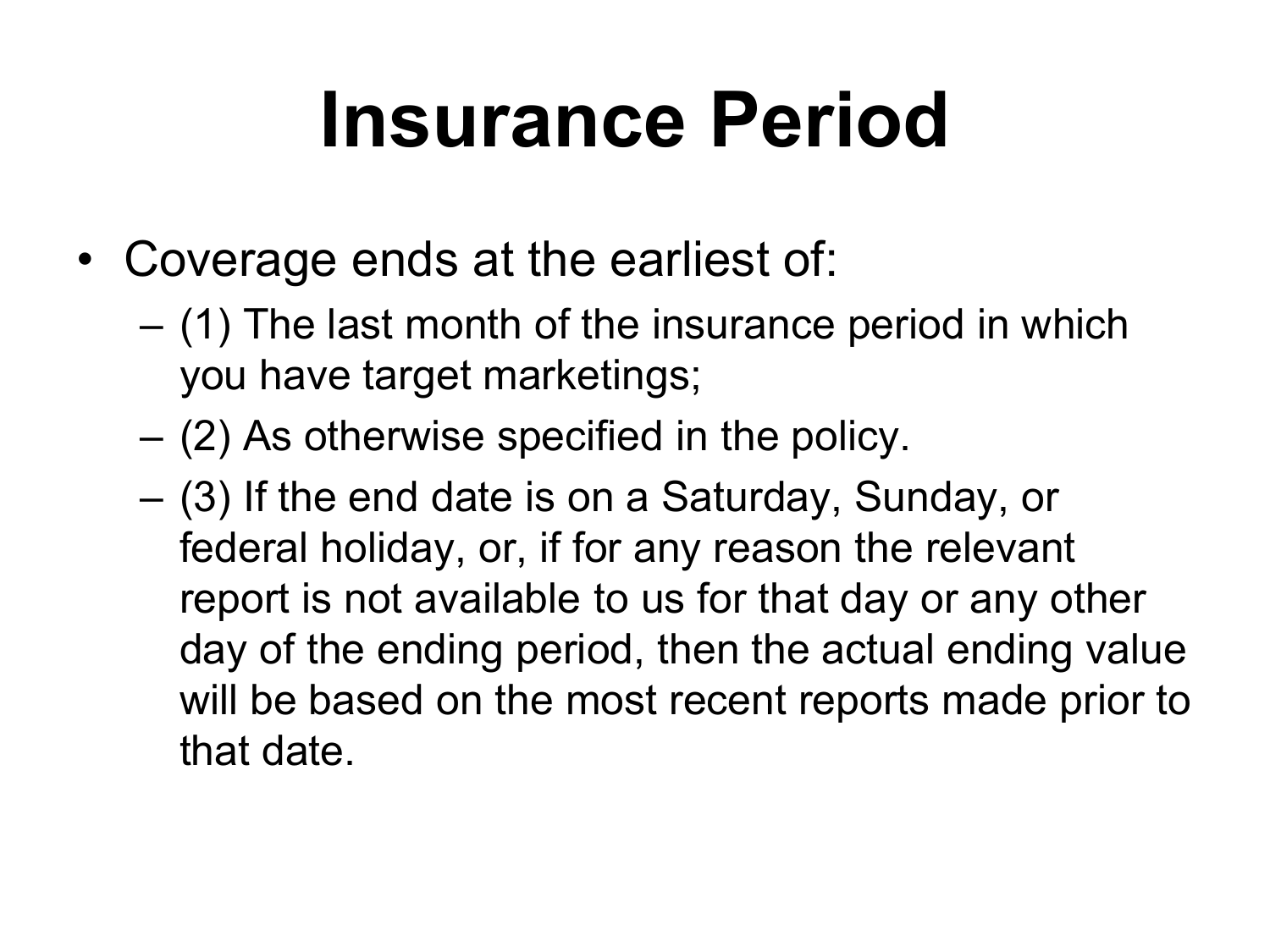## **Insurance Period**

- Coverage ends at the earliest of:
	- (1) The last month of the insurance period in which you have target marketings;
	- (2) As otherwise specified in the policy.
	- (3) If the end date is on a Saturday, Sunday, or federal holiday, or, if for any reason the relevant report is not available to us for that day or any other day of the ending period, then the actual ending value will be based on the most recent reports made prior to that date.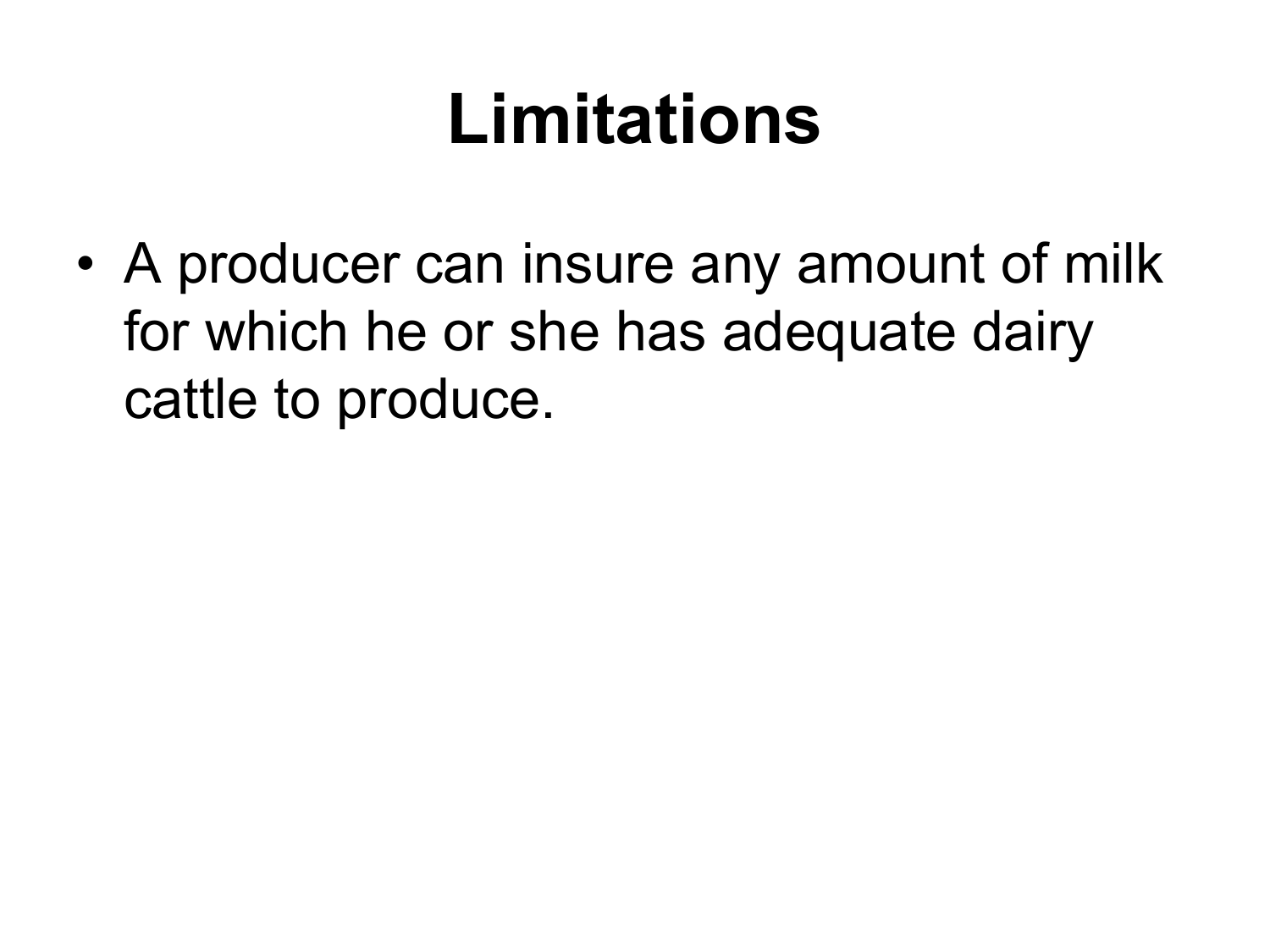### **Limitations**

• A producer can insure any amount of milk for which he or she has adequate dairy cattle to produce.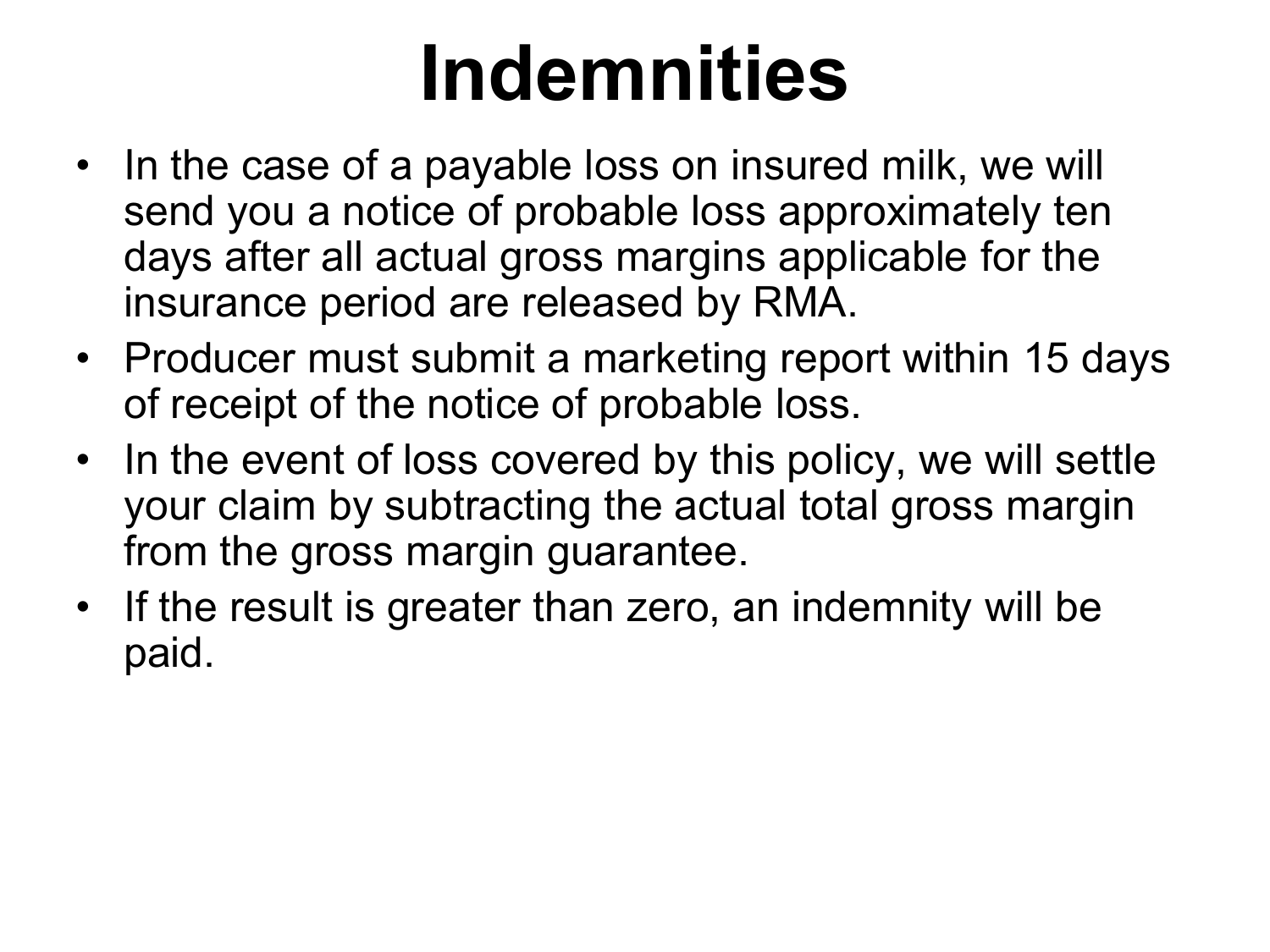## **Indemnities**

- In the case of a payable loss on insured milk, we will send you a notice of probable loss approximately ten days after all actual gross margins applicable for the insurance period are released by RMA.
- Producer must submit a marketing report within 15 days of receipt of the notice of probable loss.
- In the event of loss covered by this policy, we will settle your claim by subtracting the actual total gross margin from the gross margin guarantee.
- If the result is greater than zero, an indemnity will be paid.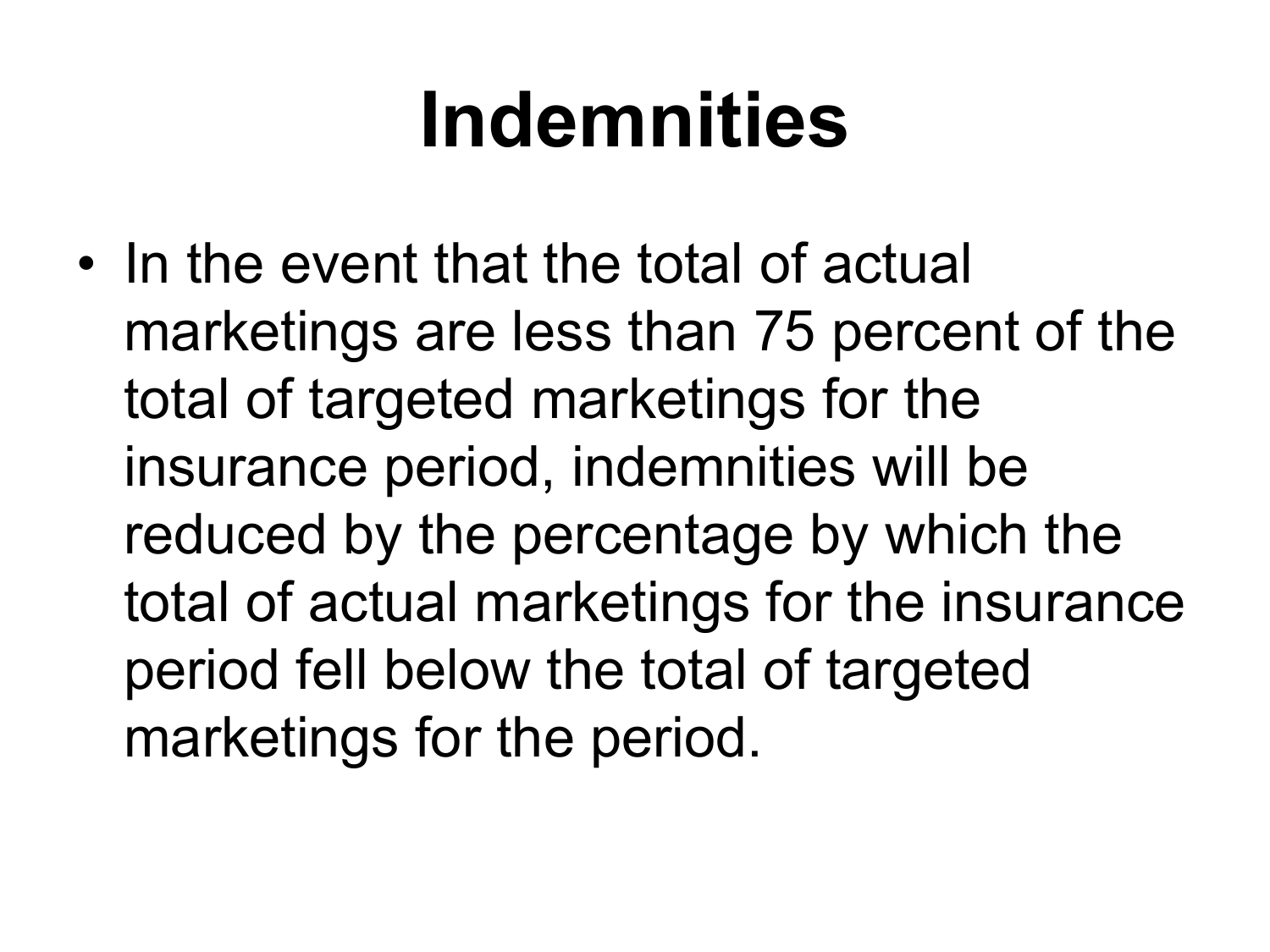## **Indemnities**

• In the event that the total of actual marketings are less than 75 percent of the total of targeted marketings for the insurance period, indemnities will be reduced by the percentage by which the total of actual marketings for the insurance period fell below the total of targeted marketings for the period.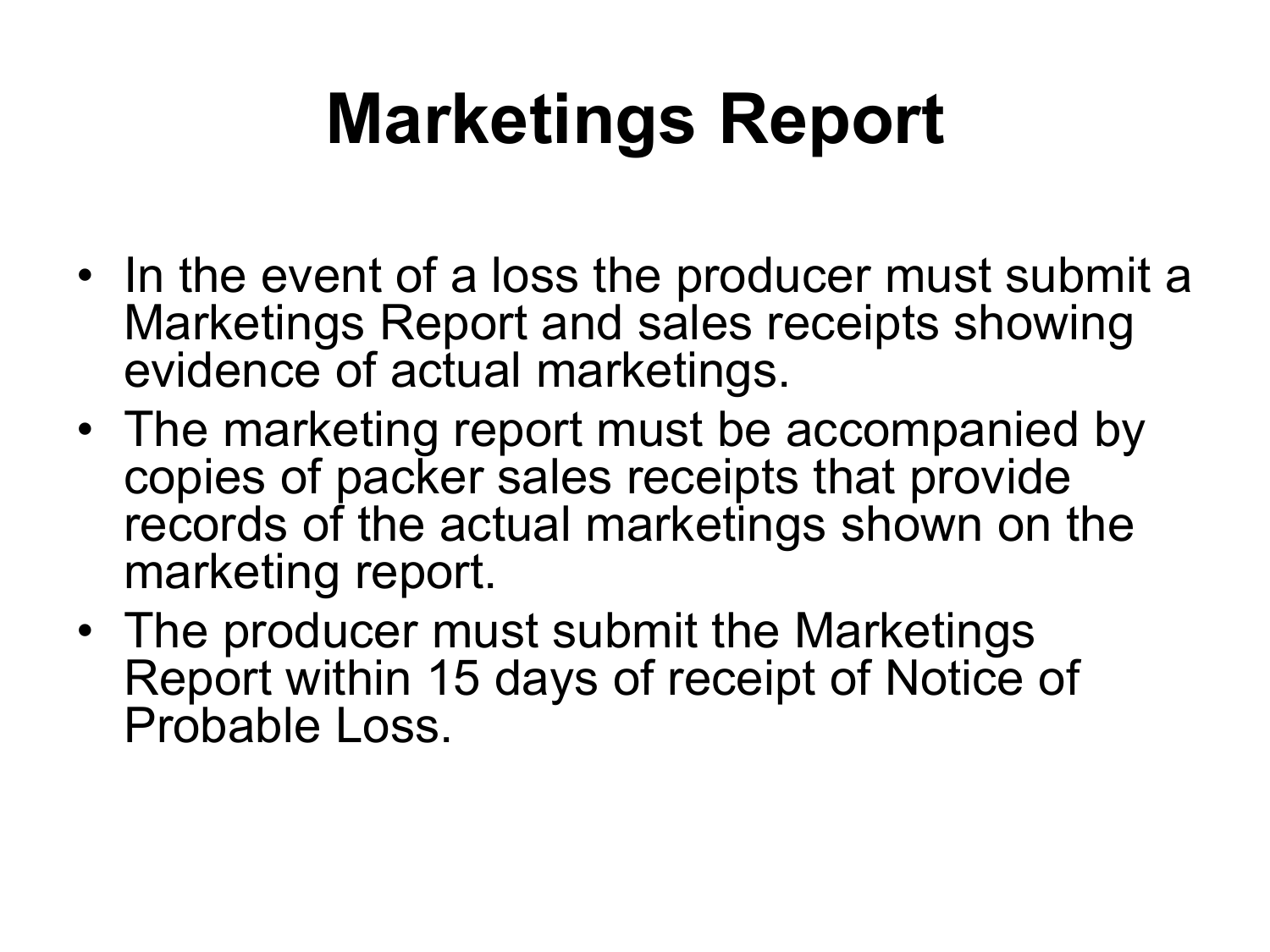## **Marketings Report**

- In the event of a loss the producer must submit a Marketings Report and sales receipts showing evidence of actual marketings.
- The marketing report must be accompanied by copies of packer sales receipts that provide records of the actual marketings shown on the marketing report.
- The producer must submit the Marketings Report within 15 days of receipt of Notice of Probable Loss.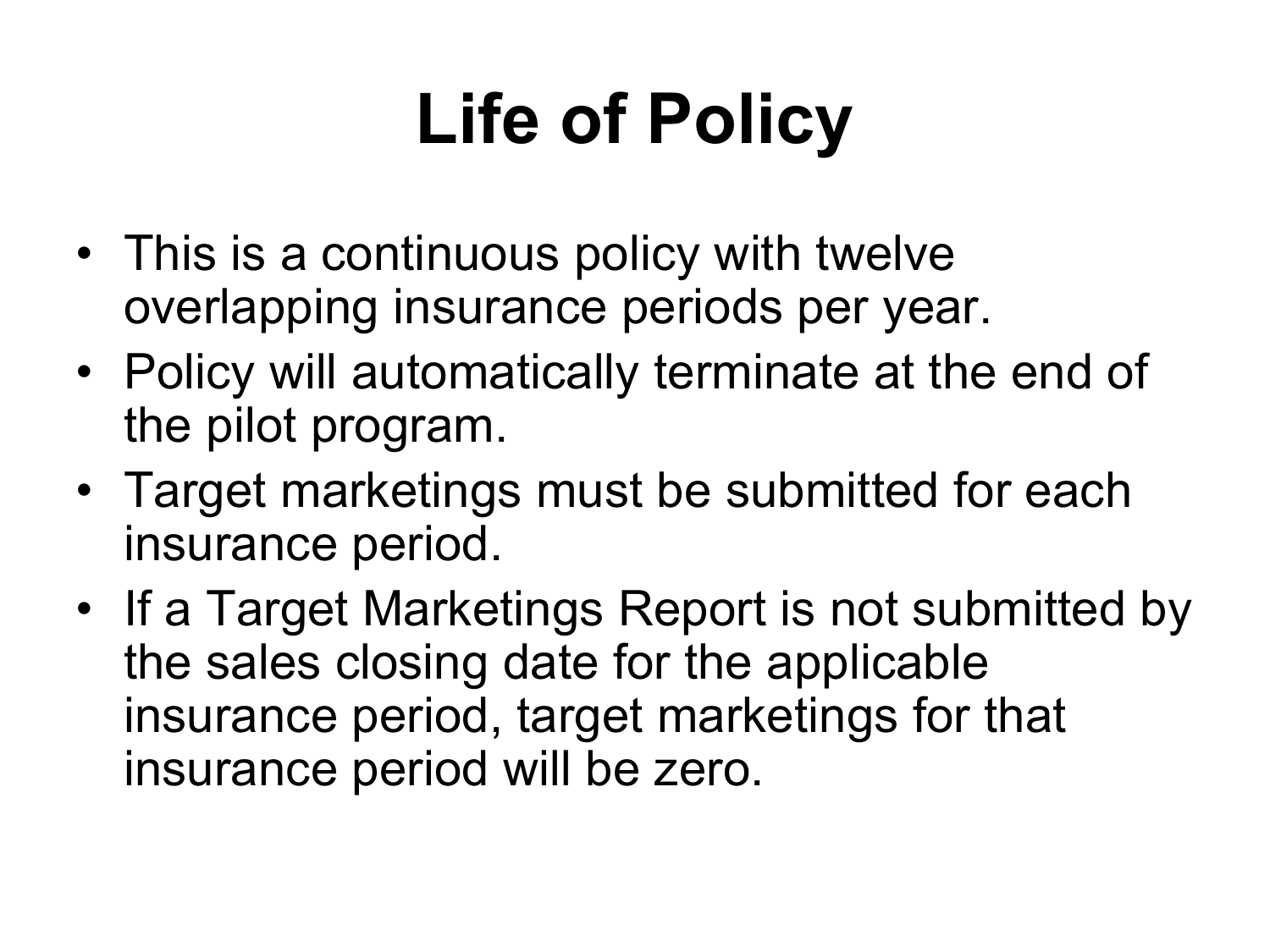## **Life of Policy**

- This is a continuous policy with twelve overlapping insurance periods per year.
- Policy will automatically terminate at the end of the pilot program.
- Target marketings must be submitted for each insurance period.
- If a Target Marketings Report is not submitted by the sales closing date for the applicable insurance period, target marketings for that insurance period will be zero.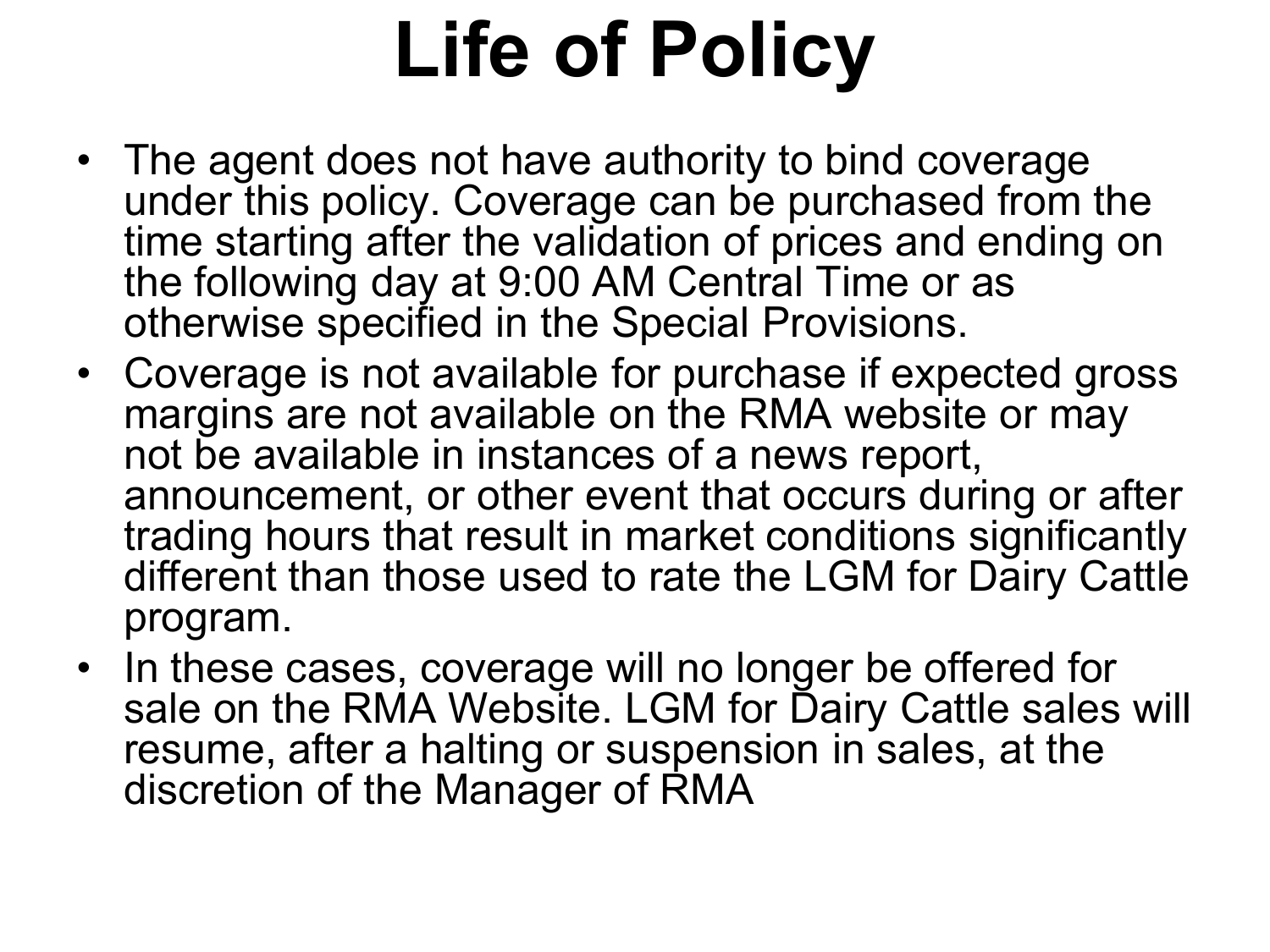# **Life of Policy**

- The agent does not have authority to bind coverage under this policy. Coverage can be purchased from the time starting after the validation of prices and ending on the following day at 9:00 AM Central Time or as otherwise specified in the Special Provisions.
- Coverage is not available for purchase if expected gross margins are not available on the RMA website or may not be available in instances of a news report, announcement, or other event that occurs during or after trading hours that result in market conditions significantly different than those used to rate the LGM for Dairy Cattle program.
- In these cases, coverage will no longer be offered for sale on the RMA Website. LGM for Dairy Cattle sales will resume, after a halting or suspension in sales, at the discretion of the Manager of RMA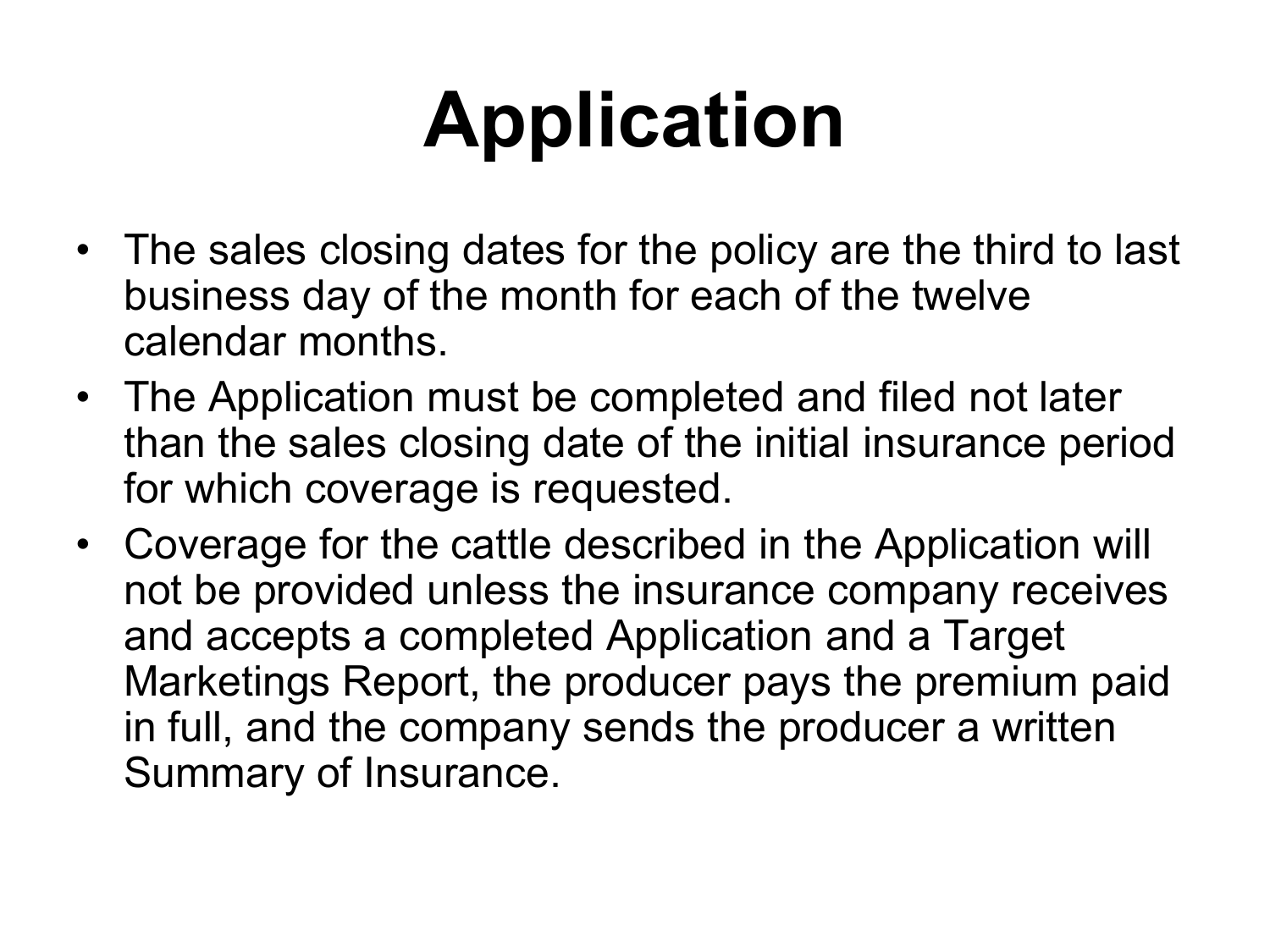# **Application**

- The sales closing dates for the policy are the third to last business day of the month for each of the twelve calendar months.
- The Application must be completed and filed not later than the sales closing date of the initial insurance period for which coverage is requested.
- Coverage for the cattle described in the Application will not be provided unless the insurance company receives and accepts a completed Application and a Target Marketings Report, the producer pays the premium paid in full, and the company sends the producer a written Summary of Insurance.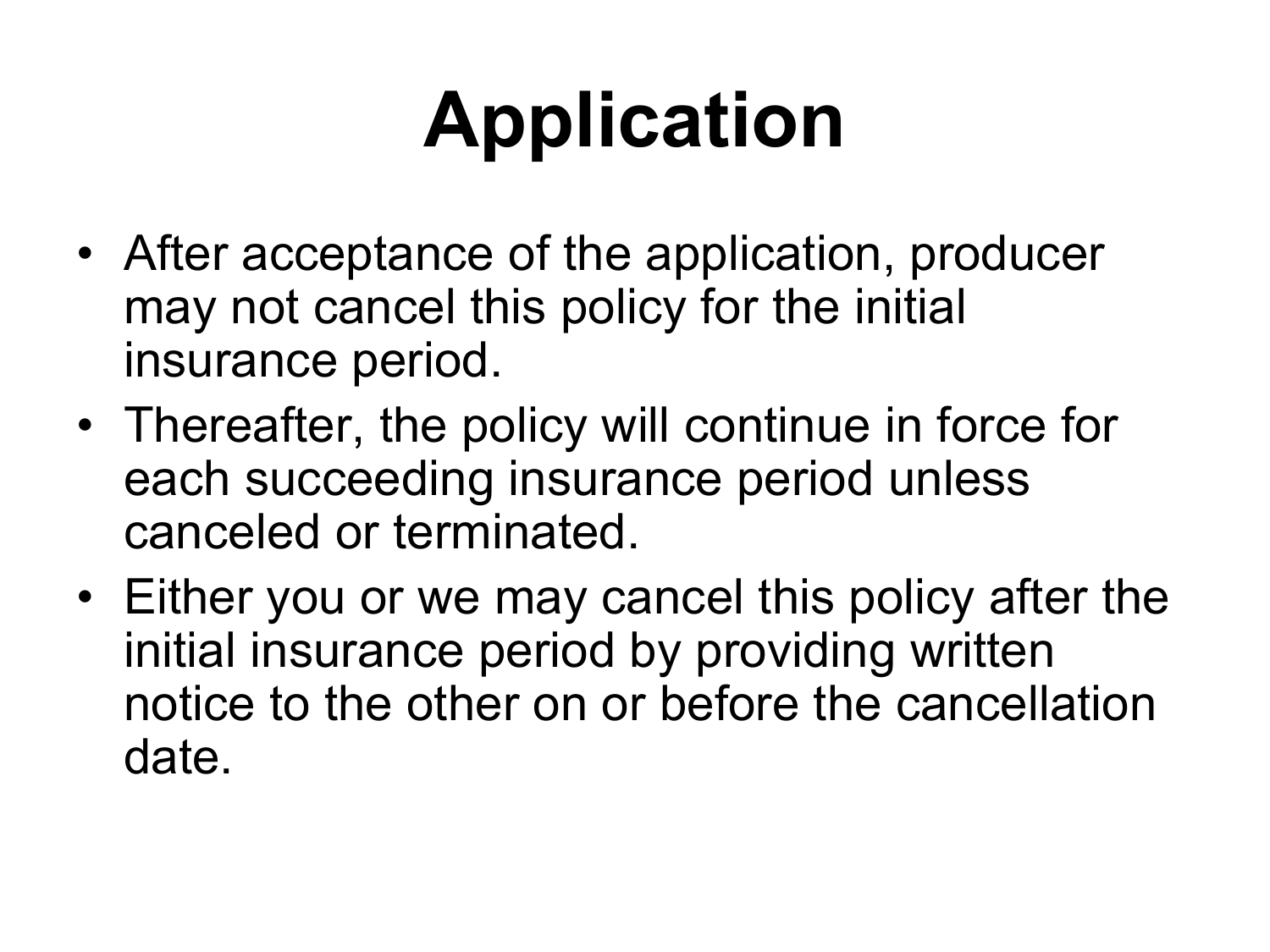# **Application**

- After acceptance of the application, producer may not cancel this policy for the initial insurance period.
- Thereafter, the policy will continue in force for each succeeding insurance period unless canceled or terminated.
- Either you or we may cancel this policy after the initial insurance period by providing written notice to the other on or before the cancellation date.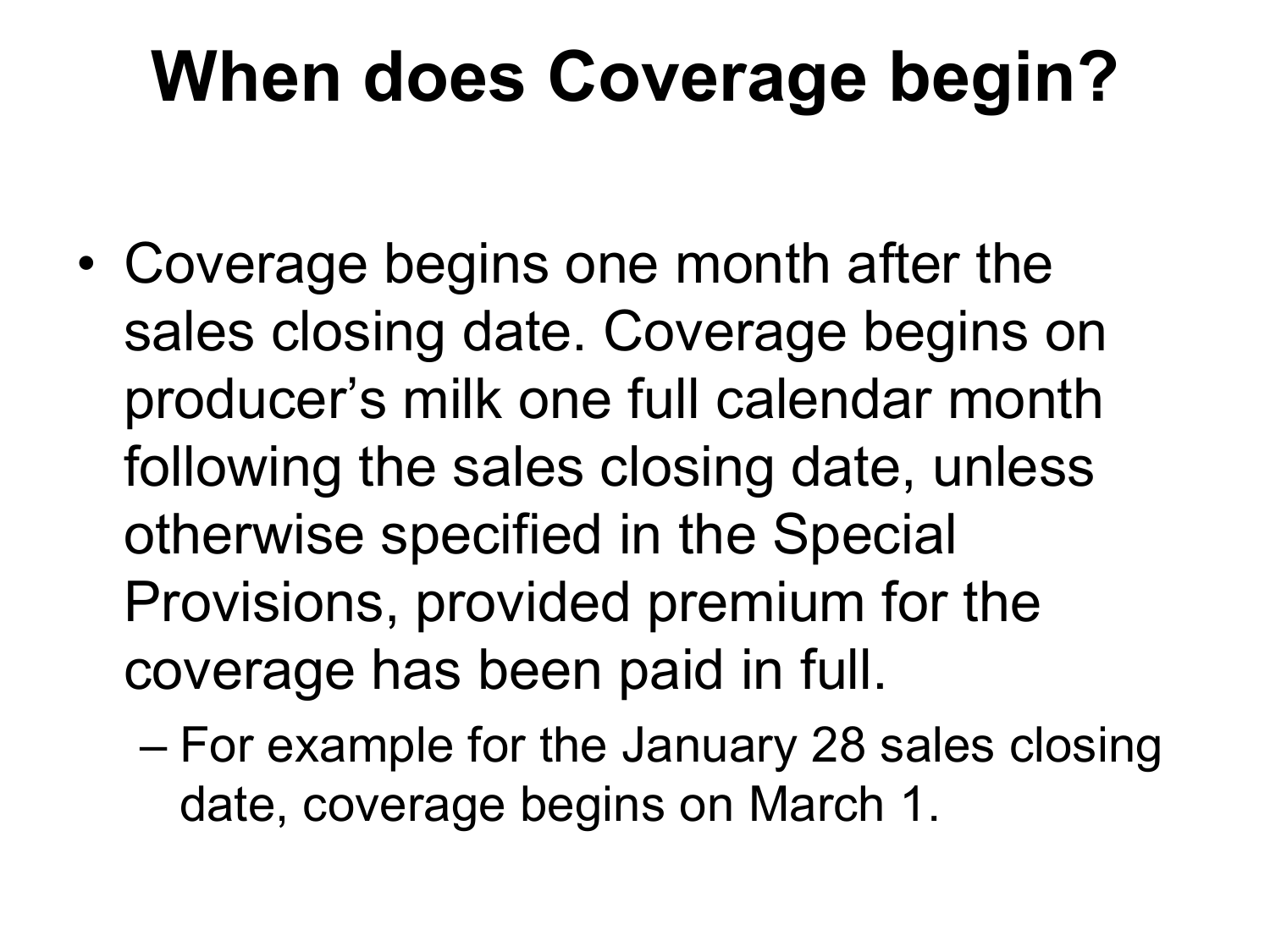### **When does Coverage begin?**

- Coverage begins one month after the sales closing date. Coverage begins on producer's milk one full calendar month following the sales closing date, unless otherwise specified in the Special Provisions, provided premium for the coverage has been paid in full.
	- For example for the January 28 sales closing date, coverage begins on March 1.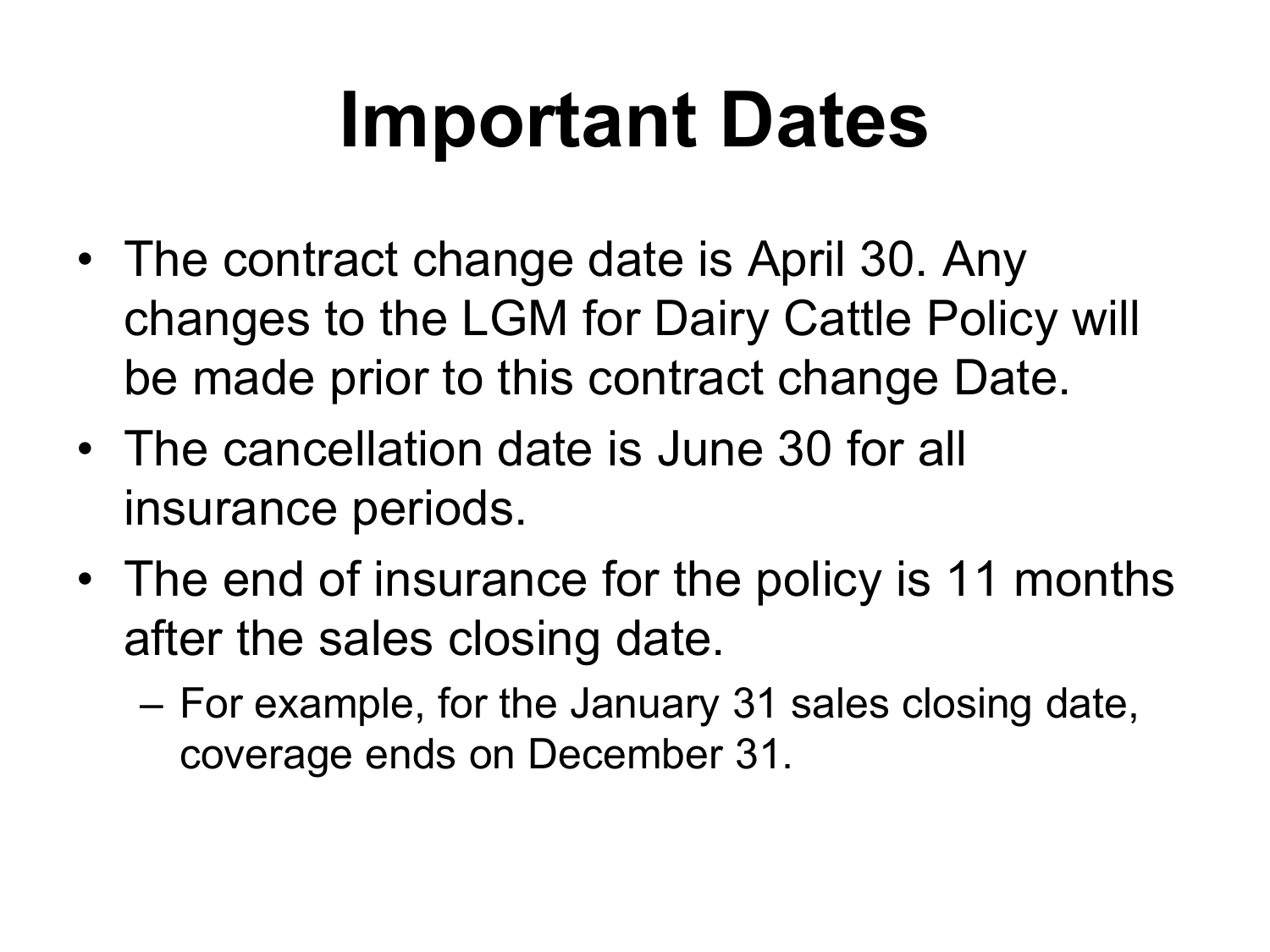# **Important Dates**

- The contract change date is April 30. Any changes to the LGM for Dairy Cattle Policy will be made prior to this contract change Date.
- The cancellation date is June 30 for all insurance periods.
- The end of insurance for the policy is 11 months after the sales closing date.
	- For example, for the January 31 sales closing date, coverage ends on December 31.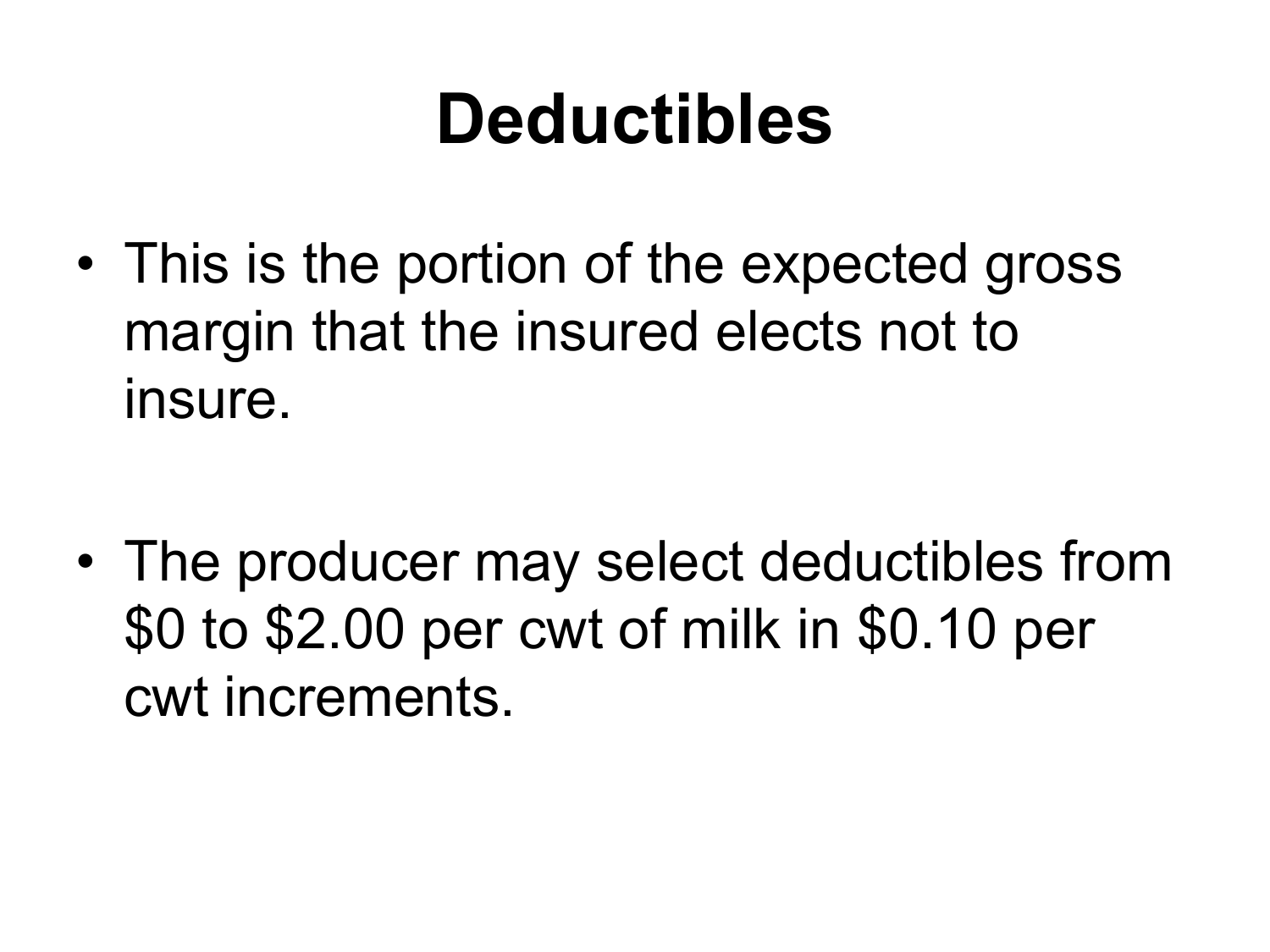### **Deductibles**

• This is the portion of the expected gross margin that the insured elects not to insure.

• The producer may select deductibles from \$0 to \$2.00 per cwt of milk in \$0.10 per cwt increments.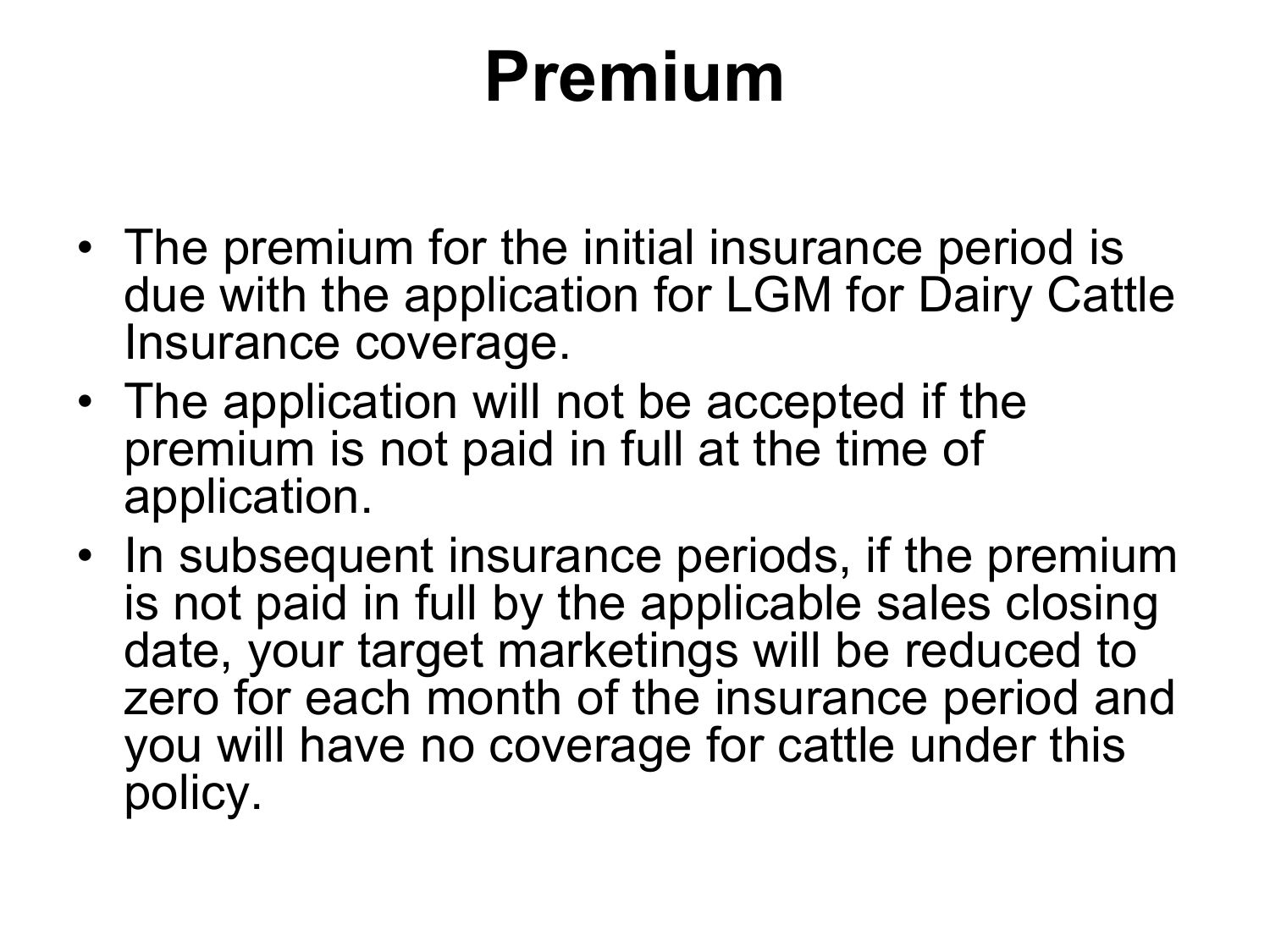## **Premium**

- The premium for the initial insurance period is due with the application for LGM for Dairy Cattle Insurance coverage.
- The application will not be accepted if the premium is not paid in full at the time of application.
- In subsequent insurance periods, if the premium is not paid in full by the applicable sales closing date, your target marketings will be reduced to zero for each month of the insurance period and you will have no coverage for cattle under this policy.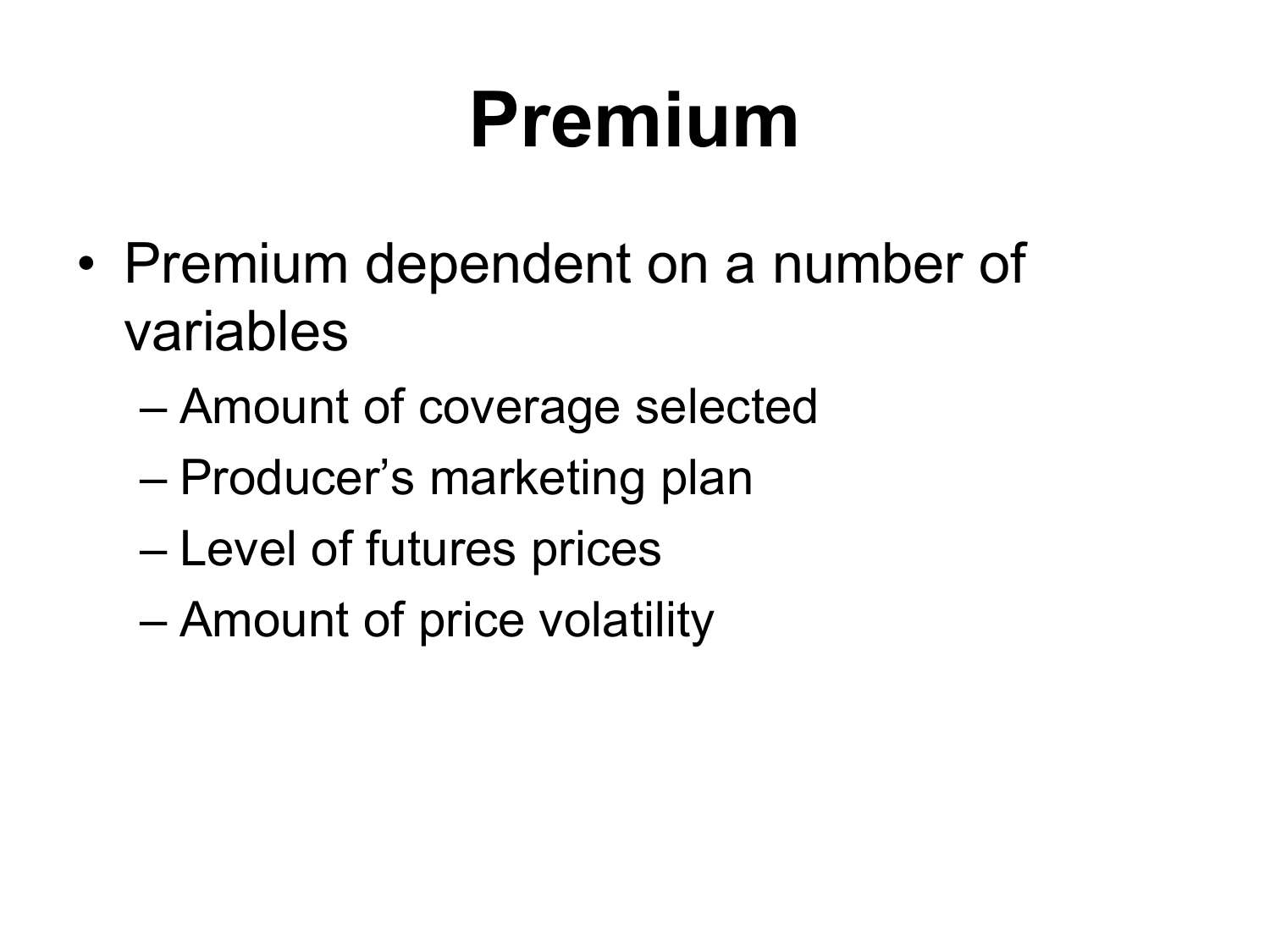## **Premium**

- Premium dependent on a number of variables
	- Amount of coverage selected
	- Producer's marketing plan
	- Level of futures prices
	- Amount of price volatility